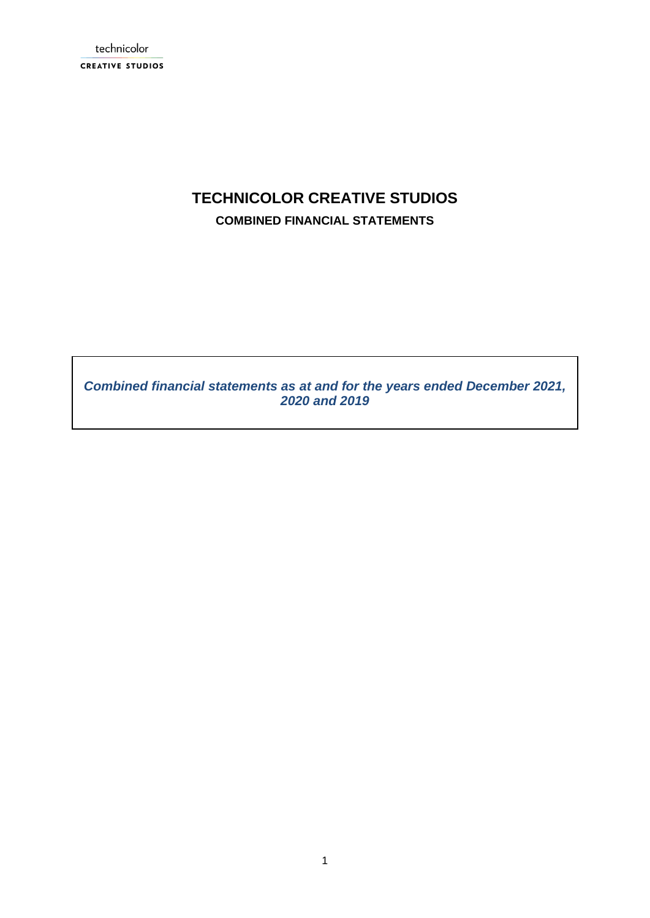technicolor **CREATIVE STUDIOS** 

# **TECHNICOLOR CREATIVE STUDIOS COMBINED FINANCIAL STATEMENTS**

*Combined financial statements as at and for the years ended December 2021, 2020 and 2019*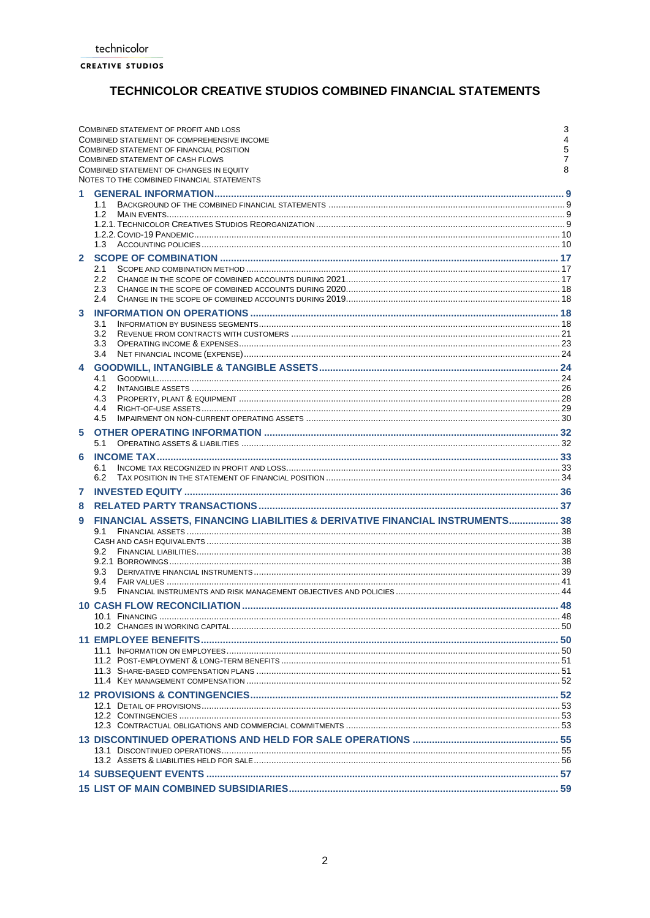# TECHNICOLOR CREATIVE STUDIOS COMBINED FINANCIAL STATEMENTS

|              | COMBINED STATEMENT OF PROFIT AND LOSS<br>COMBINED STATEMENT OF COMPREHENSIVE INCOME<br>COMBINED STATEMENT OF FINANCIAL POSITION<br>COMBINED STATEMENT OF CASH FLOWS<br>COMBINED STATEMENT OF CHANGES IN EQUITY<br>NOTES TO THE COMBINED FINANCIAL STATEMENTS | 3<br>4<br>5<br>7<br>8 |
|--------------|--------------------------------------------------------------------------------------------------------------------------------------------------------------------------------------------------------------------------------------------------------------|-----------------------|
| 1            | 1.1<br>1.2<br>1.3                                                                                                                                                                                                                                            |                       |
| $\mathbf{2}$ | 2.1<br>$2.2\phantom{0}$<br>2.3<br>2.4                                                                                                                                                                                                                        |                       |
| 3            | 3.1<br>3.2<br>3.3<br>3.4                                                                                                                                                                                                                                     |                       |
| 4            | 4.1<br>4.2<br>4.3<br>4.4<br>4.5                                                                                                                                                                                                                              |                       |
| 5            | 5.1                                                                                                                                                                                                                                                          |                       |
| 6            | 6.1<br>6.2                                                                                                                                                                                                                                                   |                       |
| 7<br>8       |                                                                                                                                                                                                                                                              |                       |
| 9            | FINANCIAL ASSETS, FINANCING LIABILITIES & DERIVATIVE FINANCIAL INSTRUMENTS 38                                                                                                                                                                                |                       |
|              | 9.1<br>9.2<br>9.3<br>9.4<br>9.5                                                                                                                                                                                                                              |                       |
|              |                                                                                                                                                                                                                                                              |                       |
|              |                                                                                                                                                                                                                                                              |                       |
|              |                                                                                                                                                                                                                                                              |                       |
|              |                                                                                                                                                                                                                                                              |                       |
|              |                                                                                                                                                                                                                                                              |                       |
|              |                                                                                                                                                                                                                                                              |                       |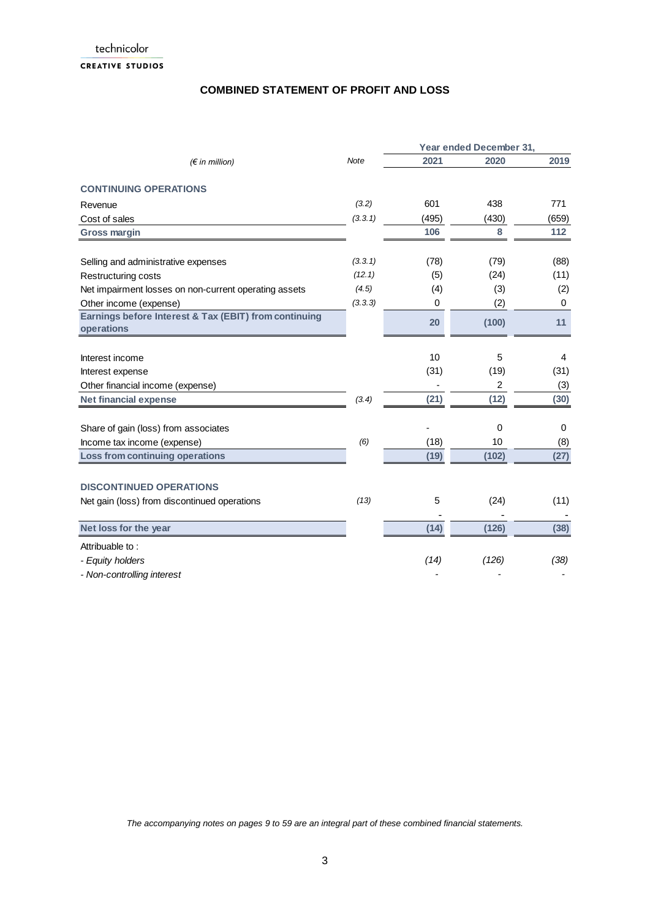technicolor **CREATIVE STUDIOS** 

## **COMBINED STATEMENT OF PROFIT AND LOSS**

|                                                                     |             | Year ended December 31, |       |             |  |
|---------------------------------------------------------------------|-------------|-------------------------|-------|-------------|--|
| $(\epsilon$ in million)                                             | <b>Note</b> | 2021                    | 2020  | 2019        |  |
| <b>CONTINUING OPERATIONS</b>                                        |             |                         |       |             |  |
| Revenue                                                             | (3.2)       | 601                     | 438   | 771         |  |
| Cost of sales                                                       | (3.3.1)     | (495)                   | (430) | (659)       |  |
| <b>Gross margin</b>                                                 |             | 106                     | 8     | 112         |  |
| Selling and administrative expenses                                 | (3.3.1)     | (78)                    | (79)  | (88)        |  |
| Restructuring costs                                                 | (12.1)      | (5)                     | (24)  | (11)        |  |
| Net impairment losses on non-current operating assets               | (4.5)       | (4)                     | (3)   | (2)         |  |
| Other income (expense)                                              | (3.3.3)     | 0                       | (2)   | $\mathbf 0$ |  |
| Earnings before Interest & Tax (EBIT) from continuing<br>operations |             | 20                      | (100) | 11          |  |
|                                                                     |             |                         |       |             |  |
| Interest income                                                     |             | 10                      | 5     | 4           |  |
| Interest expense                                                    |             | (31)                    | (19)  | (31)        |  |
| Other financial income (expense)                                    |             |                         | 2     | (3)         |  |
| <b>Net financial expense</b>                                        | (3.4)       | (21)                    | (12)  | (30)        |  |
| Share of gain (loss) from associates                                |             |                         | 0     | 0           |  |
| Income tax income (expense)                                         | (6)         | (18)                    | 10    | (8)         |  |
| <b>Loss from continuing operations</b>                              |             | (19)                    | (102) | (27)        |  |
| <b>DISCONTINUED OPERATIONS</b>                                      |             |                         |       |             |  |
| Net gain (loss) from discontinued operations                        | (13)        | 5                       | (24)  | (11)        |  |
| Net loss for the year                                               |             | (14)                    | (126) | (38)        |  |
| Attribuable to:                                                     |             |                         |       |             |  |
| - Equity holders                                                    |             | (14)                    | (126) | (38)        |  |
| - Non-controlling interest                                          |             |                         |       |             |  |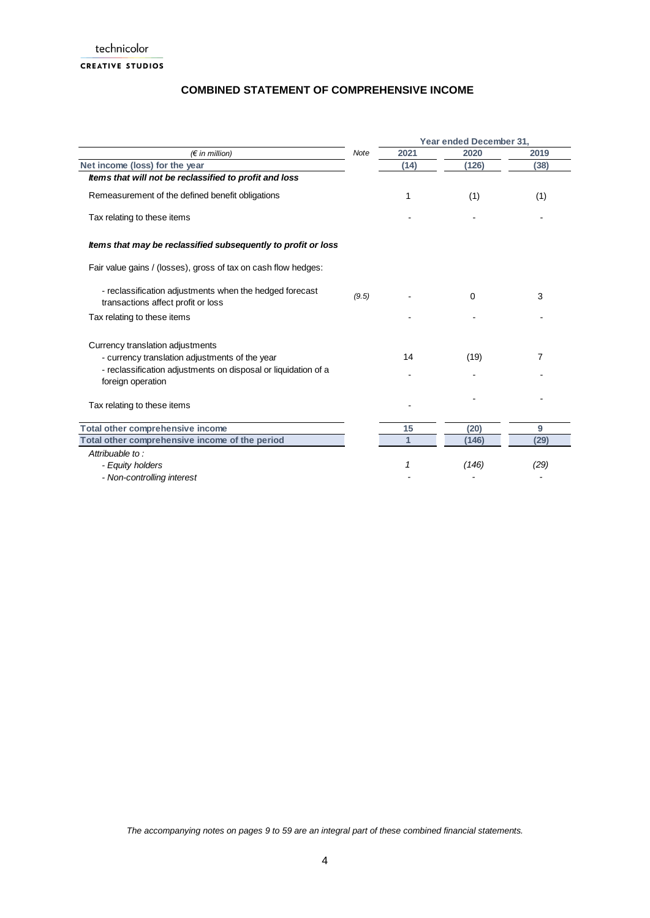## **COMBINED STATEMENT OF COMPREHENSIVE INCOME**

|                                                                                               |       |      | Year ended December 31, |      |
|-----------------------------------------------------------------------------------------------|-------|------|-------------------------|------|
| $(\epsilon$ in million)                                                                       | Note  | 2021 | 2020                    | 2019 |
| Net income (loss) for the year                                                                |       | (14) | (126)                   | (38) |
| Items that will not be reclassified to profit and loss                                        |       |      |                         |      |
| Remeasurement of the defined benefit obligations                                              |       | 1    | (1)                     | (1)  |
| Tax relating to these items                                                                   |       |      |                         |      |
| Items that may be reclassified subsequently to profit or loss                                 |       |      |                         |      |
| Fair value gains / (losses), gross of tax on cash flow hedges:                                |       |      |                         |      |
| - reclassification adjustments when the hedged forecast<br>transactions affect profit or loss | (9.5) |      | 0                       | 3    |
| Tax relating to these items                                                                   |       |      |                         |      |
| Currency translation adjustments                                                              |       |      |                         |      |
| - currency translation adjustments of the year                                                |       | 14   | (19)                    | 7    |
| - reclassification adjustments on disposal or liquidation of a<br>foreign operation           |       |      |                         |      |
| Tax relating to these items                                                                   |       |      |                         |      |
| Total other comprehensive income                                                              |       | 15   | (20)                    | 9    |
| Total other comprehensive income of the period                                                |       |      | (146)                   | (29) |
| Attribuable to:                                                                               |       |      |                         |      |
| - Equity holders                                                                              |       |      | (146)                   | (29) |
| - Non-controlling interest                                                                    |       |      |                         |      |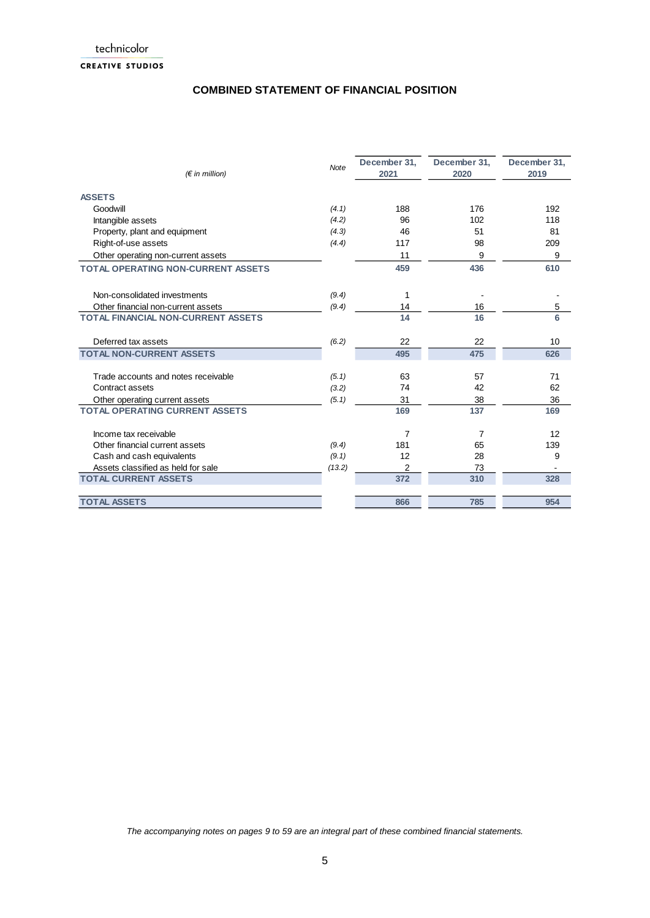## **COMBINED STATEMENT OF FINANCIAL POSITION**

| $(E \in \mathbb{R})$ million)             | <b>Note</b> | December 31,<br>2021 | December 31,<br>2020 | December 31,<br>2019 |
|-------------------------------------------|-------------|----------------------|----------------------|----------------------|
| <b>ASSETS</b>                             |             |                      |                      |                      |
| Goodwill                                  | (4.1)       | 188                  | 176                  | 192                  |
| Intangible assets                         | (4.2)       | 96                   | 102                  | 118                  |
| Property, plant and equipment             | (4.3)       | 46                   | 51                   | 81                   |
| Right-of-use assets                       | (4.4)       | 117                  | 98                   | 209                  |
| Other operating non-current assets        |             | 11                   | 9                    | 9                    |
| <b>TOTAL OPERATING NON-CURRENT ASSETS</b> |             | 459                  | 436                  | 610                  |
| Non-consolidated investments              | (9.4)       | 1                    |                      |                      |
| Other financial non-current assets        | (9.4)       | 14                   | 16                   | 5                    |
| <b>TOTAL FINANCIAL NON-CURRENT ASSETS</b> |             | 14                   | 16                   | 6                    |
| Deferred tax assets                       | (6.2)       | 22                   | 22                   | 10                   |
| <b>TOTAL NON-CURRENT ASSETS</b>           |             | 495                  | 475                  | 626                  |
| Trade accounts and notes receivable       | (5.1)       | 63                   | 57                   | 71                   |
| Contract assets                           | (3.2)       | 74                   | 42                   | 62                   |
| Other operating current assets            | (5.1)       | 31                   | 38                   | 36                   |
| <b>TOTAL OPERATING CURRENT ASSETS</b>     |             | 169                  | 137                  | 169                  |
| Income tax receivable                     |             | 7                    | 7                    | 12                   |
| Other financial current assets            | (9.4)       | 181                  | 65                   | 139                  |
| Cash and cash equivalents                 | (9.1)       | 12                   | 28                   | 9                    |
| Assets classified as held for sale        | (13.2)      | 2                    | 73                   |                      |
| <b>TOTAL CURRENT ASSETS</b>               |             | 372                  | 310                  | 328                  |
| <b>TOTAL ASSETS</b>                       |             | 866                  | 785                  | 954                  |
|                                           |             |                      |                      |                      |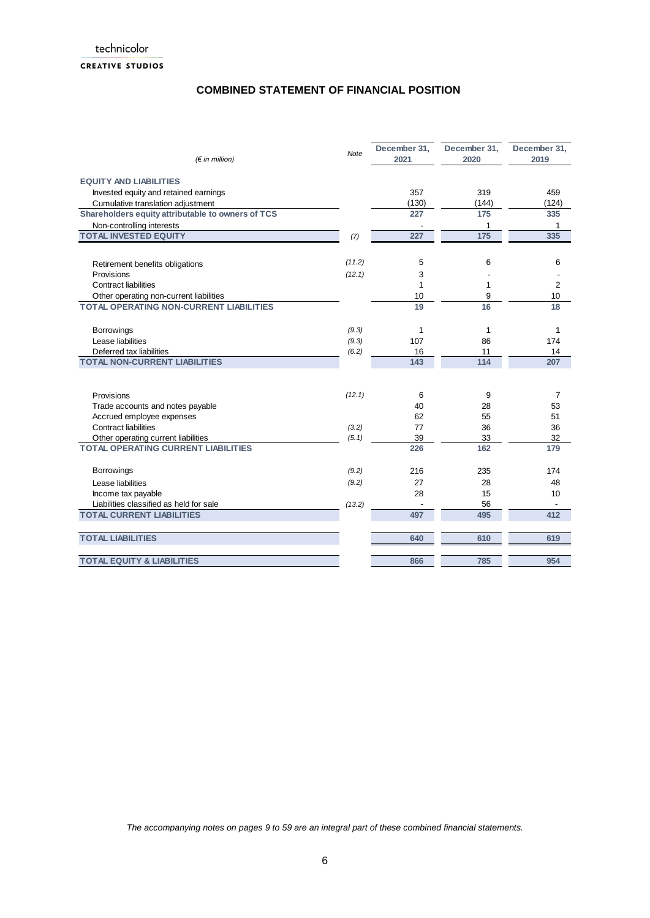### **CREATIVE STUDIOS**

## **COMBINED STATEMENT OF FINANCIAL POSITION**

| $(\epsilon$ in million)                           | Note   | December 31,<br>2021 | December 31,<br>2020 | December 31,<br>2019 |
|---------------------------------------------------|--------|----------------------|----------------------|----------------------|
| <b>EQUITY AND LIABILITIES</b>                     |        |                      |                      |                      |
| Invested equity and retained earnings             |        | 357                  | 319                  | 459                  |
| Cumulative translation adjustment                 |        | (130)                | (144)                | (124)                |
| Shareholders equity attributable to owners of TCS |        | 227                  | 175                  | 335                  |
| Non-controlling interests                         |        |                      | 1                    | 1                    |
| <b>TOTAL INVESTED EQUITY</b>                      | (7)    | 227                  | 175                  | 335                  |
|                                                   |        |                      |                      |                      |
| Retirement benefits obligations                   | (11.2) | 5                    | 6                    | 6                    |
| Provisions                                        | (12.1) | 3                    |                      |                      |
| <b>Contract liabilities</b>                       |        | 1                    | 1                    | $\overline{2}$       |
| Other operating non-current liabilities           |        | 10                   | 9                    | 10                   |
| <b>TOTAL OPERATING NON-CURRENT LIABILITIES</b>    |        | 19                   | 16                   | 18                   |
| <b>Borrowings</b>                                 | (9.3)  | 1                    | 1                    | 1                    |
| Lease liabilities                                 | (9.3)  | 107                  | 86                   | 174                  |
| Deferred tax liabilities                          | (6.2)  | 16                   | 11                   | 14                   |
| <b>TOTAL NON-CURRENT LIABILITIES</b>              |        | 143                  | 114                  | 207                  |
|                                                   |        |                      |                      |                      |
| Provisions                                        | (12.1) | 6                    | 9                    | $\overline{7}$       |
| Trade accounts and notes payable                  |        | 40                   | 28                   | 53                   |
| Accrued employee expenses                         |        | 62                   | 55                   | 51                   |
| <b>Contract liabilities</b>                       | (3.2)  | 77                   | 36                   | 36                   |
| Other operating current liabilities               | (5.1)  | 39                   | 33                   | 32                   |
| <b>TOTAL OPERATING CURRENT LIABILITIES</b>        |        | 226                  | 162                  | 179                  |
| Borrowings                                        | (9.2)  | 216                  | 235                  | 174                  |
| Lease liabilities                                 | (9.2)  | 27                   | 28                   | 48                   |
| Income tax payable                                |        | 28                   | 15                   | 10                   |
| Liabilities classified as held for sale           | (13.2) |                      | 56                   |                      |
| <b>TOTAL CURRENT LIABILITIES</b>                  |        | 497                  | 495                  | 412                  |
|                                                   |        |                      |                      |                      |
| <b>TOTAL LIABILITIES</b>                          |        | 640                  | 610                  | 619                  |
| <b>TOTAL EQUITY &amp; LIABILITIES</b>             |        | 866                  | 785                  | 954                  |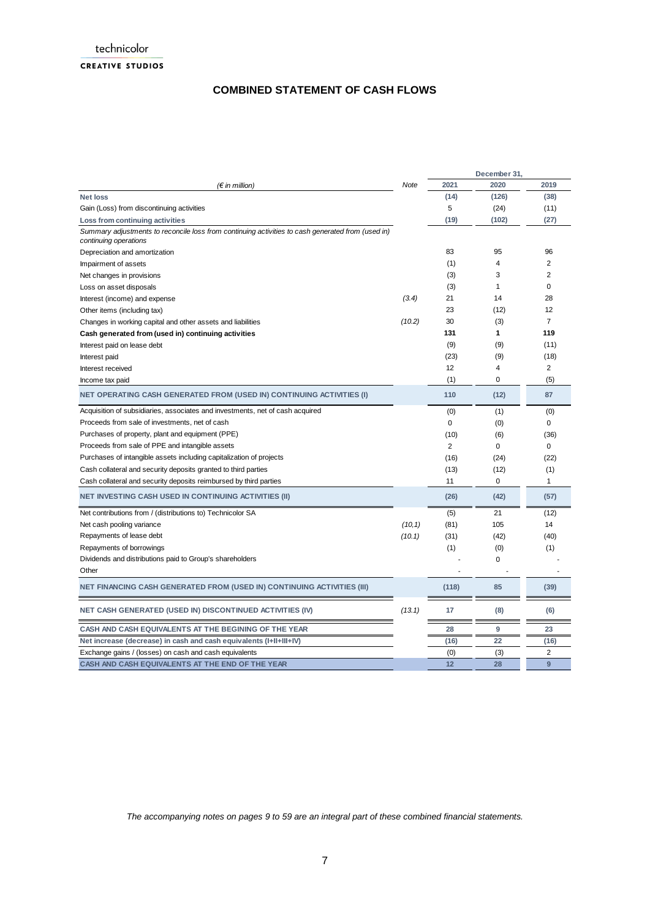## **COMBINED STATEMENT OF CASH FLOWS**

|                                                                                                                            |             |                | December 31, |                |
|----------------------------------------------------------------------------------------------------------------------------|-------------|----------------|--------------|----------------|
| $(\epsilon$ in million)                                                                                                    | <b>Note</b> | 2021           | 2020         | 2019           |
| <b>Net loss</b>                                                                                                            |             | (14)           | (126)        | (38)           |
| Gain (Loss) from discontinuing activities                                                                                  |             | 5              | (24)         | (11)           |
| Loss from continuing activities                                                                                            |             | (19)           | (102)        | (27)           |
| Summary adjustments to reconcile loss from continuing activities to cash generated from (used in)<br>continuing operations |             |                |              |                |
| Depreciation and amortization                                                                                              |             | 83             | 95           | 96             |
| Impairment of assets                                                                                                       |             | (1)            | 4            | $\overline{2}$ |
| Net changes in provisions                                                                                                  |             | (3)            | 3            | $\overline{2}$ |
| Loss on asset disposals                                                                                                    |             | (3)            | $\mathbf{1}$ | 0              |
| Interest (income) and expense                                                                                              | (3.4)       | 21             | 14           | 28             |
| Other items (including tax)                                                                                                |             | 23             | (12)         | 12             |
| Changes in working capital and other assets and liabilities                                                                | (10.2)      | 30             | (3)          | $\overline{7}$ |
| Cash generated from (used in) continuing activities                                                                        |             | 131            | 1            | 119            |
| Interest paid on lease debt                                                                                                |             | (9)            | (9)          | (11)           |
| Interest paid                                                                                                              |             | (23)           | (9)          | (18)           |
| Interest received                                                                                                          |             | 12             | 4            | $\overline{2}$ |
| Income tax paid                                                                                                            |             | (1)            | 0            | (5)            |
| NET OPERATING CASH GENERATED FROM (USED IN) CONTINUING ACTIVITIES (I)                                                      |             | 110            | (12)         | 87             |
| Acquisition of subsidiaries, associates and investments, net of cash acquired                                              |             | (0)            | (1)          | (0)            |
| Proceeds from sale of investments, net of cash                                                                             |             | $\Omega$       | (0)          | 0              |
| Purchases of property, plant and equipment (PPE)                                                                           |             | (10)           | (6)          | (36)           |
| Proceeds from sale of PPE and intangible assets                                                                            |             | $\overline{2}$ | 0            | 0              |
| Purchases of intangible assets including capitalization of projects                                                        |             | (16)           | (24)         | (22)           |
| Cash collateral and security deposits granted to third parties                                                             |             | (13)           | (12)         | (1)            |
| Cash collateral and security deposits reimbursed by third parties                                                          |             | 11             | 0            | $\mathbf{1}$   |
| <b>NET INVESTING CASH USED IN CONTINUING ACTIVITIES (II)</b>                                                               |             | (26)           | (42)         | (57)           |
| Net contributions from / (distributions to) Technicolor SA                                                                 |             | (5)            | 21           | (12)           |
| Net cash pooling variance                                                                                                  | (10, 1)     | (81)           | 105          | 14             |
| Repayments of lease debt                                                                                                   | (10.1)      | (31)           | (42)         | (40)           |
| Repayments of borrowings                                                                                                   |             | (1)            | (0)          | (1)            |
| Dividends and distributions paid to Group's shareholders                                                                   |             |                | 0            |                |
| Other                                                                                                                      |             |                |              |                |
| NET FINANCING CASH GENERATED FROM (USED IN) CONTINUING ACTIVITIES (III)                                                    |             | (118)          | 85           | (39)           |
| <b>NET CASH GENERATED (USED IN) DISCONTINUED ACTIVITIES (IV)</b>                                                           | (13.1)      | 17             | (8)          | (6)            |
| CASH AND CASH EQUIVALENTS AT THE BEGINING OF THE YEAR                                                                      |             | 28             | 9            | 23             |
| Net increase (decrease) in cash and cash equivalents (I+II+III+IV)                                                         |             | (16)           | 22           | (16)           |
| Exchange gains / (losses) on cash and cash equivalents                                                                     |             | (0)            | (3)          | 2              |
| CASH AND CASH EQUIVALENTS AT THE END OF THE YEAR                                                                           |             | 12             | 28           | 9              |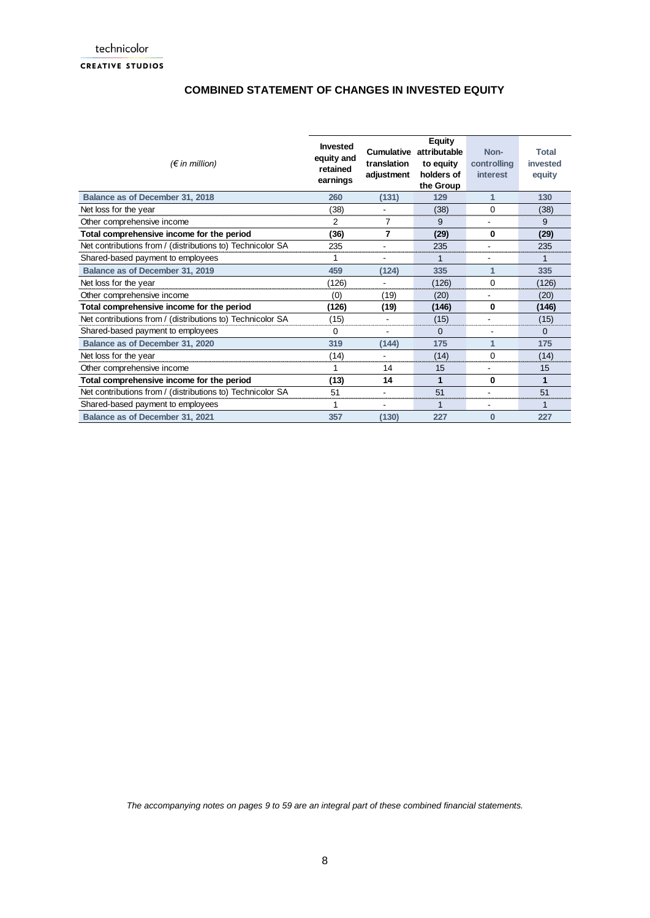## **COMBINED STATEMENT OF CHANGES IN INVESTED EQUITY**

| $(\epsilon$ in million)                                    | <b>Invested</b><br>equity and<br>retained<br>earnings | Cumulative<br>translation<br>adjustment | Equity<br>attributable<br>to equity<br>holders of<br>the Group | Non-<br>controlling<br><i>interest</i> | Total<br>invested<br>equity |
|------------------------------------------------------------|-------------------------------------------------------|-----------------------------------------|----------------------------------------------------------------|----------------------------------------|-----------------------------|
| Balance as of December 31, 2018                            | 260                                                   | (131)                                   | 129                                                            | 1                                      | 130                         |
| Net loss for the year                                      | (38)                                                  | $\overline{\phantom{a}}$                | (38)                                                           | $\Omega$                               | (38)                        |
| Other comprehensive income                                 | 2                                                     | 7                                       | 9                                                              | $\blacksquare$                         | 9                           |
| Total comprehensive income for the period                  | (36)                                                  | 7                                       | (29)                                                           | 0                                      | (29)                        |
| Net contributions from / (distributions to) Technicolor SA | 235                                                   | $\blacksquare$                          | 235                                                            | $\blacksquare$                         | 235                         |
| Shared-based payment to employees                          | 1                                                     | $\overline{\phantom{a}}$                | 1                                                              | $\overline{\phantom{a}}$               | 1                           |
| Balance as of December 31, 2019                            | 459                                                   | (124)                                   | 335                                                            | 1                                      | 335                         |
| Net loss for the year                                      | (126)                                                 | $\blacksquare$                          | (126)                                                          | $\Omega$                               | (126)                       |
| Other comprehensive income                                 | (0)                                                   | (19)                                    | (20)                                                           |                                        | (20)                        |
| Total comprehensive income for the period                  | (126)                                                 | (19)                                    | (146)                                                          | 0                                      | (146)                       |
| Net contributions from / (distributions to) Technicolor SA | (15)                                                  | ۰                                       | (15)                                                           | $\overline{\phantom{a}}$               | (15)                        |
| Shared-based payment to employees                          | 0                                                     | $\blacksquare$                          | $\Omega$                                                       |                                        | $\Omega$                    |
| Balance as of December 31, 2020                            | 319                                                   | (144)                                   | 175                                                            | 1                                      | 175                         |
| Net loss for the year                                      | (14)                                                  | $\overline{\phantom{0}}$                | (14)                                                           | $\Omega$                               | (14)                        |
| Other comprehensive income                                 | 1                                                     | 14                                      | 15                                                             | $\overline{\phantom{a}}$               | 15                          |
| Total comprehensive income for the period                  | (13)                                                  | 14                                      | 1                                                              | 0                                      | 1                           |
| Net contributions from / (distributions to) Technicolor SA | 51                                                    | $\overline{\phantom{0}}$                | 51                                                             | $\overline{\phantom{a}}$               | 51                          |
| Shared-based payment to employees                          | 1                                                     | $\overline{a}$                          | 1                                                              | $\overline{a}$                         |                             |
| Balance as of December 31, 2021                            | 357                                                   | (130)                                   | 227                                                            | $\Omega$                               | 227                         |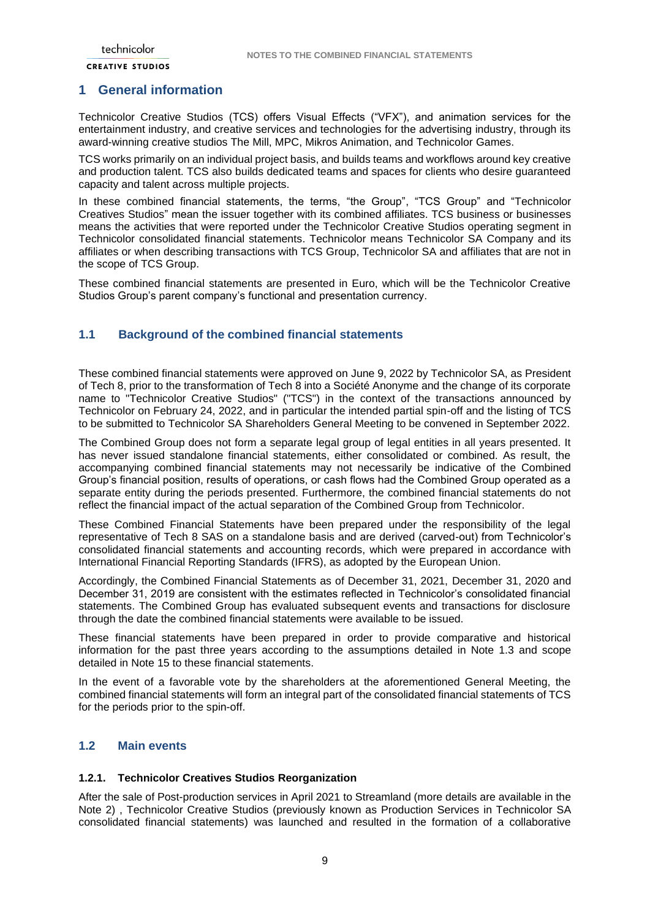#### **CREATIVE STUDIOS**

### <span id="page-8-0"></span>**1 General information**

Technicolor Creative Studios (TCS) offers Visual Effects ("VFX"), and animation services for the entertainment industry, and creative services and technologies for the advertising industry, through its award-winning creative studios The Mill, MPC, Mikros Animation, and Technicolor Games.

TCS works primarily on an individual project basis, and builds teams and workflows around key creative and production talent. TCS also builds dedicated teams and spaces for clients who desire guaranteed capacity and talent across multiple projects.

In these combined financial statements, the terms, "the Group", "TCS Group" and "Technicolor Creatives Studios" mean the issuer together with its combined affiliates. TCS business or businesses means the activities that were reported under the Technicolor Creative Studios operating segment in Technicolor consolidated financial statements. Technicolor means Technicolor SA Company and its affiliates or when describing transactions with TCS Group, Technicolor SA and affiliates that are not in the scope of TCS Group.

These combined financial statements are presented in Euro, which will be the Technicolor Creative Studios Group's parent company's functional and presentation currency.

### <span id="page-8-1"></span>**1.1 Background of the combined financial statements**

These combined financial statements were approved on June 9, 2022 by Technicolor SA, as President of Tech 8, prior to the transformation of Tech 8 into a Société Anonyme and the change of its corporate name to "Technicolor Creative Studios" ("TCS") in the context of the transactions announced by Technicolor on February 24, 2022, and in particular the intended partial spin-off and the listing of TCS to be submitted to Technicolor SA Shareholders General Meeting to be convened in September 2022.

The Combined Group does not form a separate legal group of legal entities in all years presented. It has never issued standalone financial statements, either consolidated or combined. As result, the accompanying combined financial statements may not necessarily be indicative of the Combined Group's financial position, results of operations, or cash flows had the Combined Group operated as a separate entity during the periods presented. Furthermore, the combined financial statements do not reflect the financial impact of the actual separation of the Combined Group from Technicolor.

These Combined Financial Statements have been prepared under the responsibility of the legal representative of Tech 8 SAS on a standalone basis and are derived (carved-out) from Technicolor's consolidated financial statements and accounting records, which were prepared in accordance with International Financial Reporting Standards (IFRS), as adopted by the European Union.

Accordingly, the Combined Financial Statements as of December 31, 2021, December 31, 2020 and December 31, 2019 are consistent with the estimates reflected in Technicolor's consolidated financial statements. The Combined Group has evaluated subsequent events and transactions for disclosure through the date the combined financial statements were available to be issued.

These financial statements have been prepared in order to provide comparative and historical information for the past three years according to the assumptions detailed in Note 1.3 and scope detailed in Note 15 to these financial statements.

In the event of a favorable vote by the shareholders at the aforementioned General Meeting, the combined financial statements will form an integral part of the consolidated financial statements of TCS for the periods prior to the spin-off.

## <span id="page-8-2"></span>**1.2 Main events**

#### <span id="page-8-3"></span>**1.2.1. Technicolor Creatives Studios Reorganization**

After the sale of Post-production services in April 2021 to Streamland (more details are available in the Note 2) , Technicolor Creative Studios (previously known as Production Services in Technicolor SA consolidated financial statements) was launched and resulted in the formation of a collaborative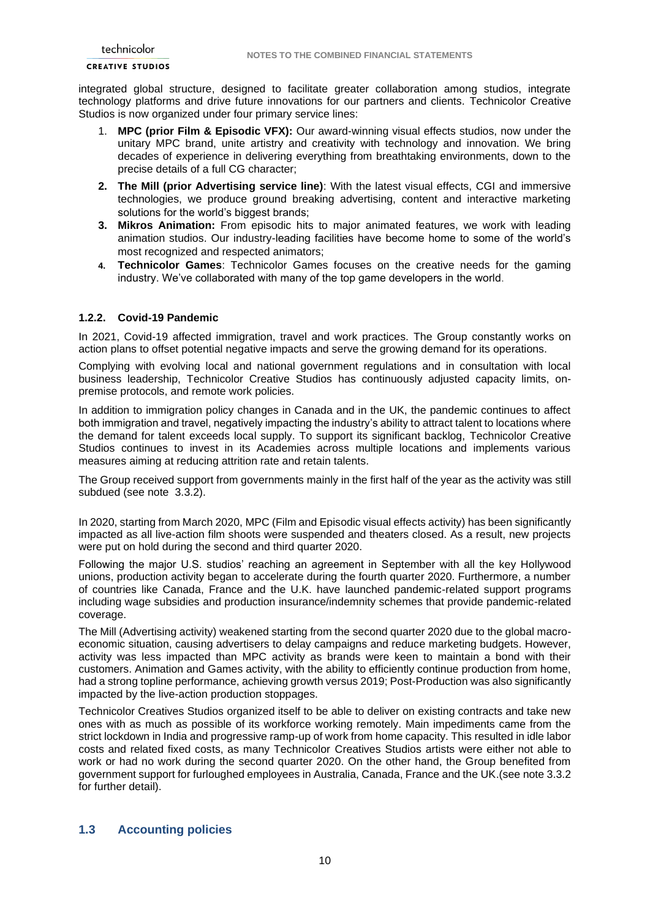#### **CREATIVE STUDIOS**

integrated global structure, designed to facilitate greater collaboration among studios, integrate technology platforms and drive future innovations for our partners and clients. Technicolor Creative Studios is now organized under four primary service lines:

- 1. **MPC (prior Film & Episodic VFX):** Our award-winning visual effects studios, now under the unitary MPC brand, unite artistry and creativity with technology and innovation. We bring decades of experience in delivering everything from breathtaking environments, down to the precise details of a full CG character;
- **2. The Mill (prior Advertising service line)**: With the latest visual effects, CGI and immersive technologies, we produce ground breaking advertising, content and interactive marketing solutions for the world's biggest brands;
- **3. Mikros Animation:** From episodic hits to major animated features, we work with leading animation studios. Our industry-leading facilities have become home to some of the world's most recognized and respected animators;
- **4. Technicolor Games**: Technicolor Games focuses on the creative needs for the gaming industry. We've collaborated with many of the top game developers in the world.

### <span id="page-9-0"></span>**1.2.2. Covid-19 Pandemic**

In 2021, Covid-19 affected immigration, travel and work practices. The Group constantly works on action plans to offset potential negative impacts and serve the growing demand for its operations.

Complying with evolving local and national government regulations and in consultation with local business leadership, Technicolor Creative Studios has continuously adjusted capacity limits, onpremise protocols, and remote work policies.

In addition to immigration policy changes in Canada and in the UK, the pandemic continues to affect both immigration and travel, negatively impacting the industry's ability to attract talent to locations where the demand for talent exceeds local supply. To support its significant backlog, Technicolor Creative Studios continues to invest in its Academies across multiple locations and implements various measures aiming at reducing attrition rate and retain talents.

The Group received support from governments mainly in the first half of the year as the activity was still subdued (see note 3.3.2).

In 2020, starting from March 2020, MPC (Film and Episodic visual effects activity) has been significantly impacted as all live-action film shoots were suspended and theaters closed. As a result, new projects were put on hold during the second and third quarter 2020.

Following the major U.S. studios' reaching an agreement in September with all the key Hollywood unions, production activity began to accelerate during the fourth quarter 2020. Furthermore, a number of countries like Canada, France and the U.K. have launched pandemic-related support programs including wage subsidies and production insurance/indemnity schemes that provide pandemic-related coverage.

The Mill (Advertising activity) weakened starting from the second quarter 2020 due to the global macroeconomic situation, causing advertisers to delay campaigns and reduce marketing budgets. However, activity was less impacted than MPC activity as brands were keen to maintain a bond with their customers. Animation and Games activity, with the ability to efficiently continue production from home, had a strong topline performance, achieving growth versus 2019; Post-Production was also significantly impacted by the live-action production stoppages.

Technicolor Creatives Studios organized itself to be able to deliver on existing contracts and take new ones with as much as possible of its workforce working remotely. Main impediments came from the strict lockdown in India and progressive ramp-up of work from home capacity. This resulted in idle labor costs and related fixed costs, as many Technicolor Creatives Studios artists were either not able to work or had no work during the second quarter 2020. On the other hand, the Group benefited from government support for furloughed employees in Australia, Canada, France and the UK.(see note 3.3.2 for further detail).

### <span id="page-9-1"></span>**1.3 Accounting policies**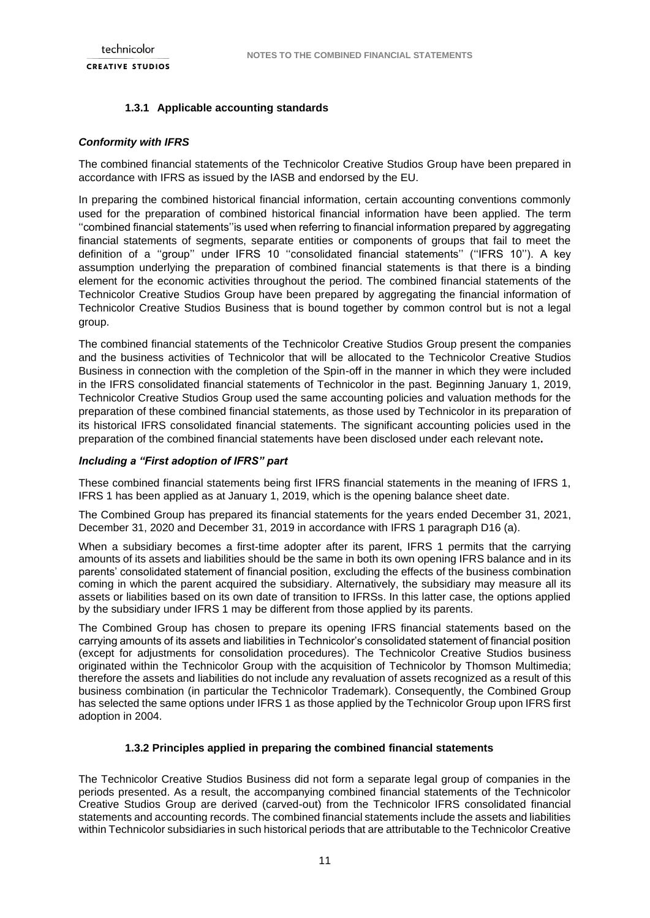### **1.3.1 Applicable accounting standards**

### *Conformity with IFRS*

The combined financial statements of the Technicolor Creative Studios Group have been prepared in accordance with IFRS as issued by the IASB and endorsed by the EU.

In preparing the combined historical financial information, certain accounting conventions commonly used for the preparation of combined historical financial information have been applied. The term ''combined financial statements''is used when referring to financial information prepared by aggregating financial statements of segments, separate entities or components of groups that fail to meet the definition of a ''group'' under IFRS 10 ''consolidated financial statements'' (''IFRS 10''). A key assumption underlying the preparation of combined financial statements is that there is a binding element for the economic activities throughout the period. The combined financial statements of the Technicolor Creative Studios Group have been prepared by aggregating the financial information of Technicolor Creative Studios Business that is bound together by common control but is not a legal group.

The combined financial statements of the Technicolor Creative Studios Group present the companies and the business activities of Technicolor that will be allocated to the Technicolor Creative Studios Business in connection with the completion of the Spin-off in the manner in which they were included in the IFRS consolidated financial statements of Technicolor in the past. Beginning January 1, 2019, Technicolor Creative Studios Group used the same accounting policies and valuation methods for the preparation of these combined financial statements, as those used by Technicolor in its preparation of its historical IFRS consolidated financial statements. The significant accounting policies used in the preparation of the combined financial statements have been disclosed under each relevant note**.**

#### *Including a "First adoption of IFRS" part*

These combined financial statements being first IFRS financial statements in the meaning of IFRS 1, IFRS 1 has been applied as at January 1, 2019, which is the opening balance sheet date.

The Combined Group has prepared its financial statements for the years ended December 31, 2021, December 31, 2020 and December 31, 2019 in accordance with IFRS 1 paragraph D16 (a).

When a subsidiary becomes a first-time adopter after its parent, IFRS 1 permits that the carrying amounts of its assets and liabilities should be the same in both its own opening IFRS balance and in its parents' consolidated statement of financial position, excluding the effects of the business combination coming in which the parent acquired the subsidiary. Alternatively, the subsidiary may measure all its assets or liabilities based on its own date of transition to IFRSs. In this latter case, the options applied by the subsidiary under IFRS 1 may be different from those applied by its parents.

The Combined Group has chosen to prepare its opening IFRS financial statements based on the carrying amounts of its assets and liabilities in Technicolor's consolidated statement of financial position (except for adjustments for consolidation procedures). The Technicolor Creative Studios business originated within the Technicolor Group with the acquisition of Technicolor by Thomson Multimedia; therefore the assets and liabilities do not include any revaluation of assets recognized as a result of this business combination (in particular the Technicolor Trademark). Consequently, the Combined Group has selected the same options under IFRS 1 as those applied by the Technicolor Group upon IFRS first adoption in 2004.

#### **1.3.2 Principles applied in preparing the combined financial statements**

The Technicolor Creative Studios Business did not form a separate legal group of companies in the periods presented. As a result, the accompanying combined financial statements of the Technicolor Creative Studios Group are derived (carved-out) from the Technicolor IFRS consolidated financial statements and accounting records. The combined financial statements include the assets and liabilities within Technicolor subsidiaries in such historical periods that are attributable to the Technicolor Creative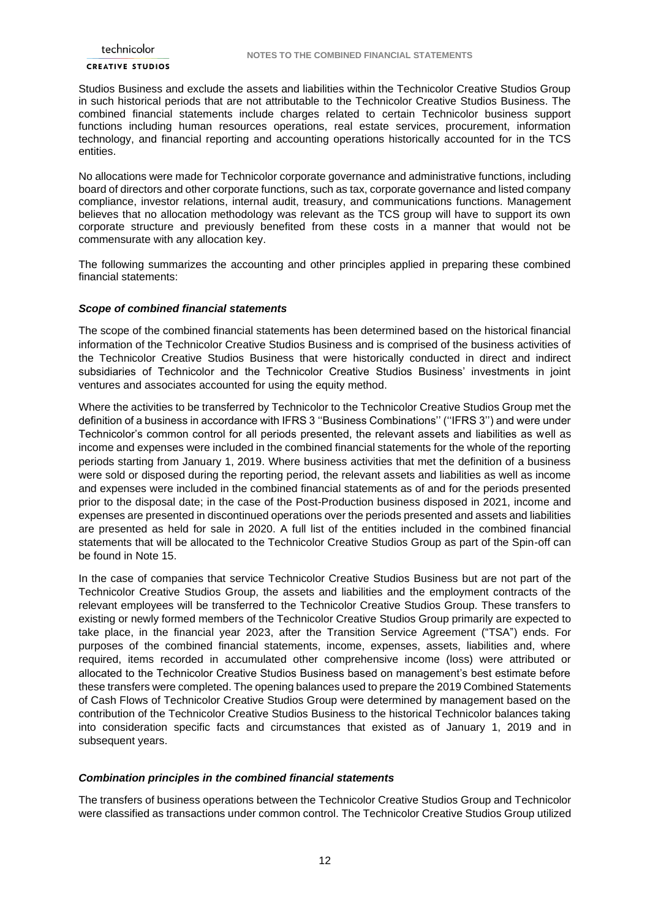#### **CREATIVE STUDIOS**

Studios Business and exclude the assets and liabilities within the Technicolor Creative Studios Group in such historical periods that are not attributable to the Technicolor Creative Studios Business. The combined financial statements include charges related to certain Technicolor business support functions including human resources operations, real estate services, procurement, information technology, and financial reporting and accounting operations historically accounted for in the TCS entities.

No allocations were made for Technicolor corporate governance and administrative functions, including board of directors and other corporate functions, such as tax, corporate governance and listed company compliance, investor relations, internal audit, treasury, and communications functions. Management believes that no allocation methodology was relevant as the TCS group will have to support its own corporate structure and previously benefited from these costs in a manner that would not be commensurate with any allocation key.

The following summarizes the accounting and other principles applied in preparing these combined financial statements:

#### *Scope of combined financial statements*

The scope of the combined financial statements has been determined based on the historical financial information of the Technicolor Creative Studios Business and is comprised of the business activities of the Technicolor Creative Studios Business that were historically conducted in direct and indirect subsidiaries of Technicolor and the Technicolor Creative Studios Business' investments in joint ventures and associates accounted for using the equity method.

Where the activities to be transferred by Technicolor to the Technicolor Creative Studios Group met the definition of a business in accordance with IFRS 3 ''Business Combinations'' (''IFRS 3'') and were under Technicolor's common control for all periods presented, the relevant assets and liabilities as well as income and expenses were included in the combined financial statements for the whole of the reporting periods starting from January 1, 2019. Where business activities that met the definition of a business were sold or disposed during the reporting period, the relevant assets and liabilities as well as income and expenses were included in the combined financial statements as of and for the periods presented prior to the disposal date; in the case of the Post-Production business disposed in 2021, income and expenses are presented in discontinued operations over the periods presented and assets and liabilities are presented as held for sale in 2020. A full list of the entities included in the combined financial statements that will be allocated to the Technicolor Creative Studios Group as part of the Spin-off can be found in Note 15.

In the case of companies that service Technicolor Creative Studios Business but are not part of the Technicolor Creative Studios Group, the assets and liabilities and the employment contracts of the relevant employees will be transferred to the Technicolor Creative Studios Group. These transfers to existing or newly formed members of the Technicolor Creative Studios Group primarily are expected to take place, in the financial year 2023, after the Transition Service Agreement ("TSA") ends. For purposes of the combined financial statements, income, expenses, assets, liabilities and, where required, items recorded in accumulated other comprehensive income (loss) were attributed or allocated to the Technicolor Creative Studios Business based on management's best estimate before these transfers were completed. The opening balances used to prepare the 2019 Combined Statements of Cash Flows of Technicolor Creative Studios Group were determined by management based on the contribution of the Technicolor Creative Studios Business to the historical Technicolor balances taking into consideration specific facts and circumstances that existed as of January 1, 2019 and in subsequent years.

#### *Combination principles in the combined financial statements*

The transfers of business operations between the Technicolor Creative Studios Group and Technicolor were classified as transactions under common control. The Technicolor Creative Studios Group utilized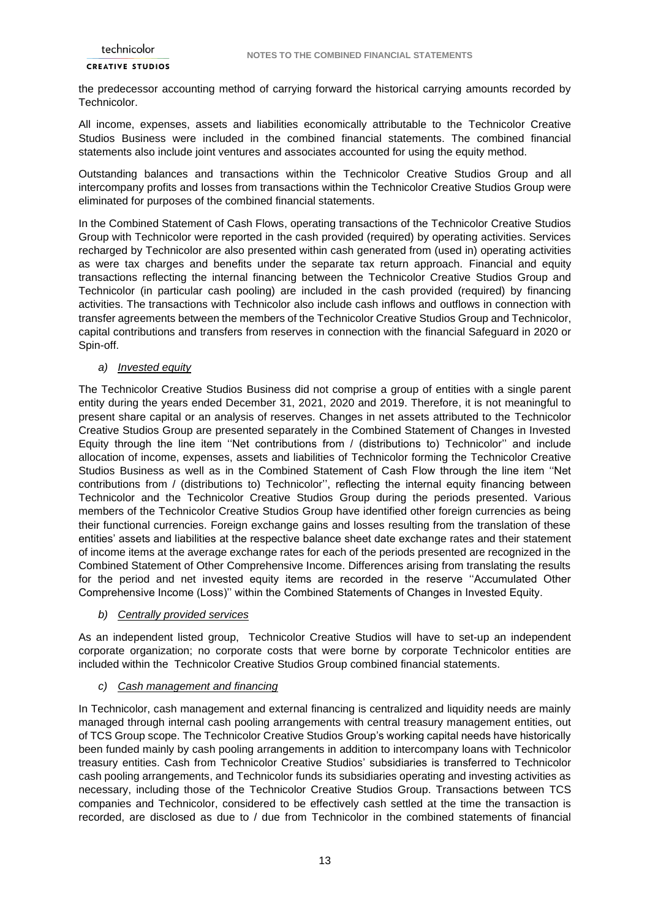the predecessor accounting method of carrying forward the historical carrying amounts recorded by Technicolor.

All income, expenses, assets and liabilities economically attributable to the Technicolor Creative Studios Business were included in the combined financial statements. The combined financial statements also include joint ventures and associates accounted for using the equity method.

Outstanding balances and transactions within the Technicolor Creative Studios Group and all intercompany profits and losses from transactions within the Technicolor Creative Studios Group were eliminated for purposes of the combined financial statements.

In the Combined Statement of Cash Flows, operating transactions of the Technicolor Creative Studios Group with Technicolor were reported in the cash provided (required) by operating activities. Services recharged by Technicolor are also presented within cash generated from (used in) operating activities as were tax charges and benefits under the separate tax return approach. Financial and equity transactions reflecting the internal financing between the Technicolor Creative Studios Group and Technicolor (in particular cash pooling) are included in the cash provided (required) by financing activities. The transactions with Technicolor also include cash inflows and outflows in connection with transfer agreements between the members of the Technicolor Creative Studios Group and Technicolor, capital contributions and transfers from reserves in connection with the financial Safeguard in 2020 or Spin-off.

#### *a) Invested equity*

The Technicolor Creative Studios Business did not comprise a group of entities with a single parent entity during the years ended December 31, 2021, 2020 and 2019. Therefore, it is not meaningful to present share capital or an analysis of reserves. Changes in net assets attributed to the Technicolor Creative Studios Group are presented separately in the Combined Statement of Changes in Invested Equity through the line item ''Net contributions from / (distributions to) Technicolor'' and include allocation of income, expenses, assets and liabilities of Technicolor forming the Technicolor Creative Studios Business as well as in the Combined Statement of Cash Flow through the line item ''Net contributions from / (distributions to) Technicolor'', reflecting the internal equity financing between Technicolor and the Technicolor Creative Studios Group during the periods presented. Various members of the Technicolor Creative Studios Group have identified other foreign currencies as being their functional currencies. Foreign exchange gains and losses resulting from the translation of these entities' assets and liabilities at the respective balance sheet date exchange rates and their statement of income items at the average exchange rates for each of the periods presented are recognized in the Combined Statement of Other Comprehensive Income. Differences arising from translating the results for the period and net invested equity items are recorded in the reserve ''Accumulated Other Comprehensive Income (Loss)'' within the Combined Statements of Changes in Invested Equity.

#### *b) Centrally provided services*

As an independent listed group, Technicolor Creative Studios will have to set-up an independent corporate organization; no corporate costs that were borne by corporate Technicolor entities are included within the Technicolor Creative Studios Group combined financial statements.

### *c) Cash management and financing*

In Technicolor, cash management and external financing is centralized and liquidity needs are mainly managed through internal cash pooling arrangements with central treasury management entities, out of TCS Group scope. The Technicolor Creative Studios Group's working capital needs have historically been funded mainly by cash pooling arrangements in addition to intercompany loans with Technicolor treasury entities. Cash from Technicolor Creative Studios' subsidiaries is transferred to Technicolor cash pooling arrangements, and Technicolor funds its subsidiaries operating and investing activities as necessary, including those of the Technicolor Creative Studios Group. Transactions between TCS companies and Technicolor, considered to be effectively cash settled at the time the transaction is recorded, are disclosed as due to / due from Technicolor in the combined statements of financial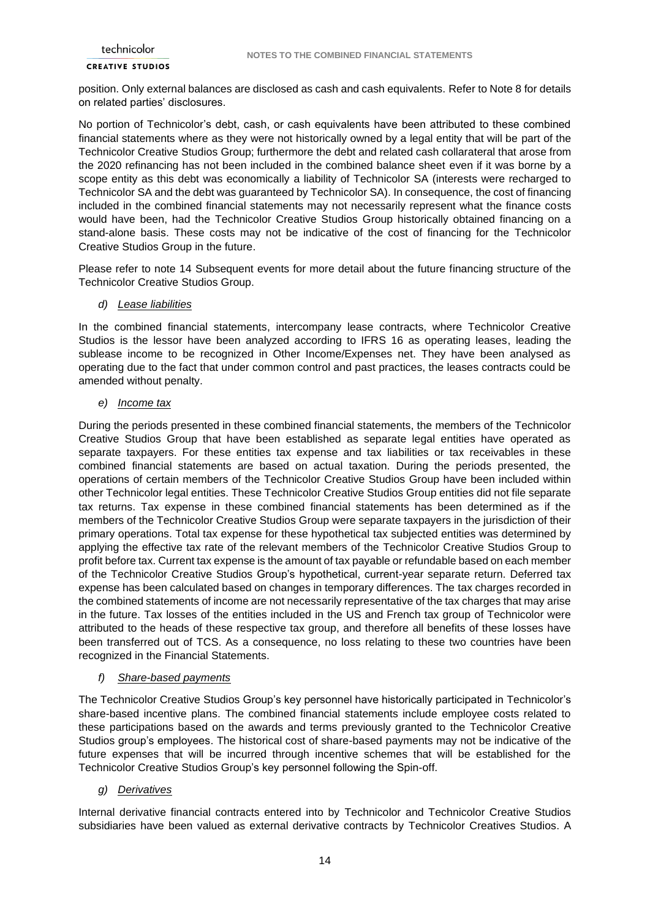position. Only external balances are disclosed as cash and cash equivalents. Refer to Note 8 for details on related parties' disclosures.

No portion of Technicolor's debt, cash, or cash equivalents have been attributed to these combined financial statements where as they were not historically owned by a legal entity that will be part of the Technicolor Creative Studios Group; furthermore the debt and related cash collarateral that arose from the 2020 refinancing has not been included in the combined balance sheet even if it was borne by a scope entity as this debt was economically a liability of Technicolor SA (interests were recharged to Technicolor SA and the debt was guaranteed by Technicolor SA). In consequence, the cost of financing included in the combined financial statements may not necessarily represent what the finance costs would have been, had the Technicolor Creative Studios Group historically obtained financing on a stand-alone basis. These costs may not be indicative of the cost of financing for the Technicolor Creative Studios Group in the future.

Please refer to note 14 Subsequent events for more detail about the future financing structure of the Technicolor Creative Studios Group.

#### *d) Lease liabilities*

In the combined financial statements, intercompany lease contracts, where Technicolor Creative Studios is the lessor have been analyzed according to IFRS 16 as operating leases, leading the sublease income to be recognized in Other Income/Expenses net. They have been analysed as operating due to the fact that under common control and past practices, the leases contracts could be amended without penalty.

### *e) Income tax*

During the periods presented in these combined financial statements, the members of the Technicolor Creative Studios Group that have been established as separate legal entities have operated as separate taxpayers. For these entities tax expense and tax liabilities or tax receivables in these combined financial statements are based on actual taxation. During the periods presented, the operations of certain members of the Technicolor Creative Studios Group have been included within other Technicolor legal entities. These Technicolor Creative Studios Group entities did not file separate tax returns. Tax expense in these combined financial statements has been determined as if the members of the Technicolor Creative Studios Group were separate taxpayers in the jurisdiction of their primary operations. Total tax expense for these hypothetical tax subjected entities was determined by applying the effective tax rate of the relevant members of the Technicolor Creative Studios Group to profit before tax. Current tax expense is the amount of tax payable or refundable based on each member of the Technicolor Creative Studios Group's hypothetical, current-year separate return. Deferred tax expense has been calculated based on changes in temporary differences. The tax charges recorded in the combined statements of income are not necessarily representative of the tax charges that may arise in the future. Tax losses of the entities included in the US and French tax group of Technicolor were attributed to the heads of these respective tax group, and therefore all benefits of these losses have been transferred out of TCS. As a consequence, no loss relating to these two countries have been recognized in the Financial Statements.

#### *f) Share-based payments*

The Technicolor Creative Studios Group's key personnel have historically participated in Technicolor's share-based incentive plans. The combined financial statements include employee costs related to these participations based on the awards and terms previously granted to the Technicolor Creative Studios group's employees. The historical cost of share-based payments may not be indicative of the future expenses that will be incurred through incentive schemes that will be established for the Technicolor Creative Studios Group's key personnel following the Spin-off.

#### *g) Derivatives*

Internal derivative financial contracts entered into by Technicolor and Technicolor Creative Studios subsidiaries have been valued as external derivative contracts by Technicolor Creatives Studios. A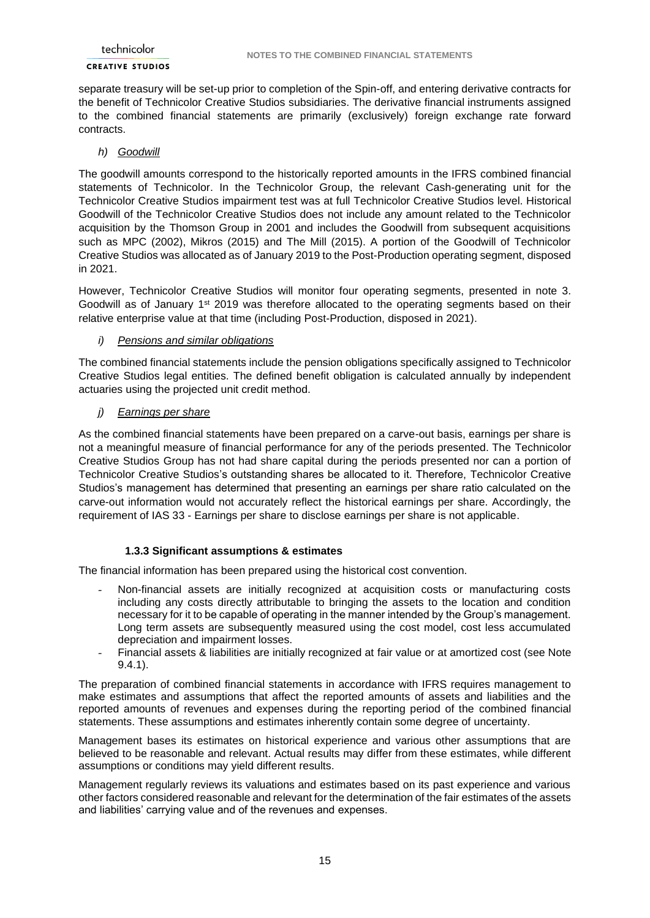separate treasury will be set-up prior to completion of the Spin-off, and entering derivative contracts for the benefit of Technicolor Creative Studios subsidiaries. The derivative financial instruments assigned to the combined financial statements are primarily (exclusively) foreign exchange rate forward contracts.

### *h) Goodwill*

The goodwill amounts correspond to the historically reported amounts in the IFRS combined financial statements of Technicolor. In the Technicolor Group, the relevant Cash-generating unit for the Technicolor Creative Studios impairment test was at full Technicolor Creative Studios level. Historical Goodwill of the Technicolor Creative Studios does not include any amount related to the Technicolor acquisition by the Thomson Group in 2001 and includes the Goodwill from subsequent acquisitions such as MPC (2002), Mikros (2015) and The Mill (2015). A portion of the Goodwill of Technicolor Creative Studios was allocated as of January 2019 to the Post-Production operating segment, disposed in 2021.

However, Technicolor Creative Studios will monitor four operating segments, presented in note 3. Goodwill as of January 1<sup>st</sup> 2019 was therefore allocated to the operating segments based on their relative enterprise value at that time (including Post-Production, disposed in 2021).

### *i) Pensions and similar obligations*

The combined financial statements include the pension obligations specifically assigned to Technicolor Creative Studios legal entities. The defined benefit obligation is calculated annually by independent actuaries using the projected unit credit method.

### *j) Earnings per share*

As the combined financial statements have been prepared on a carve-out basis, earnings per share is not a meaningful measure of financial performance for any of the periods presented. The Technicolor Creative Studios Group has not had share capital during the periods presented nor can a portion of Technicolor Creative Studios's outstanding shares be allocated to it. Therefore, Technicolor Creative Studios's management has determined that presenting an earnings per share ratio calculated on the carve-out information would not accurately reflect the historical earnings per share. Accordingly, the requirement of IAS 33 - Earnings per share to disclose earnings per share is not applicable.

### **1.3.3 Significant assumptions & estimates**

The financial information has been prepared using the historical cost convention.

- Non-financial assets are initially recognized at acquisition costs or manufacturing costs including any costs directly attributable to bringing the assets to the location and condition necessary for it to be capable of operating in the manner intended by the Group's management. Long term assets are subsequently measured using the cost model, cost less accumulated depreciation and impairment losses.
- Financial assets & liabilities are initially recognized at fair value or at amortized cost (see Note 9.4.1).

The preparation of combined financial statements in accordance with IFRS requires management to make estimates and assumptions that affect the reported amounts of assets and liabilities and the reported amounts of revenues and expenses during the reporting period of the combined financial statements. These assumptions and estimates inherently contain some degree of uncertainty.

Management bases its estimates on historical experience and various other assumptions that are believed to be reasonable and relevant. Actual results may differ from these estimates, while different assumptions or conditions may yield different results.

Management regularly reviews its valuations and estimates based on its past experience and various other factors considered reasonable and relevant for the determination of the fair estimates of the assets and liabilities' carrying value and of the revenues and expenses.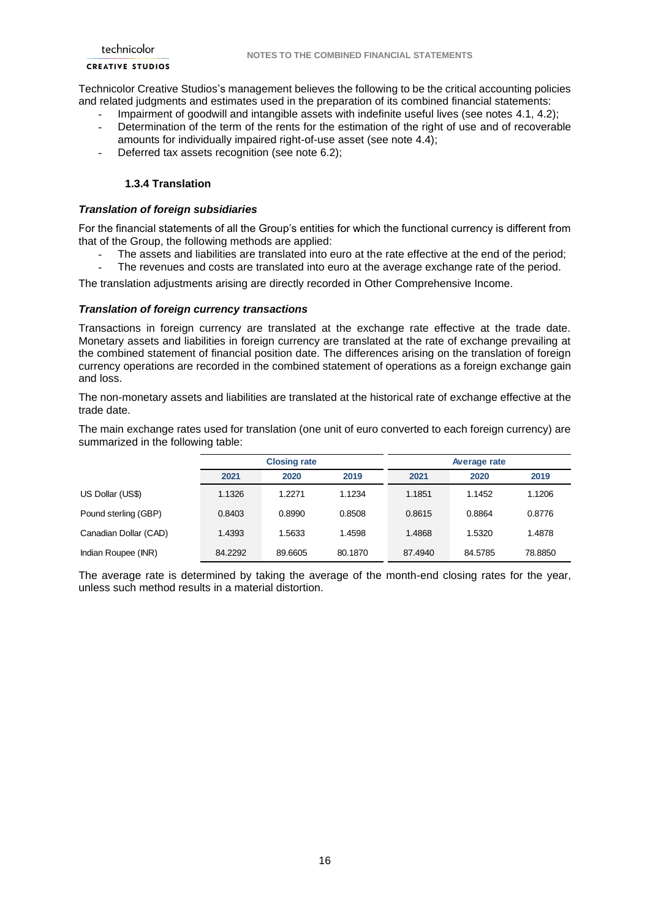#### **CREATIVE STUDIOS**

Technicolor Creative Studios's management believes the following to be the critical accounting policies and related judgments and estimates used in the preparation of its combined financial statements:

- Impairment of goodwill and intangible assets with indefinite useful lives (see notes 4.1, 4.2);
- Determination of the term of the rents for the estimation of the right of use and of recoverable amounts for individually impaired right-of-use asset (see note 4.4);
- Deferred tax assets recognition (see note 6.2);

### **1.3.4 Translation**

### *Translation of foreign subsidiaries*

For the financial statements of all the Group's entities for which the functional currency is different from that of the Group, the following methods are applied:

- The assets and liabilities are translated into euro at the rate effective at the end of the period;
- The revenues and costs are translated into euro at the average exchange rate of the period.

The translation adjustments arising are directly recorded in Other Comprehensive Income.

#### *Translation of foreign currency transactions*

Transactions in foreign currency are translated at the exchange rate effective at the trade date. Monetary assets and liabilities in foreign currency are translated at the rate of exchange prevailing at the combined statement of financial position date. The differences arising on the translation of foreign currency operations are recorded in the combined statement of operations as a foreign exchange gain and loss.

The non-monetary assets and liabilities are translated at the historical rate of exchange effective at the trade date.

The main exchange rates used for translation (one unit of euro converted to each foreign currency) are summarized in the following table:

|                       |         | <b>Closing rate</b> |         | Average rate |         |         |  |
|-----------------------|---------|---------------------|---------|--------------|---------|---------|--|
|                       | 2021    | 2020                | 2019    | 2021         | 2020    | 2019    |  |
| US Dollar (US\$)      | 1.1326  | 1.2271              | 1.1234  | 1.1851       | 1.1452  | 1.1206  |  |
| Pound sterling (GBP)  | 0.8403  | 0.8990              | 0.8508  | 0.8615       | 0.8864  | 0.8776  |  |
| Canadian Dollar (CAD) | 1.4393  | 1.5633              | 1.4598  | 1.4868       | 1.5320  | 1.4878  |  |
| Indian Roupee (INR)   | 84.2292 | 89.6605             | 80.1870 | 87.4940      | 84.5785 | 78.8850 |  |

The average rate is determined by taking the average of the month-end closing rates for the year, unless such method results in a material distortion.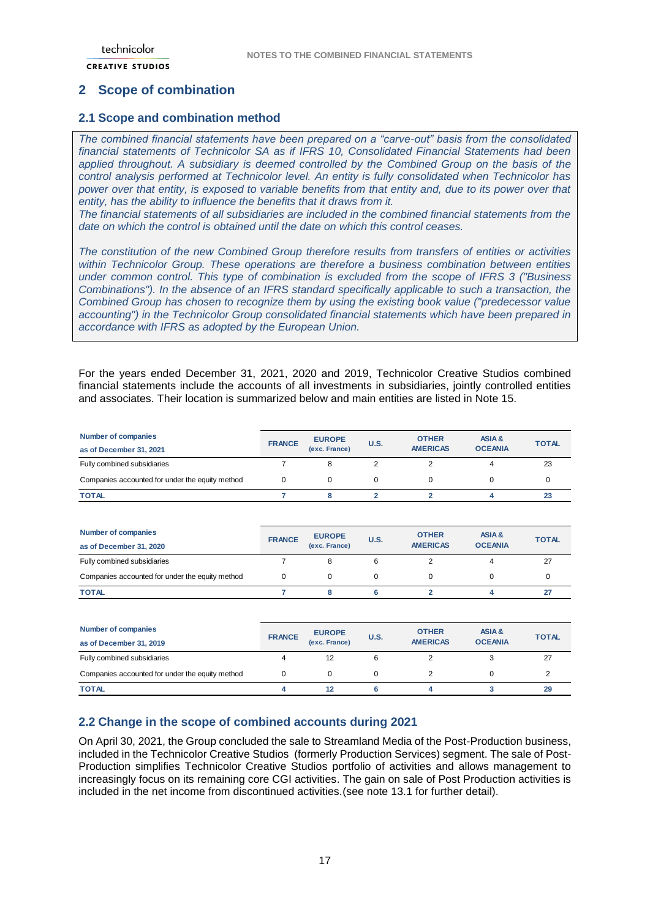## <span id="page-16-0"></span>**2 Scope of combination**

## <span id="page-16-1"></span>**2.1 Scope and combination method**

*The combined financial statements have been prepared on a "carve-out" basis from the consolidated financial statements of Technicolor SA as if IFRS 10, Consolidated Financial Statements had been applied throughout. A subsidiary is deemed controlled by the Combined Group on the basis of the control analysis performed at Technicolor level. An entity is fully consolidated when Technicolor has power over that entity, is exposed to variable benefits from that entity and, due to its power over that entity, has the ability to influence the benefits that it draws from it.*

*The financial statements of all subsidiaries are included in the combined financial statements from the date on which the control is obtained until the date on which this control ceases.*

*The constitution of the new Combined Group therefore results from transfers of entities or activities within Technicolor Group. These operations are therefore a business combination between entities under common control. This type of combination is excluded from the scope of IFRS 3 ("Business Combinations"). In the absence of an IFRS standard specifically applicable to such a transaction, the Combined Group has chosen to recognize them by using the existing book value ("predecessor value accounting") in the Technicolor Group consolidated financial statements which have been prepared in accordance with IFRS as adopted by the European Union.*

For the years ended December 31, 2021, 2020 and 2019, Technicolor Creative Studios combined financial statements include the accounts of all investments in subsidiaries, jointly controlled entities and associates. Their location is summarized below and main entities are listed in Note 15.

| Number of companies<br>as of December 31, 2021  | <b>FRANCE</b> | <b>EUROPE</b><br>(exc. France) | <b>U.S.</b> | <b>OTHER</b><br><b>AMERICAS</b> | ASIA&<br><b>OCEANIA</b> | <b>TOTAL</b> |
|-------------------------------------------------|---------------|--------------------------------|-------------|---------------------------------|-------------------------|--------------|
| Fully combined subsidiaries                     |               |                                |             |                                 | 4                       | 23           |
| Companies accounted for under the equity method |               |                                |             |                                 |                         |              |
| <b>TOTAL</b>                                    |               |                                |             |                                 |                         | 23           |

| <b>Number of companies</b><br>as of December 31, 2020 | <b>FRANCE</b> | <b>EUROPE</b><br>(exc. France) | <b>U.S.</b> | <b>OTHER</b><br><b>AMERICAS</b> | ASIA&<br><b>OCEANIA</b> | <b>TOTAL</b> |
|-------------------------------------------------------|---------------|--------------------------------|-------------|---------------------------------|-------------------------|--------------|
| Fully combined subsidiaries                           |               | 8                              |             |                                 | 4                       | 27           |
| Companies accounted for under the equity method       |               |                                |             |                                 |                         |              |
| <b>TOTAL</b>                                          |               |                                |             |                                 |                         |              |

| <b>Number of companies</b><br>as of December 31, 2019 | <b>FRANCE</b> | <b>EUROPE</b><br>(exc. France) | <b>U.S.</b> | <b>OTHER</b><br><b>AMERICAS</b> | ASIA&<br><b>OCEANIA</b> | <b>TOTAL</b> |
|-------------------------------------------------------|---------------|--------------------------------|-------------|---------------------------------|-------------------------|--------------|
| Fully combined subsidiaries                           |               | 12                             |             |                                 |                         | 27           |
| Companies accounted for under the equity method       |               |                                |             |                                 |                         |              |
| <b>TOTAL</b>                                          |               | 12                             |             |                                 |                         | 29           |

### <span id="page-16-2"></span>**2.2 Change in the scope of combined accounts during 2021**

On April 30, 2021, the Group concluded the sale to Streamland Media of the Post-Production business, included in the Technicolor Creative Studios (formerly Production Services) segment. The sale of Post-Production simplifies Technicolor Creative Studios portfolio of activities and allows management to increasingly focus on its remaining core CGI activities. The gain on sale of Post Production activities is included in the net income from discontinued activities.(see note 13.1 for further detail).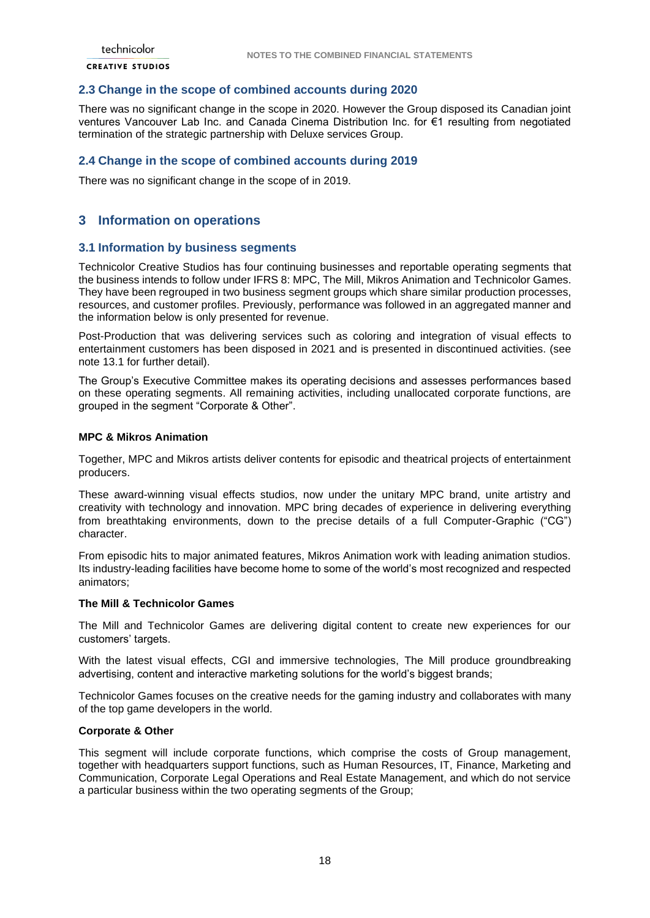### <span id="page-17-0"></span>**2.3 Change in the scope of combined accounts during 2020**

There was no significant change in the scope in 2020. However the Group disposed its Canadian joint ventures Vancouver Lab Inc. and Canada Cinema Distribution Inc. for €1 resulting from negotiated termination of the strategic partnership with Deluxe services Group.

### <span id="page-17-1"></span>**2.4 Change in the scope of combined accounts during 2019**

There was no significant change in the scope of in 2019.

## <span id="page-17-2"></span>**3 Information on operations**

#### <span id="page-17-3"></span>**3.1 Information by business segments**

Technicolor Creative Studios has four continuing businesses and reportable operating segments that the business intends to follow under IFRS 8: MPC, The Mill, Mikros Animation and Technicolor Games. They have been regrouped in two business segment groups which share similar production processes, resources, and customer profiles. Previously, performance was followed in an aggregated manner and the information below is only presented for revenue.

Post-Production that was delivering services such as coloring and integration of visual effects to entertainment customers has been disposed in 2021 and is presented in discontinued activities. (see note 13.1 for further detail).

The Group's Executive Committee makes its operating decisions and assesses performances based on these operating segments. All remaining activities, including unallocated corporate functions, are grouped in the segment "Corporate & Other".

#### **MPC & Mikros Animation**

Together, MPC and Mikros artists deliver contents for episodic and theatrical projects of entertainment producers.

These award-winning visual effects studios, now under the unitary MPC brand, unite artistry and creativity with technology and innovation. MPC bring decades of experience in delivering everything from breathtaking environments, down to the precise details of a full Computer-Graphic ("CG") character.

From episodic hits to major animated features, Mikros Animation work with leading animation studios. Its industry-leading facilities have become home to some of the world's most recognized and respected animators;

### **The Mill & Technicolor Games**

The Mill and Technicolor Games are delivering digital content to create new experiences for our customers' targets.

With the latest visual effects, CGI and immersive technologies, The Mill produce groundbreaking advertising, content and interactive marketing solutions for the world's biggest brands;

Technicolor Games focuses on the creative needs for the gaming industry and collaborates with many of the top game developers in the world.

#### **Corporate & Other**

This segment will include corporate functions, which comprise the costs of Group management, together with headquarters support functions, such as Human Resources, IT, Finance, Marketing and Communication, Corporate Legal Operations and Real Estate Management, and which do not service a particular business within the two operating segments of the Group;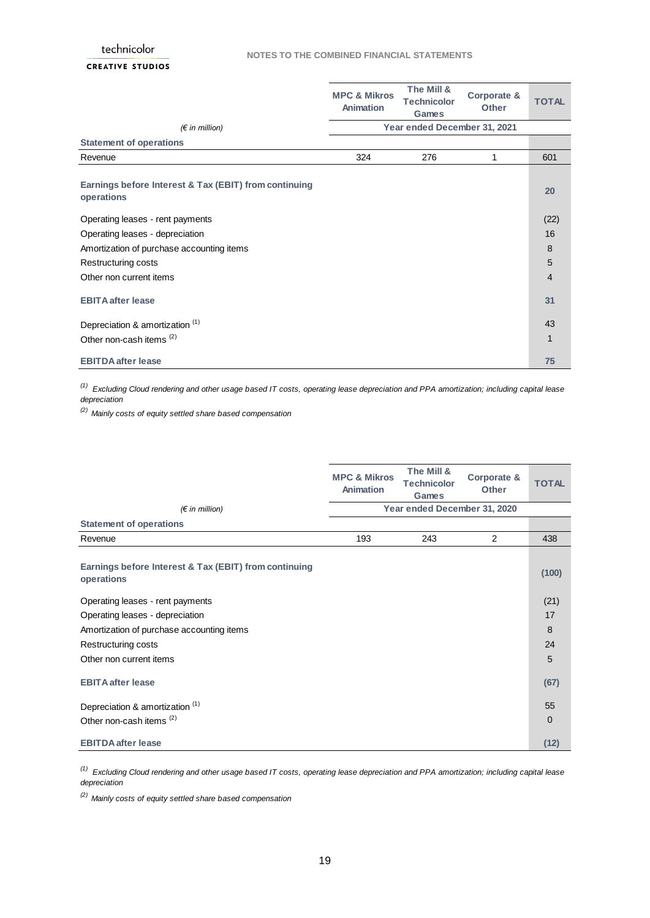|                                                                     | <b>MPC &amp; Mikros</b><br>Animation | The Mill &<br><b>Technicolor</b><br><b>Games</b> | Corporate &<br><b>Other</b> | <b>TOTAL</b>   |
|---------------------------------------------------------------------|--------------------------------------|--------------------------------------------------|-----------------------------|----------------|
| $(\epsilon$ in million)                                             |                                      | Year ended December 31, 2021                     |                             |                |
| <b>Statement of operations</b>                                      |                                      |                                                  |                             |                |
| Revenue                                                             | 324                                  | 276                                              | 1                           | 601            |
| Earnings before Interest & Tax (EBIT) from continuing<br>operations |                                      |                                                  |                             | 20             |
| Operating leases - rent payments                                    |                                      |                                                  |                             | (22)           |
| Operating leases - depreciation                                     |                                      |                                                  |                             | 16             |
| Amortization of purchase accounting items                           |                                      |                                                  |                             | 8              |
| Restructuring costs                                                 |                                      |                                                  |                             | $\overline{5}$ |
| Other non current items                                             |                                      |                                                  |                             | $\overline{4}$ |
| <b>EBITA after lease</b>                                            |                                      |                                                  |                             | 31             |
| Depreciation & amortization (1)                                     |                                      |                                                  |                             | 43             |
| Other non-cash items <sup>(2)</sup>                                 |                                      |                                                  |                             | 1              |
| <b>EBITDA</b> after lease                                           |                                      |                                                  |                             | 75             |

*(1) Excluding Cloud rendering and other usage based IT costs, operating lease depreciation and PPA amortization; including capital lease depreciation*

*(2) Mainly costs of equity settled share based compensation*

|                                                                     | <b>MPC &amp; Mikros</b><br>Animation | The Mill &<br><b>Technicolor</b><br><b>Games</b> | Corporate &<br><b>Other</b> | <b>TOTAL</b> |
|---------------------------------------------------------------------|--------------------------------------|--------------------------------------------------|-----------------------------|--------------|
| $(\epsilon$ in million)                                             |                                      | Year ended December 31, 2020                     |                             |              |
| <b>Statement of operations</b>                                      |                                      |                                                  |                             |              |
| Revenue                                                             | 193                                  | 243                                              | 2                           | 438          |
| Earnings before Interest & Tax (EBIT) from continuing<br>operations |                                      |                                                  |                             | (100)        |
| Operating leases - rent payments                                    |                                      |                                                  |                             | (21)         |
| Operating leases - depreciation                                     |                                      |                                                  |                             | 17           |
| Amortization of purchase accounting items                           |                                      |                                                  |                             | 8            |
| Restructuring costs                                                 |                                      |                                                  |                             | 24           |
| Other non current items                                             |                                      |                                                  |                             | 5            |
| <b>EBITA after lease</b>                                            |                                      |                                                  |                             | (67)         |
| Depreciation & amortization <sup>(1)</sup>                          |                                      |                                                  |                             | 55           |
| Other non-cash items <sup>(2)</sup>                                 |                                      |                                                  |                             | $\Omega$     |
| <b>EBITDA after lease</b>                                           |                                      |                                                  |                             | (12)         |

*(1) Excluding Cloud rendering and other usage based IT costs, operating lease depreciation and PPA amortization; including capital lease depreciation*

*(2) Mainly costs of equity settled share based compensation*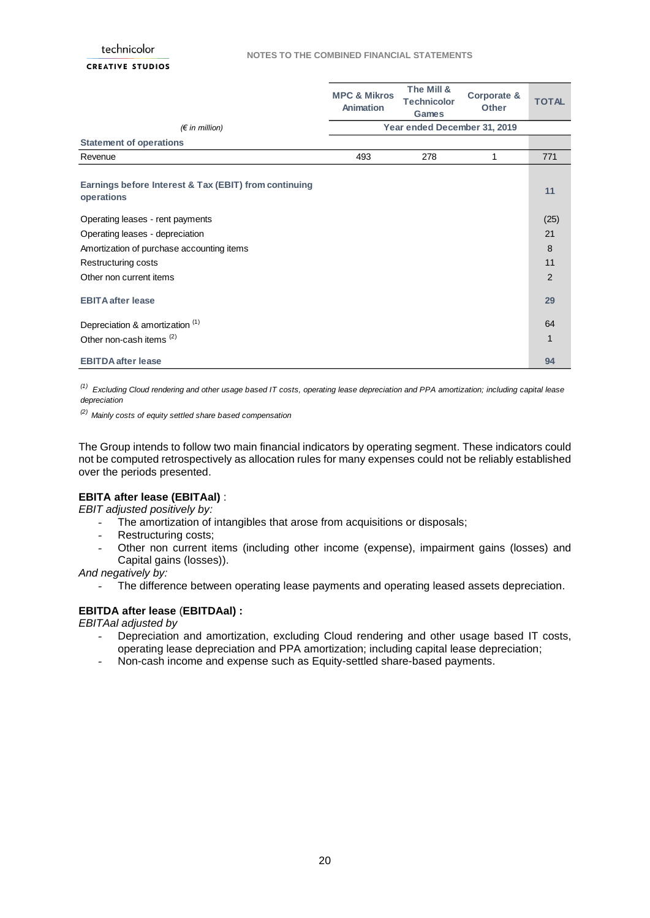|                                                                     | <b>MPC &amp; Mikros</b><br>Animation | The Mill &<br><b>Technicolor</b><br><b>Games</b> | Corporate &<br><b>Other</b> | <b>TOTAL</b>   |
|---------------------------------------------------------------------|--------------------------------------|--------------------------------------------------|-----------------------------|----------------|
| $(\epsilon$ in million)                                             |                                      | Year ended December 31, 2019                     |                             |                |
| <b>Statement of operations</b>                                      |                                      |                                                  |                             |                |
| Revenue                                                             | 493                                  | 278                                              | 1                           | 771            |
| Earnings before Interest & Tax (EBIT) from continuing<br>operations |                                      |                                                  |                             | 11             |
| Operating leases - rent payments                                    |                                      |                                                  |                             | (25)           |
| Operating leases - depreciation                                     |                                      |                                                  |                             | 21             |
| Amortization of purchase accounting items                           |                                      |                                                  |                             | 8              |
| Restructuring costs                                                 |                                      |                                                  |                             | 11             |
| Other non current items                                             |                                      |                                                  |                             | $\mathfrak{p}$ |
| <b>EBITA after lease</b>                                            |                                      |                                                  |                             | 29             |
| Depreciation & amortization (1)                                     |                                      |                                                  |                             | 64             |
| Other non-cash items <sup>(2)</sup>                                 |                                      |                                                  |                             | $\mathbf 1$    |
| <b>EBITDA after lease</b>                                           |                                      |                                                  |                             | 94             |

*(1) Excluding Cloud rendering and other usage based IT costs, operating lease depreciation and PPA amortization; including capital lease depreciation*

*(2) Mainly costs of equity settled share based compensation*

The Group intends to follow two main financial indicators by operating segment. These indicators could not be computed retrospectively as allocation rules for many expenses could not be reliably established over the periods presented.

#### **EBITA after lease (EBITAal)** :

*EBIT adjusted positively by:*

- The amortization of intangibles that arose from acquisitions or disposals;
- Restructuring costs;
- Other non current items (including other income (expense), impairment gains (losses) and Capital gains (losses)).

*And negatively by:*

The difference between operating lease payments and operating leased assets depreciation.

## **EBITDA after lease** (**EBITDAal) :**

*EBITAal adjusted by*

- Depreciation and amortization, excluding Cloud rendering and other usage based IT costs, operating lease depreciation and PPA amortization; including capital lease depreciation;
- Non-cash income and expense such as Equity-settled share-based payments.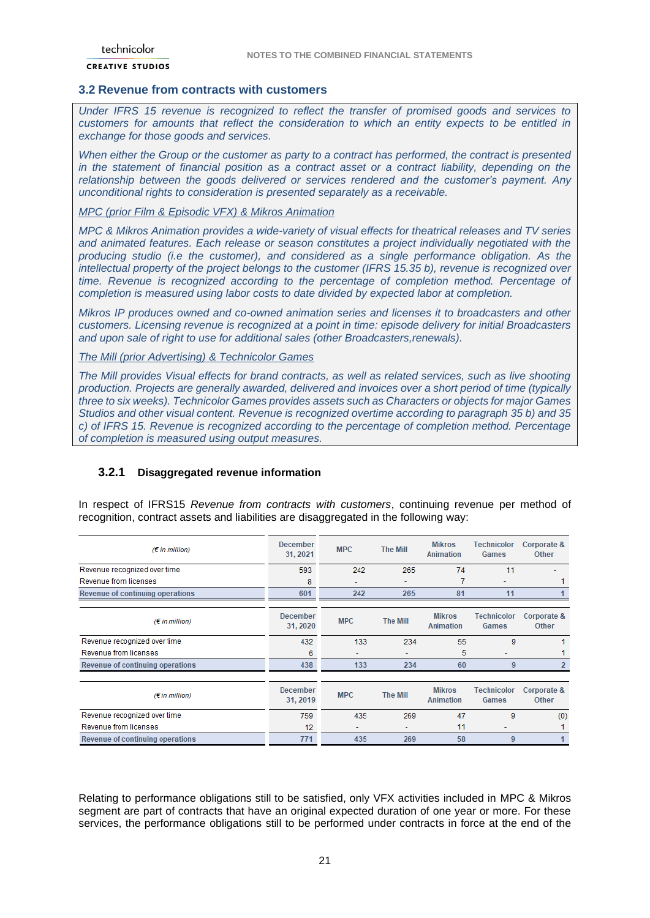## <span id="page-20-0"></span>**3.2 Revenue from contracts with customers**

*Under IFRS 15 revenue is recognized to reflect the transfer of promised goods and services to customers for amounts that reflect the consideration to which an entity expects to be entitled in exchange for those goods and services.* 

*When either the Group or the customer as party to a contract has performed, the contract is presented in the statement of financial position as a contract asset or a contract liability, depending on the relationship between the goods delivered or services rendered and the customer's payment. Any unconditional rights to consideration is presented separately as a receivable.*

### *MPC (prior Film & Episodic VFX) & Mikros Animation*

*MPC & Mikros Animation provides a wide-variety of visual effects for theatrical releases and TV series and animated features. Each release or season constitutes a project individually negotiated with the producing studio (i.e the customer), and considered as a single performance obligation. As the intellectual property of the project belongs to the customer (IFRS 15.35 b), revenue is recognized over time. Revenue is recognized according to the percentage of completion method. Percentage of completion is measured using labor costs to date divided by expected labor at completion.*

*Mikros IP produces owned and co-owned animation series and licenses it to broadcasters and other customers. Licensing revenue is recognized at a point in time: episode delivery for initial Broadcasters and upon sale of right to use for additional sales (other Broadcasters,renewals).*

*The Mill (prior Advertising) & Technicolor Games*

*The Mill provides Visual effects for brand contracts, as well as related services, such as live shooting production. Projects are generally awarded, delivered and invoices over a short period of time (typically three to six weeks). Technicolor Games provides assets such as Characters or objects for major Games Studios and other visual content. Revenue is recognized overtime according to paragraph 35 b) and 35 c) of IFRS 15. Revenue is recognized according to the percentage of completion method. Percentage of completion is measured using output measures.*

### **3.2.1 Disaggregated revenue information**

In respect of IFRS15 *Revenue from contracts with customers*, continuing revenue per method of recognition, contract assets and liabilities are disaggregated in the following way:

| $(E \text{ in million})$         | <b>December</b><br>31, 2021 | <b>MPC</b> | <b>The Mill</b> | <b>Mikros</b><br>Animation        | <b>Technicolor</b><br><b>Games</b> | Corporate &<br><b>Other</b> |
|----------------------------------|-----------------------------|------------|-----------------|-----------------------------------|------------------------------------|-----------------------------|
| Revenue recognized over time     | 593                         | 242        | 265             | 74                                | 11                                 |                             |
| Revenue from licenses            | 8                           | ۰          |                 |                                   |                                    |                             |
| Revenue of continuing operations | 601                         | 242        | 265             | 81                                | 11                                 |                             |
| $(\epsilon$ in million)          | <b>December</b><br>31, 2020 | <b>MPC</b> | <b>The Mill</b> | <b>Mikros</b><br><b>Animation</b> | Technicolor<br>Games               | Corporate &<br><b>Other</b> |
| Revenue recognized over time     | 432                         | 133        | 234             | 55                                | 9                                  |                             |
| Revenue from licenses            | 6                           | ۰          |                 | 5                                 |                                    |                             |
| Revenue of continuing operations | 438                         | 133        | 234             | 60                                | 9                                  |                             |
|                                  |                             |            |                 |                                   |                                    |                             |
| $(E \text{ in million})$         | <b>December</b><br>31, 2019 | <b>MPC</b> | <b>The Mill</b> | <b>Mikros</b><br>Animation        | <b>Technicolor</b><br><b>Games</b> | Corporate &<br><b>Other</b> |
| Revenue recognized over time     | 759                         | 435        | 269             | 47                                | 9                                  | (0)                         |
| Revenue from licenses            | 12                          | ۰          | ۰               | 11                                |                                    |                             |
| Revenue of continuing operations | 771                         | 435        | 269             | 58                                | 9                                  |                             |

Relating to performance obligations still to be satisfied, only VFX activities included in MPC & Mikros segment are part of contracts that have an original expected duration of one year or more. For these services, the performance obligations still to be performed under contracts in force at the end of the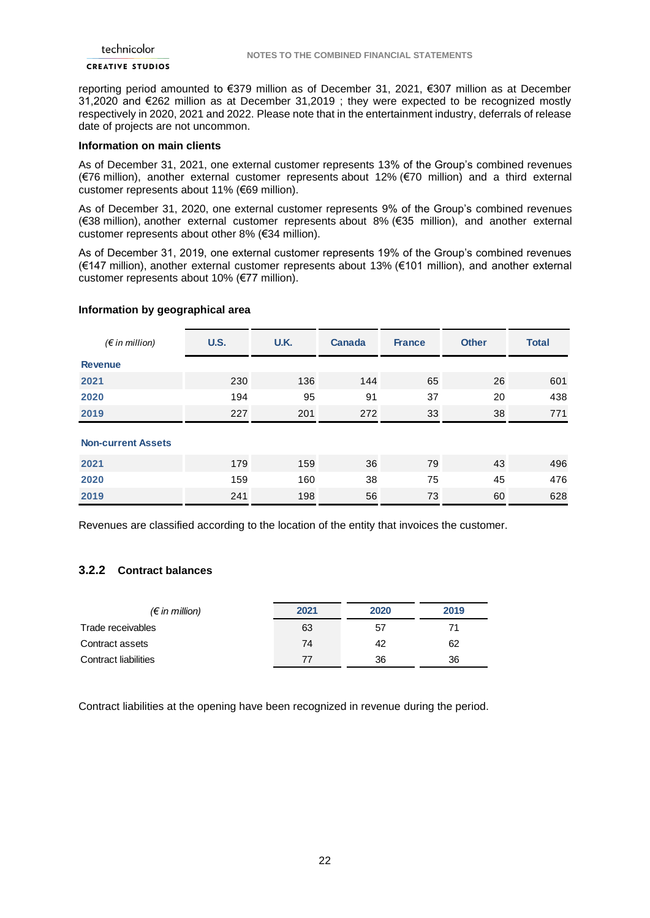reporting period amounted to €379 million as of December 31, 2021, €307 million as at December 31,2020 and €262 million as at December 31,2019 ; they were expected to be recognized mostly respectively in 2020, 2021 and 2022. Please note that in the entertainment industry, deferrals of release date of projects are not uncommon.

#### **Information on main clients**

As of December 31, 2021, one external customer represents 13% of the Group's combined revenues (€76 million), another external customer represents about 12% (€70 million) and a third external customer represents about 11% (€69 million).

As of December 31, 2020, one external customer represents 9% of the Group's combined revenues (€38 million), another external customer represents about 8% (€35 million), and another external customer represents about other 8% (€34 million).

As of December 31, 2019, one external customer represents 19% of the Group's combined revenues (€147 million), another external customer represents about 13% (€101 million), and another external customer represents about 10% (€77 million).

### **Information by geographical area**

| $(\epsilon$ in million)   | <b>U.S.</b> | U.K. | <b>Canada</b> | <b>France</b> | <b>Other</b> | <b>Total</b> |
|---------------------------|-------------|------|---------------|---------------|--------------|--------------|
| <b>Revenue</b>            |             |      |               |               |              |              |
| 2021                      | 230         | 136  | 144           | 65            | 26           | 601          |
| 2020                      | 194         | 95   | 91            | 37            | 20           | 438          |
| 2019                      | 227         | 201  | 272           | 33            | 38           | 771          |
| <b>Non-current Assets</b> |             |      |               |               |              |              |
| 2021                      | 179         | 159  | 36            | 79            | 43           | 496          |
| 2020                      | 159         | 160  | 38            | 75            | 45           | 476          |
| 2019                      | 241         | 198  | 56            | 73            | 60           | 628          |

Revenues are classified according to the location of the entity that invoices the customer.

### **3.2.2 Contract balances**

| $(\epsilon$ in million) | 2021 | 2020 | 2019 |
|-------------------------|------|------|------|
| Trade receivables       | 63   | 57   | 71   |
| Contract assets         | 74   | 42   | 62   |
| Contract liabilities    | 77   | 36   | 36   |

Contract liabilities at the opening have been recognized in revenue during the period.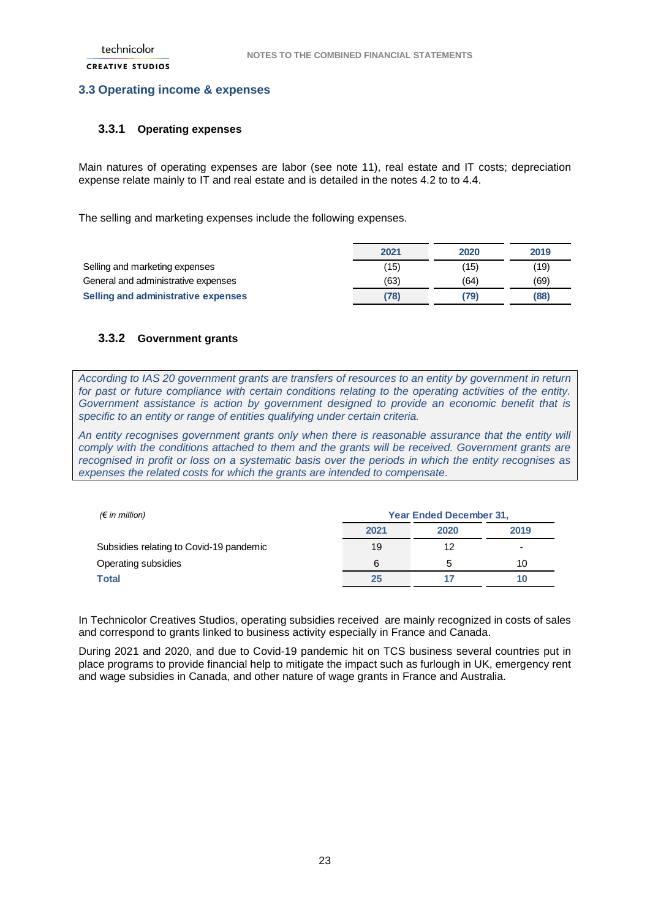### <span id="page-22-0"></span>**3.3 Operating income & expenses**

### **3.3.1 Operating expenses**

Main natures of operating expenses are labor (see note 11), real estate and IT costs; depreciation expense relate mainly to IT and real estate and is detailed in the notes 4.2 to to 4.4.

The selling and marketing expenses include the following expenses.

|                                     | 2021 | 2020 | 2019 |
|-------------------------------------|------|------|------|
| Selling and marketing expenses      | (15) | (15) | (19) |
| General and administrative expenses | (63) | (64) | (69) |
| Selling and administrative expenses | 78)  | (79) | (88) |

### **3.3.2 Government grants**

*According to IAS 20 government grants are transfers of resources to an entity by government in return for past or future compliance with certain conditions relating to the operating activities of the entity. Government assistance is action by government designed to provide an economic benefit that is specific to an entity or range of entities qualifying under certain criteria.*

*An entity recognises government grants only when there is reasonable assurance that the entity will comply with the conditions attached to them and the grants will be received. Government grants are recognised in profit or loss on a systematic basis over the periods in which the entity recognises as expenses the related costs for which the grants are intended to compensate.*

| $(\epsilon$ in million)                 | <b>Year Ended December 31,</b> |      |                          |
|-----------------------------------------|--------------------------------|------|--------------------------|
|                                         | 2021                           | 2020 | 2019                     |
| Subsidies relating to Covid-19 pandemic | 19                             | 12   | $\overline{\phantom{0}}$ |
| Operating subsidies                     | 6                              | 5    | 10                       |
| Total                                   | 25                             |      | 10                       |

In Technicolor Creatives Studios, operating subsidies received are mainly recognized in costs of sales and correspond to grants linked to business activity especially in France and Canada.

During 2021 and 2020, and due to Covid-19 pandemic hit on TCS business several countries put in place programs to provide financial help to mitigate the impact such as furlough in UK, emergency rent and wage subsidies in Canada, and other nature of wage grants in France and Australia.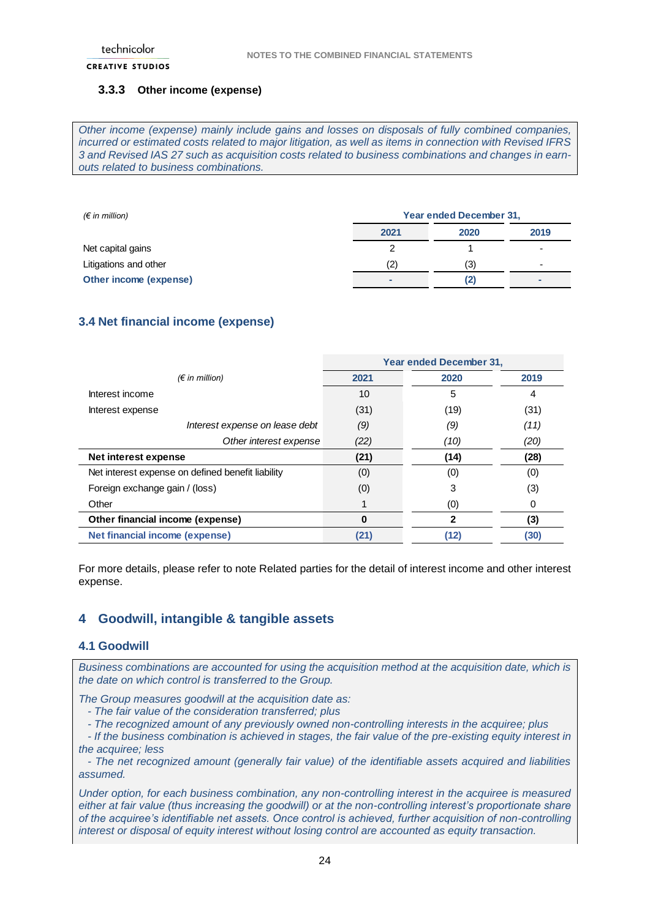### **3.3.3 Other income (expense)**

*Other income (expense) mainly include gains and losses on disposals of fully combined companies, incurred or estimated costs related to major litigation, as well as items in connection with Revised IFRS 3 and Revised IAS 27 such as acquisition costs related to business combinations and changes in earnouts related to business combinations.* 

| $(\epsilon$ in million) | Year ended December 31, |      |      |
|-------------------------|-------------------------|------|------|
|                         | 2021                    | 2020 | 2019 |
| Net capital gains       |                         |      | -    |
| Litigations and other   | (2)                     | (3)  | -    |
| Other income (expense)  |                         | (2)  |      |

## <span id="page-23-0"></span>**3.4 Net financial income (expense)**

|                                                   |          | Year ended December 31, |      |
|---------------------------------------------------|----------|-------------------------|------|
| $(\epsilon$ in million)                           | 2021     | 2020                    | 2019 |
| Interest income                                   | 10       | 5                       | 4    |
| Interest expense                                  | (31)     | (19)                    | (31) |
| Interest expense on lease debt                    | (9)      | (9)                     | (11) |
| Other interest expense                            | (22)     | (10)                    | (20) |
| Net interest expense                              | (21)     | (14)                    | (28) |
| Net interest expense on defined benefit liability | (0)      | (0)                     | (0)  |
| Foreign exchange gain / (loss)                    | (0)      | 3                       | (3)  |
| Other                                             |          | (0)                     | 0    |
| Other financial income (expense)                  | $\bf{0}$ | 2                       | (3)  |
| <b>Net financial income (expense)</b>             | (21)     | (12)                    | (30) |

For more details, please refer to note Related parties for the detail of interest income and other interest expense.

## <span id="page-23-1"></span>**4 Goodwill, intangible & tangible assets**

#### <span id="page-23-2"></span>**4.1 Goodwill**

*Business combinations are accounted for using the acquisition method at the acquisition date, which is the date on which control is transferred to the Group.*

*The Group measures goodwill at the acquisition date as:*

- *- The fair value of the consideration transferred; plus*
- *- The recognized amount of any previously owned non-controlling interests in the acquiree; plus*
- *- If the business combination is achieved in stages, the fair value of the pre-existing equity interest in the acquiree; less*
- *- The net recognized amount (generally fair value) of the identifiable assets acquired and liabilities assumed.*

*Under option, for each business combination, any non-controlling interest in the acquiree is measured either at fair value (thus increasing the goodwill) or at the non-controlling interest's proportionate share of the acquiree's identifiable net assets. Once control is achieved, further acquisition of non-controlling interest or disposal of equity interest without losing control are accounted as equity transaction.*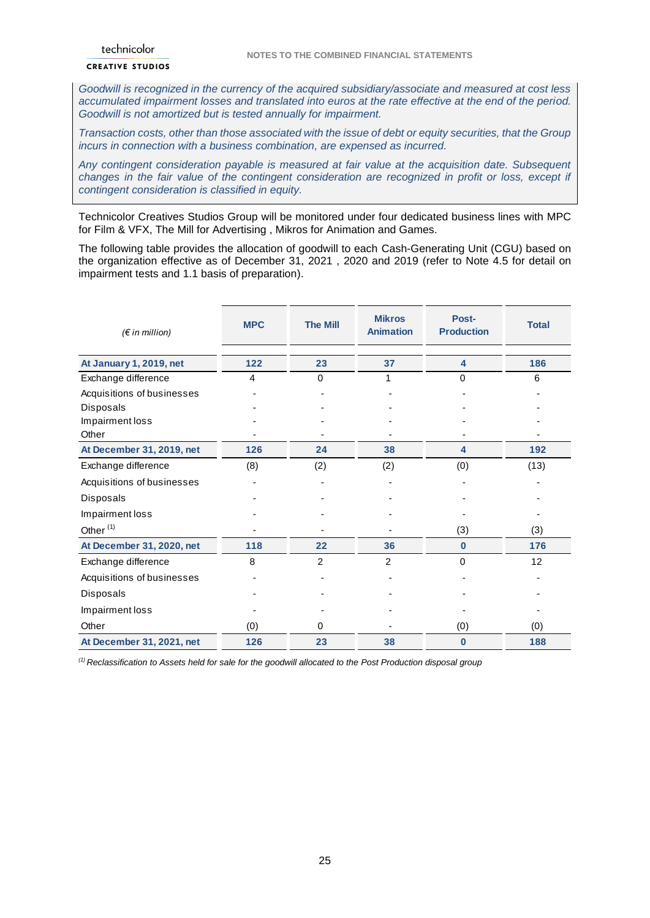*Goodwill is recognized in the currency of the acquired subsidiary/associate and measured at cost less accumulated impairment losses and translated into euros at the rate effective at the end of the period. Goodwill is not amortized but is tested annually for impairment.*

*Transaction costs, other than those associated with the issue of debt or equity securities, that the Group incurs in connection with a business combination, are expensed as incurred.*

*Any contingent consideration payable is measured at fair value at the acquisition date. Subsequent changes in the fair value of the contingent consideration are recognized in profit or loss, except if contingent consideration is classified in equity.* 

Technicolor Creatives Studios Group will be monitored under four dedicated business lines with MPC for Film & VFX, The Mill for Advertising , Mikros for Animation and Games.

The following table provides the allocation of goodwill to each Cash-Generating Unit (CGU) based on the organization effective as of December 31, 2021 , 2020 and 2019 (refer to Note 4.5 for detail on impairment tests and 1.1 basis of preparation).

| $(\epsilon$ in million)    | <b>MPC</b> | <b>The Mill</b> | <b>Mikros</b><br><b>Animation</b> | Post-<br><b>Production</b> | <b>Total</b> |
|----------------------------|------------|-----------------|-----------------------------------|----------------------------|--------------|
|                            |            |                 |                                   |                            |              |
| At January 1, 2019, net    | 122        | 23              | 37                                | 4                          | 186          |
| Exchange difference        | 4          | $\Omega$        |                                   | $\Omega$                   | 6            |
| Acquisitions of businesses |            |                 |                                   |                            |              |
| Disposals                  |            |                 |                                   |                            |              |
| Impairment loss            |            |                 |                                   |                            |              |
| Other                      |            |                 |                                   |                            |              |
| At December 31, 2019, net  | 126        | 24              | 38                                | $\overline{\mathbf{4}}$    | 192          |
| Exchange difference        | (8)        | (2)             | (2)                               | (0)                        | (13)         |
| Acquisitions of businesses |            |                 |                                   |                            |              |
| Disposals                  |            |                 |                                   |                            |              |
| Impairment loss            |            |                 |                                   |                            |              |
| Other <sup>(1)</sup>       |            |                 |                                   | (3)                        | (3)          |
| At December 31, 2020, net  | 118        | 22              | 36                                | $\bf{0}$                   | 176          |
| Exchange difference        | 8          | 2               | 2                                 | $\Omega$                   | 12           |
| Acquisitions of businesses |            |                 |                                   |                            |              |
| Disposals                  |            |                 |                                   |                            |              |
| Impairment loss            |            |                 |                                   |                            |              |
| Other                      | (0)        | 0               |                                   | (0)                        | (0)          |
| At December 31, 2021, net  | 126        | 23              | 38                                | $\bf{0}$                   | 188          |

*(1) Reclassification to Assets held for sale for the goodwill allocated to the Post Production disposal group*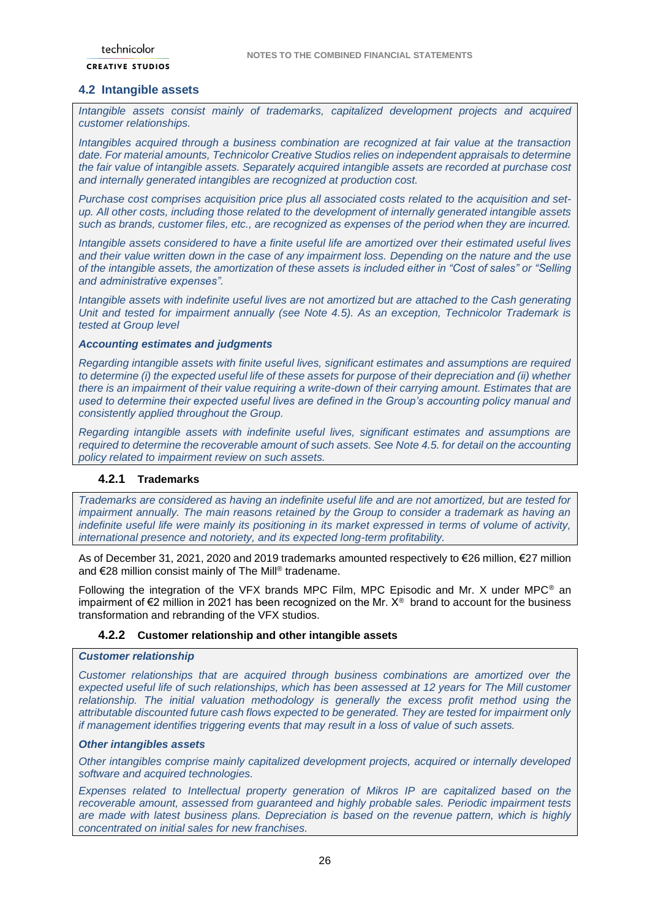### <span id="page-25-0"></span>**4.2 Intangible assets**

*Intangible assets consist mainly of trademarks, capitalized development projects and acquired customer relationships.* 

*Intangibles acquired through a business combination are recognized at fair value at the transaction date. For material amounts, Technicolor Creative Studios relies on independent appraisals to determine the fair value of intangible assets. Separately acquired intangible assets are recorded at purchase cost and internally generated intangibles are recognized at production cost.* 

*Purchase cost comprises acquisition price plus all associated costs related to the acquisition and setup. All other costs, including those related to the development of internally generated intangible assets such as brands, customer files, etc., are recognized as expenses of the period when they are incurred.* 

*Intangible assets considered to have a finite useful life are amortized over their estimated useful lives and their value written down in the case of any impairment loss. Depending on the nature and the use of the intangible assets, the amortization of these assets is included either in "Cost of sales" or "Selling and administrative expenses".*

*Intangible assets with indefinite useful lives are not amortized but are attached to the Cash generating Unit and tested for impairment annually (see Note 4.5). As an exception, Technicolor Trademark is tested at Group level*

#### *Accounting estimates and judgments*

*Regarding intangible assets with finite useful lives, significant estimates and assumptions are required to determine (i) the expected useful life of these assets for purpose of their depreciation and (ii) whether there is an impairment of their value requiring a write-down of their carrying amount. Estimates that are used to determine their expected useful lives are defined in the Group's accounting policy manual and consistently applied throughout the Group.*

*Regarding intangible assets with indefinite useful lives, significant estimates and assumptions are required to determine the recoverable amount of such assets. See Note 4.5. for detail on the accounting policy related to impairment review on such assets.*

### **4.2.1 Trademarks**

*Trademarks are considered as having an indefinite useful life and are not amortized, but are tested for impairment annually. The main reasons retained by the Group to consider a trademark as having an indefinite useful life were mainly its positioning in its market expressed in terms of volume of activity, international presence and notoriety, and its expected long-term profitability.* 

As of December 31, 2021, 2020 and 2019 trademarks amounted respectively to €26 million, €27 million and €28 million consist mainly of The Mill® tradename.

Following the integration of the VFX brands MPC Film, MPC Episodic and Mr. X under MPC® an impairment of  $\epsilon$ 2 million in 2021 has been recognized on the Mr.  $X^{\circ}$  brand to account for the business transformation and rebranding of the VFX studios.

#### **4.2.2 Customer relationship and other intangible assets**

### *Customer relationship*

*Customer relationships that are acquired through business combinations are amortized over the expected useful life of such relationships, which has been assessed at 12 years for The Mill customer relationship. The initial valuation methodology is generally the excess profit method using the attributable discounted future cash flows expected to be generated. They are tested for impairment only if management identifies triggering events that may result in a loss of value of such assets.*

### *Other intangibles assets*

*Other intangibles comprise mainly capitalized development projects, acquired or internally developed software and acquired technologies.*

*Expenses related to Intellectual property generation of Mikros IP are capitalized based on the recoverable amount, assessed from guaranteed and highly probable sales. Periodic impairment tests are made with latest business plans. Depreciation is based on the revenue pattern, which is highly concentrated on initial sales for new franchises.*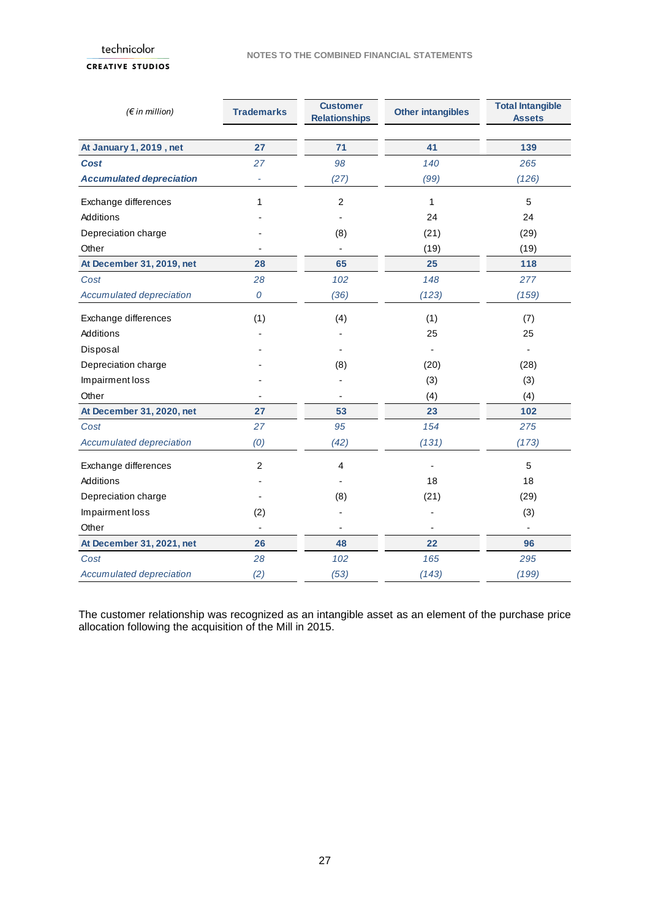## **CREATIVE STUDIOS**

| $(\epsilon$ in million)         | <b>Trademarks</b>        | <b>Customer</b><br><b>Relationships</b> | <b>Other intangibles</b> | <b>Total Intangible</b><br><b>Assets</b> |
|---------------------------------|--------------------------|-----------------------------------------|--------------------------|------------------------------------------|
|                                 |                          |                                         |                          |                                          |
| At January 1, 2019, net         | 27                       | 71                                      | 41                       | 139                                      |
| <b>Cost</b>                     | 27                       | 98                                      | 140                      | 265                                      |
| <b>Accumulated depreciation</b> | $\overline{\phantom{a}}$ | (27)                                    | (99)                     | (126)                                    |
| Exchange differences            | 1                        | $\overline{c}$                          | 1                        | 5                                        |
| Additions                       |                          |                                         | 24                       | 24                                       |
| Depreciation charge             |                          | (8)                                     | (21)                     | (29)                                     |
| Other                           |                          |                                         | (19)                     | (19)                                     |
| At December 31, 2019, net       | 28                       | 65                                      | 25                       | 118                                      |
| Cost                            | 28                       | 102                                     | 148                      | 277                                      |
| Accumulated depreciation        | 0                        | (36)                                    | (123)                    | (159)                                    |
| Exchange differences            | (1)                      | (4)                                     | (1)                      | (7)                                      |
| Additions                       |                          |                                         | 25                       | 25                                       |
| Disposal                        |                          |                                         |                          |                                          |
| Depreciation charge             |                          | (8)                                     | (20)                     | (28)                                     |
| Impairment loss                 |                          |                                         | (3)                      | (3)                                      |
| Other                           |                          |                                         | (4)                      | (4)                                      |
| At December 31, 2020, net       | 27                       | 53                                      | 23                       | 102                                      |
| Cost                            | 27                       | 95                                      | 154                      | 275                                      |
| Accumulated depreciation        | (0)                      | (42)                                    | (131)                    | (173)                                    |
| Exchange differences            | $\overline{c}$           | 4                                       |                          | 5                                        |
| Additions                       |                          |                                         | 18                       | 18                                       |
| Depreciation charge             |                          | (8)                                     | (21)                     | (29)                                     |
| Impairment loss                 | (2)                      |                                         |                          | (3)                                      |
| Other                           |                          |                                         |                          |                                          |
| At December 31, 2021, net       | 26                       | 48                                      | 22                       | 96                                       |
| Cost                            | 28                       | 102                                     | 165                      | 295                                      |
| Accumulated depreciation        | (2)                      | (53)                                    | (143)                    | (199)                                    |

The customer relationship was recognized as an intangible asset as an element of the purchase price allocation following the acquisition of the Mill in 2015.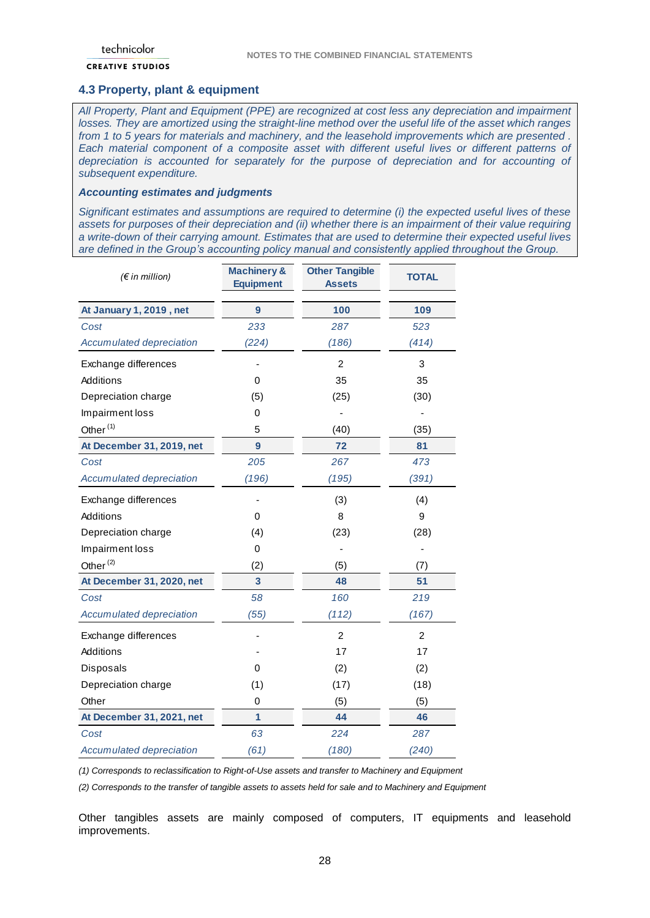### <span id="page-27-0"></span>**4.3 Property, plant & equipment**

*All Property, Plant and Equipment (PPE) are recognized at cost less any depreciation and impairment losses. They are amortized using the straight-line method over the useful life of the asset which ranges from 1 to 5 years for materials and machinery, and the leasehold improvements which are presented .*  Each material component of a composite asset with different useful lives or different patterns of *depreciation is accounted for separately for the purpose of depreciation and for accounting of subsequent expenditure.* 

#### *Accounting estimates and judgments*

*Significant estimates and assumptions are required to determine (i) the expected useful lives of these assets for purposes of their depreciation and (ii) whether there is an impairment of their value requiring a write-down of their carrying amount. Estimates that are used to determine their expected useful lives are defined in the Group's accounting policy manual and consistently applied throughout the Group.*

| $(\epsilon$ in million)   | <b>Machinery &amp;</b><br><b>Equipment</b> | <b>Other Tangible</b><br><b>Assets</b> | <b>TOTAL</b>   |
|---------------------------|--------------------------------------------|----------------------------------------|----------------|
| At January 1, 2019, net   | $\overline{9}$                             | 100                                    | 109            |
| Cost                      | 233                                        | 287                                    | 523            |
| Accumulated depreciation  | (224)                                      | (186)                                  | (414)          |
| Exchange differences      |                                            | $\overline{2}$                         | 3              |
| Additions                 | $\Omega$                                   | 35                                     | 35             |
| Depreciation charge       | (5)                                        | (25)                                   | (30)           |
| Impairment loss           | 0                                          |                                        |                |
| Other <sup>(1)</sup>      | 5                                          | (40)                                   | (35)           |
| At December 31, 2019, net | 9                                          | 72                                     | 81             |
| Cost                      | 205                                        | 267                                    | 473            |
| Accumulated depreciation  | (196)                                      | (195)                                  | (391)          |
| Exchange differences      |                                            | (3)                                    | (4)            |
| Additions                 | 0                                          | 8                                      | 9              |
| Depreciation charge       | (4)                                        | (23)                                   | (28)           |
| Impairment loss           | $\mathbf 0$                                |                                        |                |
| Other <sup>(2)</sup>      | (2)                                        | (5)                                    | (7)            |
| At December 31, 2020, net | $\overline{3}$                             | 48                                     | 51             |
| Cost                      | 58                                         | 160                                    | 219            |
| Accumulated depreciation  | (55)                                       | (112)                                  | (167)          |
| Exchange differences      |                                            | $\overline{c}$                         | $\overline{c}$ |
| Additions                 |                                            | 17                                     | 17             |
| <b>Disposals</b>          | 0                                          | (2)                                    | (2)            |
| Depreciation charge       | (1)                                        | (17)                                   | (18)           |
| Other                     | 0                                          | (5)                                    | (5)            |
| At December 31, 2021, net | 1                                          | 44                                     | 46             |
| Cost                      | 63                                         | 224                                    | 287            |
| Accumulated depreciation  | (61)                                       | (180)                                  | (240)          |

*(1) Corresponds to reclassification to Right-of-Use assets and transfer to Machinery and Equipment*

*(2) Corresponds to the transfer of tangible assets to assets held for sale and to Machinery and Equipment*

Other tangibles assets are mainly composed of computers, IT equipments and leasehold improvements.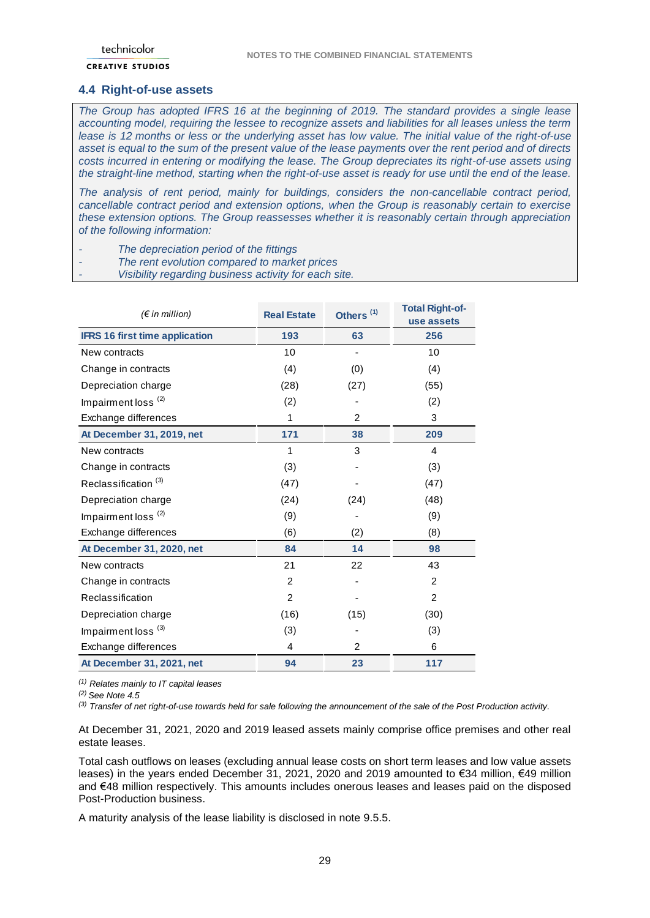#### <span id="page-28-0"></span>**4.4 Right-of-use assets**

*The Group has adopted IFRS 16 at the beginning of 2019. The standard provides a single lease accounting model, requiring the lessee to recognize assets and liabilities for all leases unless the term lease is 12 months or less or the underlying asset has low value. The initial value of the right-of-use asset is equal to the sum of the present value of the lease payments over the rent period and of directs costs incurred in entering or modifying the lease. The Group depreciates its right-of-use assets using the straight-line method, starting when the right-of-use asset is ready for use until the end of the lease.*

*The analysis of rent period, mainly for buildings, considers the non-cancellable contract period, cancellable contract period and extension options, when the Group is reasonably certain to exercise these extension options. The Group reassesses whether it is reasonably certain through appreciation of the following information:*

- *- The depreciation period of the fittings*
- *- The rent evolution compared to market prices*
- *- Visibility regarding business activity for each site.*

| $(\epsilon$ in million)               | <b>Real Estate</b> | Others <sup>(1)</sup> | <b>Total Right-of-</b><br>use assets |
|---------------------------------------|--------------------|-----------------------|--------------------------------------|
| <b>IFRS 16 first time application</b> | 193                | 63                    | 256                                  |
| New contracts                         | 10                 |                       | 10                                   |
| Change in contracts                   | (4)                | (0)                   | (4)                                  |
| Depreciation charge                   | (28)               | (27)                  | (55)                                 |
| Impairment loss <sup>(2)</sup>        | (2)                |                       | (2)                                  |
| Exchange differences                  | 1                  | 2                     | 3                                    |
| At December 31, 2019, net             | 171                | 38                    | 209                                  |
| New contracts                         | 1                  | 3                     | 4                                    |
| Change in contracts                   | (3)                |                       | (3)                                  |
| Reclassification <sup>(3)</sup>       | (47)               |                       | (47)                                 |
| Depreciation charge                   | (24)               | (24)                  | (48)                                 |
| Impairment loss <sup>(2)</sup>        | (9)                |                       | (9)                                  |
| Exchange differences                  | (6)                | (2)                   | (8)                                  |
| At December 31, 2020, net             | 84                 | 14                    | 98                                   |
| New contracts                         | 21                 | 22                    | 43                                   |
| Change in contracts                   | $\overline{2}$     |                       | $\overline{2}$                       |
| Reclassification                      | 2                  |                       | 2                                    |
| Depreciation charge                   | (16)               | (15)                  | (30)                                 |
| Impairment loss <sup>(3)</sup>        | (3)                |                       | (3)                                  |
| Exchange differences                  | 4                  | 2                     | 6                                    |
| At December 31, 2021, net             | 94                 | 23                    | 117                                  |

*(1) Relates mainly to IT capital leases*

*(2) See Note 4.5*

*(3) Transfer of net right-of-use towards held for sale following the announcement of the sale of the Post Production activity.*

At December 31, 2021, 2020 and 2019 leased assets mainly comprise office premises and other real estate leases.

Total cash outflows on leases (excluding annual lease costs on short term leases and low value assets leases) in the years ended December 31, 2021, 2020 and 2019 amounted to €34 million, €49 million and €48 million respectively. This amounts includes onerous leases and leases paid on the disposed Post-Production business.

A maturity analysis of the lease liability is disclosed in note 9.5.5.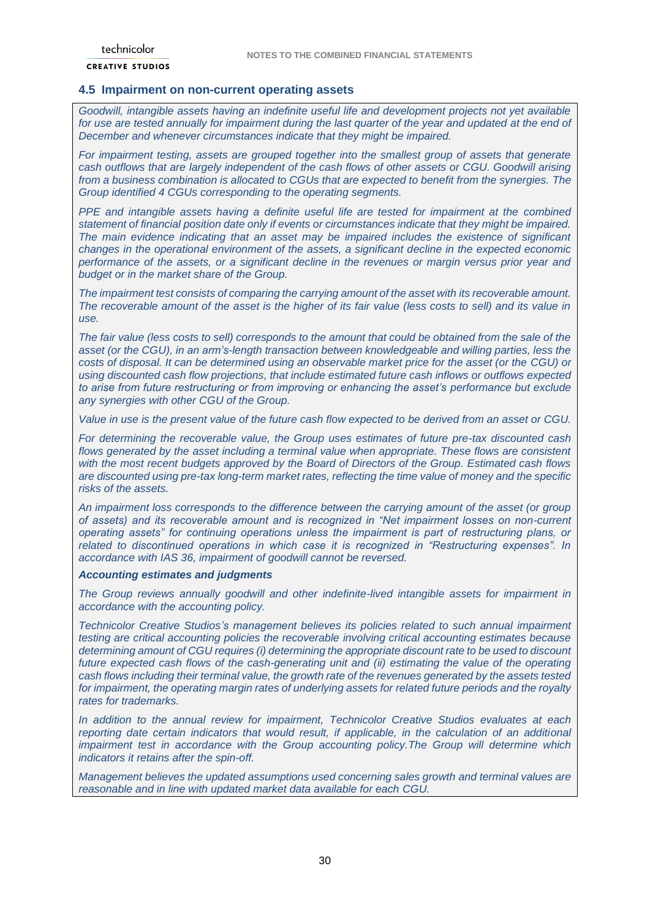### <span id="page-29-0"></span>**4.5 Impairment on non-current operating assets**

*Goodwill, intangible assets having an indefinite useful life and development projects not yet available for use are tested annually for impairment during the last quarter of the year and updated at the end of December and whenever circumstances indicate that they might be impaired.* 

*For impairment testing, assets are grouped together into the smallest group of assets that generate cash outflows that are largely independent of the cash flows of other assets or CGU. Goodwill arising from a business combination is allocated to CGUs that are expected to benefit from the synergies. The Group identified 4 CGUs corresponding to the operating segments.*

*PPE and intangible assets having a definite useful life are tested for impairment at the combined statement of financial position date only if events or circumstances indicate that they might be impaired. The main evidence indicating that an asset may be impaired includes the existence of significant changes in the operational environment of the assets, a significant decline in the expected economic performance of the assets, or a significant decline in the revenues or margin versus prior year and budget or in the market share of the Group.* 

*The impairment test consists of comparing the carrying amount of the asset with its recoverable amount. The recoverable amount of the asset is the higher of its fair value (less costs to sell) and its value in use.* 

*The fair value (less costs to sell) corresponds to the amount that could be obtained from the sale of the asset (or the CGU), in an arm's-length transaction between knowledgeable and willing parties, less the costs of disposal. It can be determined using an observable market price for the asset (or the CGU) or using discounted cash flow projections, that include estimated future cash inflows or outflows expected to arise from future restructuring or from improving or enhancing the asset's performance but exclude any synergies with other CGU of the Group.*

*Value in use is the present value of the future cash flow expected to be derived from an asset or CGU.* 

*For determining the recoverable value, the Group uses estimates of future pre-tax discounted cash flows generated by the asset including a terminal value when appropriate. These flows are consistent with the most recent budgets approved by the Board of Directors of the Group. Estimated cash flows are discounted using pre-tax long-term market rates, reflecting the time value of money and the specific risks of the assets.*

*An impairment loss corresponds to the difference between the carrying amount of the asset (or group of assets) and its recoverable amount and is recognized in "Net impairment losses on non-current operating assets" for continuing operations unless the impairment is part of restructuring plans, or related to discontinued operations in which case it is recognized in "Restructuring expenses". In accordance with IAS 36, impairment of goodwill cannot be reversed.*

#### *Accounting estimates and judgments*

*The Group reviews annually goodwill and other indefinite-lived intangible assets for impairment in accordance with the accounting policy.* 

*Technicolor Creative Studios's management believes its policies related to such annual impairment testing are critical accounting policies the recoverable involving critical accounting estimates because determining amount of CGU requires (i) determining the appropriate discount rate to be used to discount future expected cash flows of the cash-generating unit and (ii) estimating the value of the operating cash flows including their terminal value, the growth rate of the revenues generated by the assets tested for impairment, the operating margin rates of underlying assets for related future periods and the royalty rates for trademarks.*

*In addition to the annual review for impairment, Technicolor Creative Studios evaluates at each reporting date certain indicators that would result, if applicable, in the calculation of an additional impairment test in accordance with the Group accounting policy.The Group will determine which indicators it retains after the spin-off.*

*Management believes the updated assumptions used concerning sales growth and terminal values are reasonable and in line with updated market data available for each CGU.*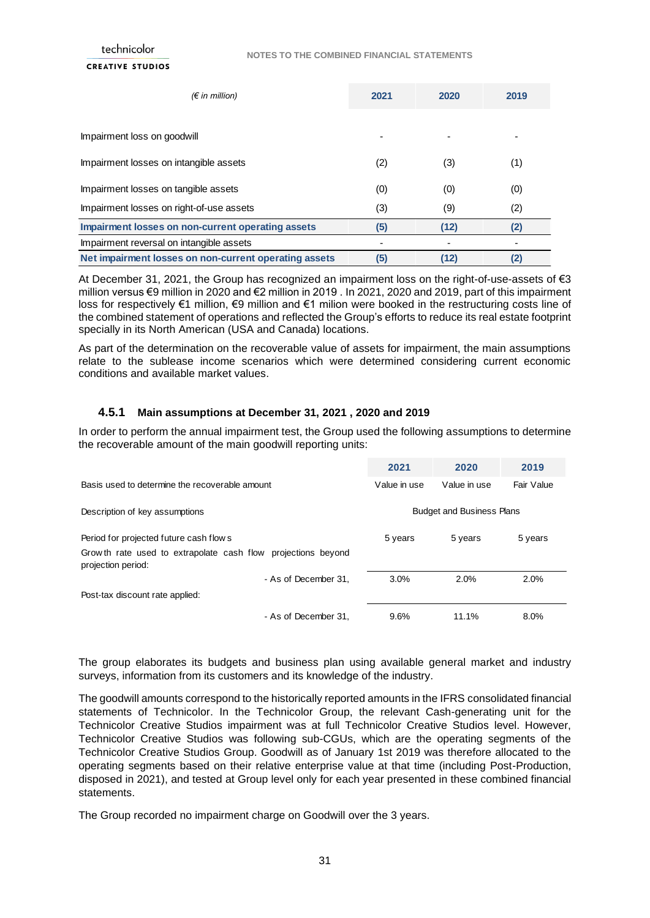| $(\epsilon$ in million)                               | 2021 | 2020 | 2019 |
|-------------------------------------------------------|------|------|------|
|                                                       |      |      |      |
| Impairment loss on goodwill                           |      |      |      |
| Impairment losses on intangible assets                | (2)  | (3)  | (1)  |
| Impairment losses on tangible assets                  | (0)  | (0)  | (0)  |
| Impairment losses on right-of-use assets              | (3)  | (9)  | (2)  |
| Impairment losses on non-current operating assets     | (5)  | (12) | (2)  |
| Impairment reversal on intangible assets              |      |      |      |
| Net impairment losses on non-current operating assets | (5)  | (12) | (2)  |

At December 31, 2021, the Group has recognized an impairment loss on the right-of-use-assets of €3 million versus €9 million in 2020 and €2 million in 2019 . In 2021, 2020 and 2019, part of this impairment loss for respectively €1 million, €9 million and €1 milion were booked in the restructuring costs line of the combined statement of operations and reflected the Group's efforts to reduce its real estate footprint specially in its North American (USA and Canada) locations.

As part of the determination on the recoverable value of assets for impairment, the main assumptions relate to the sublease income scenarios which were determined considering current economic conditions and available market values.

#### **4.5.1 Main assumptions at December 31, 2021 , 2020 and 2019**

In order to perform the annual impairment test, the Group used the following assumptions to determine the recoverable amount of the main goodwill reporting units:

|                                                                                     | 2021         | 2020                             | 2019       |
|-------------------------------------------------------------------------------------|--------------|----------------------------------|------------|
| Basis used to determine the recoverable amount                                      | Value in use | Value in use                     | Fair Value |
| Description of key assumptions                                                      |              | <b>Budget and Business Plans</b> |            |
| Period for projected future cash flow s                                             | 5 years      | 5 years                          | 5 years    |
| Grow th rate used to extrapolate cash flow projections beyond<br>projection period: |              |                                  |            |
| - As of December 31.                                                                | 3.0%         | 2.0%                             | 2.0%       |
| Post-tax discount rate applied:                                                     |              |                                  |            |
| - As of December 31.                                                                | 9.6%         | 11.1%                            | 8.0%       |

The group elaborates its budgets and business plan using available general market and industry surveys, information from its customers and its knowledge of the industry.

The goodwill amounts correspond to the historically reported amounts in the IFRS consolidated financial statements of Technicolor. In the Technicolor Group, the relevant Cash-generating unit for the Technicolor Creative Studios impairment was at full Technicolor Creative Studios level. However, Technicolor Creative Studios was following sub-CGUs, which are the operating segments of the Technicolor Creative Studios Group. Goodwill as of January 1st 2019 was therefore allocated to the operating segments based on their relative enterprise value at that time (including Post-Production, disposed in 2021), and tested at Group level only for each year presented in these combined financial statements.

The Group recorded no impairment charge on Goodwill over the 3 years.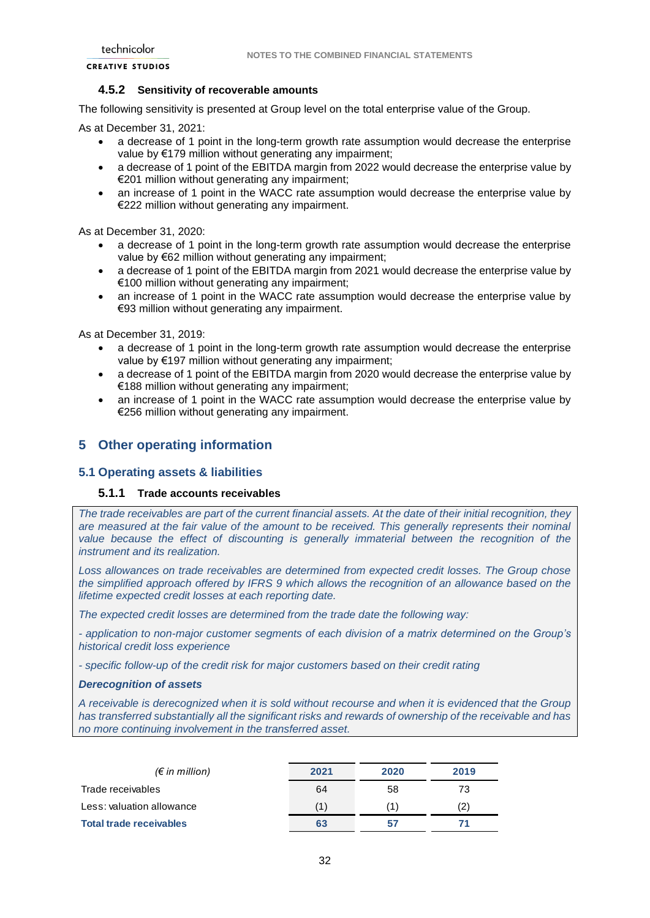#### **4.5.2 Sensitivity of recoverable amounts**

The following sensitivity is presented at Group level on the total enterprise value of the Group.

As at December 31, 2021:

- a decrease of 1 point in the long-term growth rate assumption would decrease the enterprise value by €179 million without generating any impairment;
- a decrease of 1 point of the EBITDA margin from 2022 would decrease the enterprise value by €201 million without generating any impairment;
- an increase of 1 point in the WACC rate assumption would decrease the enterprise value by €222 million without generating any impairment.

As at December 31, 2020:

- a decrease of 1 point in the long-term growth rate assumption would decrease the enterprise value by €62 million without generating any impairment;
- a decrease of 1 point of the EBITDA margin from 2021 would decrease the enterprise value by €100 million without generating any impairment;
- an increase of 1 point in the WACC rate assumption would decrease the enterprise value by €93 million without generating any impairment.

As at December 31, 2019:

- a decrease of 1 point in the long-term growth rate assumption would decrease the enterprise value by €197 million without generating any impairment;
- a decrease of 1 point of the EBITDA margin from 2020 would decrease the enterprise value by €188 million without generating any impairment;
- an increase of 1 point in the WACC rate assumption would decrease the enterprise value by €256 million without generating any impairment.

## <span id="page-31-0"></span>**5 Other operating information**

#### <span id="page-31-1"></span>**5.1 Operating assets & liabilities**

#### **5.1.1 Trade accounts receivables**

*The trade receivables are part of the current financial assets. At the date of their initial recognition, they are measured at the fair value of the amount to be received. This generally represents their nominal*  value because the effect of discounting is generally immaterial between the recognition of the *instrument and its realization.* 

*Loss allowances on trade receivables are determined from expected credit losses. The Group chose the simplified approach offered by IFRS 9 which allows the recognition of an allowance based on the lifetime expected credit losses at each reporting date.* 

*The expected credit losses are determined from the trade date the following way:*

*- application to non-major customer segments of each division of a matrix determined on the Group's historical credit loss experience* 

*- specific follow-up of the credit risk for major customers based on their credit rating* 

#### *Derecognition of assets*

*A receivable is derecognized when it is sold without recourse and when it is evidenced that the Group has transferred substantially all the significant risks and rewards of ownership of the receivable and has no more continuing involvement in the transferred asset.*

| $(\epsilon$ in million)        | 2021 | 2020 | 2019 |
|--------------------------------|------|------|------|
| Trade receivables              | 64   | 58   | 73   |
| Less: valuation allowance      |      | (1)  | (2)  |
| <b>Total trade receivables</b> | 63   | 57   |      |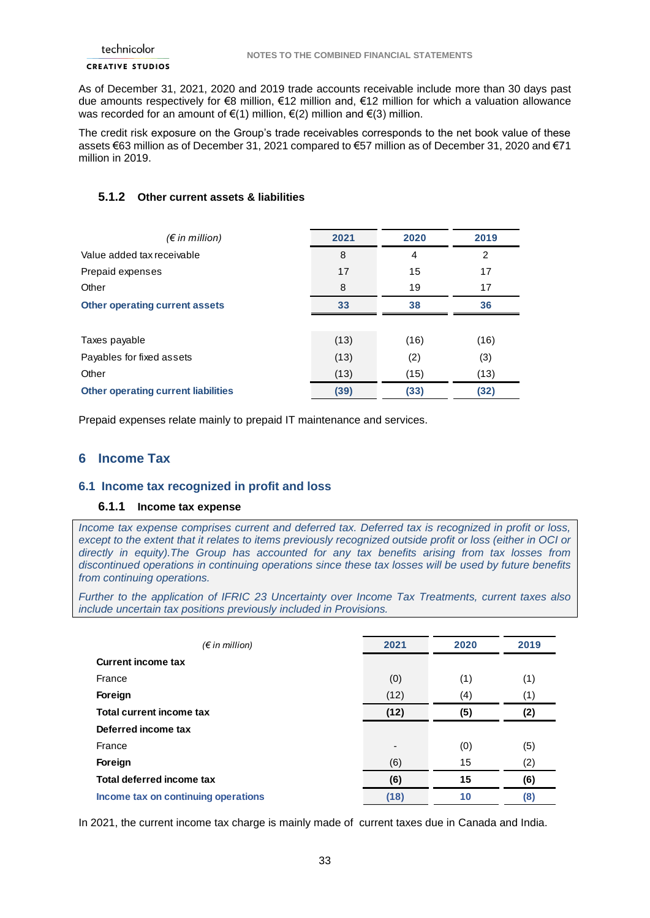As of December 31, 2021, 2020 and 2019 trade accounts receivable include more than 30 days past due amounts respectively for €8 million, €12 million and, €12 million for which a valuation allowance was recorded for an amount of  $\epsilon(1)$  million,  $\epsilon(2)$  million and  $\epsilon(3)$  million.

The credit risk exposure on the Group's trade receivables corresponds to the net book value of these assets €63 million as of December 31, 2021 compared to €57 million as of December 31, 2020 and €71 million in 2019.

## **5.1.2 Other current assets & liabilities**

| $(\epsilon$ in million)                    | 2021 | 2020           | 2019          |
|--------------------------------------------|------|----------------|---------------|
| Value added tax receivable                 | 8    | $\overline{4}$ | $\mathcal{P}$ |
| Prepaid expenses                           | 17   | 15             | 17            |
| Other                                      | 8    | 19             | 17            |
| <b>Other operating current assets</b>      | 33   | 38             | 36            |
|                                            |      |                |               |
| Taxes payable                              | (13) | (16)           | (16)          |
| Payables for fixed assets                  | (13) | (2)            | (3)           |
| Other                                      | (13) | (15)           | (13)          |
| <b>Other operating current liabilities</b> | (39) | (33)           | (32)          |

Prepaid expenses relate mainly to prepaid IT maintenance and services.

## <span id="page-32-0"></span>**6 Income Tax**

### <span id="page-32-1"></span>**6.1 Income tax recognized in profit and loss**

### **6.1.1 Income tax expense**

*Income tax expense comprises current and deferred tax. Deferred tax is recognized in profit or loss, except to the extent that it relates to items previously recognized outside profit or loss (either in OCI or directly in equity).The Group has accounted for any tax benefits arising from tax losses from discontinued operations in continuing operations since these tax losses will be used by future benefits from continuing operations.*

*Further to the application of IFRIC 23 Uncertainty over Income Tax Treatments, current taxes also include uncertain tax positions previously included in Provisions.* 

| $(\epsilon$ in million)             | 2021                     | 2020 | 2019 |
|-------------------------------------|--------------------------|------|------|
| <b>Current income tax</b>           |                          |      |      |
| France                              | (0)                      | (1)  | (1)  |
| Foreign                             | (12)                     | (4)  | (1)  |
| Total current income tax            | (12)                     | (5)  | (2)  |
| Deferred income tax                 |                          |      |      |
| France                              | $\overline{\phantom{0}}$ | (0)  | (5)  |
| Foreign                             | (6)                      | 15   | (2)  |
| Total deferred income tax           | (6)                      | 15   | (6)  |
| Income tax on continuing operations | (18)                     | 10   | (8)  |

In 2021, the current income tax charge is mainly made of current taxes due in Canada and India.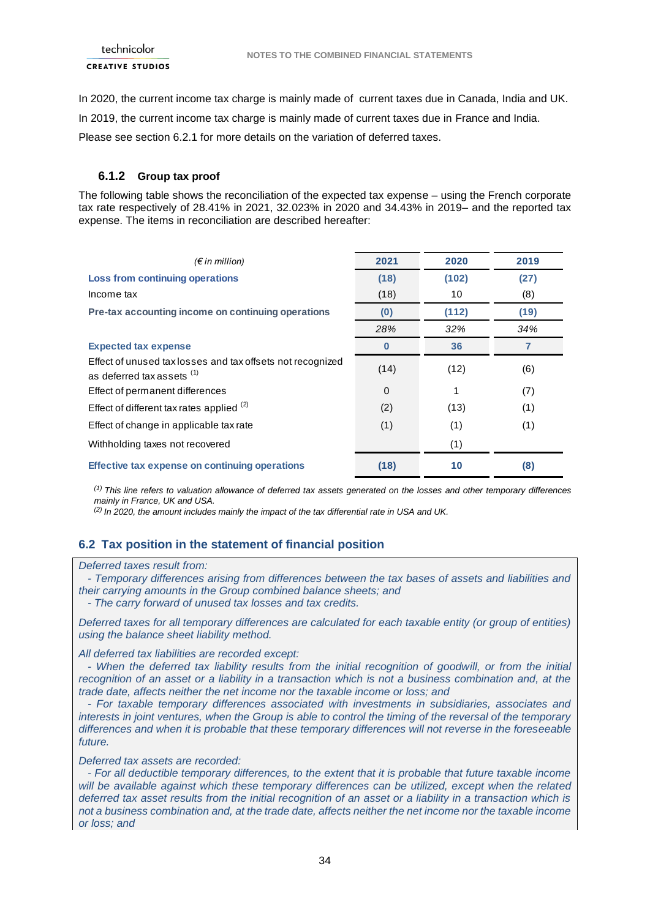In 2020, the current income tax charge is mainly made of current taxes due in Canada, India and UK. In 2019, the current income tax charge is mainly made of current taxes due in France and India.

Please see section 6.2.1 for more details on the variation of deferred taxes.

## **6.1.2 Group tax proof**

The following table shows the reconciliation of the expected tax expense – using the French corporate tax rate respectively of 28.41% in 2021, 32.023% in 2020 and 34.43% in 2019– and the reported tax expense. The items in reconciliation are described hereafter:

| (€ in million)                                                                           | 2021     | 2020  | 2019 |
|------------------------------------------------------------------------------------------|----------|-------|------|
|                                                                                          |          |       |      |
| Loss from continuing operations                                                          | (18)     | (102) | (27) |
| Income tax                                                                               | (18)     | 10    | (8)  |
| Pre-tax accounting income on continuing operations                                       | (0)      | (112) | (19) |
|                                                                                          | 28%      | 32%   | 34%  |
| <b>Expected tax expense</b>                                                              | O        | 36    |      |
| Effect of unused tax losses and tax offsets not recognized<br>as deferred tax assets (1) | (14)     | (12)  | (6)  |
| Effect of permanent differences                                                          | $\Omega$ | 1     | (7)  |
| Effect of different tax rates applied $(2)$                                              | (2)      | (13)  | (1)  |
| Effect of change in applicable tax rate                                                  | (1)      | (1)   | (1)  |
| Withholding taxes not recovered                                                          |          | (1)   |      |
| Effective tax expense on continuing operations                                           | (18)     | 10    | (8)  |

*(1) This line refers to valuation allowance of deferred tax assets generated on the losses and other temporary differences mainly in France, UK and USA.*

*(2) In 2020, the amount includes mainly the impact of the tax differential rate in USA and UK.*

## <span id="page-33-0"></span>**6.2 Tax position in the statement of financial position**

#### *Deferred taxes result from:*

 *- Temporary differences arising from differences between the tax bases of assets and liabilities and their carrying amounts in the Group combined balance sheets; and*

 *- The carry forward of unused tax losses and tax credits.* 

*Deferred taxes for all temporary differences are calculated for each taxable entity (or group of entities) using the balance sheet liability method.*

#### *All deferred tax liabilities are recorded except:*

 *- When the deferred tax liability results from the initial recognition of goodwill, or from the initial recognition of an asset or a liability in a transaction which is not a business combination and, at the trade date, affects neither the net income nor the taxable income or loss; and*

 *- For taxable temporary differences associated with investments in subsidiaries, associates and interests in joint ventures, when the Group is able to control the timing of the reversal of the temporary differences and when it is probable that these temporary differences will not reverse in the foreseeable future.* 

*Deferred tax assets are recorded:*

 *- For all deductible temporary differences, to the extent that it is probable that future taxable income will be available against which these temporary differences can be utilized, except when the related deferred tax asset results from the initial recognition of an asset or a liability in a transaction which is not a business combination and, at the trade date, affects neither the net income nor the taxable income or loss; and*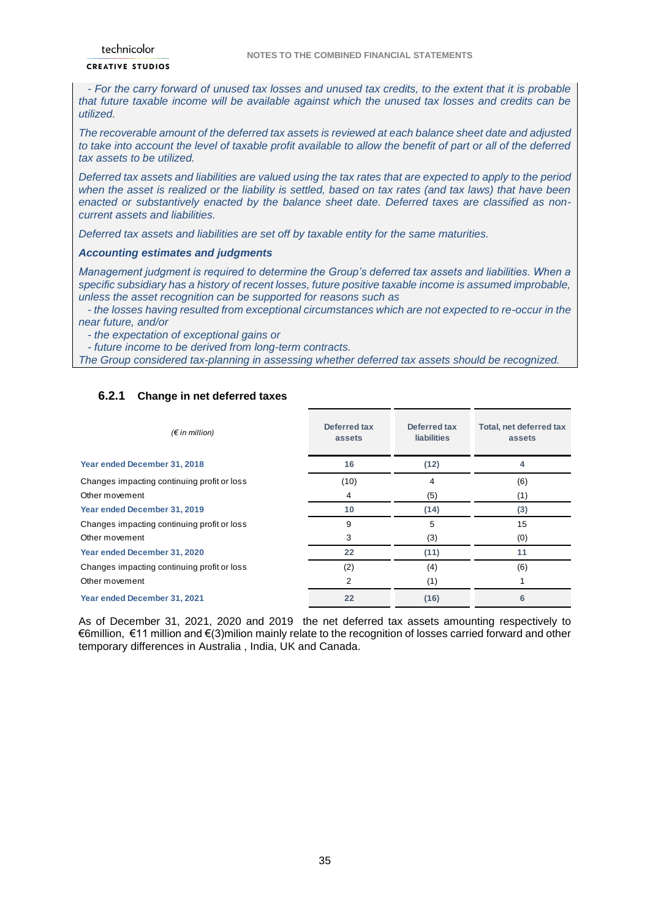#### **CREATIVE STUDIOS**

 *- For the carry forward of unused tax losses and unused tax credits, to the extent that it is probable that future taxable income will be available against which the unused tax losses and credits can be utilized.*

*The recoverable amount of the deferred tax assets is reviewed at each balance sheet date and adjusted to take into account the level of taxable profit available to allow the benefit of part or all of the deferred tax assets to be utilized.*

*Deferred tax assets and liabilities are valued using the tax rates that are expected to apply to the period when the asset is realized or the liability is settled, based on tax rates (and tax laws) that have been enacted or substantively enacted by the balance sheet date. Deferred taxes are classified as noncurrent assets and liabilities.*

*Deferred tax assets and liabilities are set off by taxable entity for the same maturities.*

#### *Accounting estimates and judgments*

*Management judgment is required to determine the Group's deferred tax assets and liabilities. When a specific subsidiary has a history of recent losses, future positive taxable income is assumed improbable, unless the asset recognition can be supported for reasons such as* 

 *- the losses having resulted from exceptional circumstances which are not expected to re-occur in the near future, and/or* 

 *- the expectation of exceptional gains or* 

 *- future income to be derived from long-term contracts.* 

*The Group considered tax-planning in assessing whether deferred tax assets should be recognized.*

### **6.2.1 Change in net deferred taxes**

| $(\epsilon$ in million)                     | Deferred tax<br>assets | Deferred tax<br><b>liabilities</b> | Total, net deferred tax<br>assets |
|---------------------------------------------|------------------------|------------------------------------|-----------------------------------|
| Year ended December 31, 2018                | 16                     | (12)                               |                                   |
| Changes impacting continuing profit or loss | (10)                   | 4                                  | (6)                               |
| Other movement                              | 4                      | (5)                                | (1)                               |
| Year ended December 31, 2019                | 10                     | (14)                               | (3)                               |
| Changes impacting continuing profit or loss | 9                      | 5                                  | 15                                |
| Other movement                              | 3                      | (3)                                | (0)                               |
| Year ended December 31, 2020                | 22                     | (11)                               | 11                                |
| Changes impacting continuing profit or loss | (2)                    | (4)                                | (6)                               |
| Other movement                              | 2                      | (1)                                |                                   |
| Year ended December 31, 2021                | 22                     | (16)                               | 6                                 |

As of December 31, 2021, 2020 and 2019 the net deferred tax assets amounting respectively to €6million, €11 million and €(3)milion mainly relate to the recognition of losses carried forward and other temporary differences in Australia , India, UK and Canada.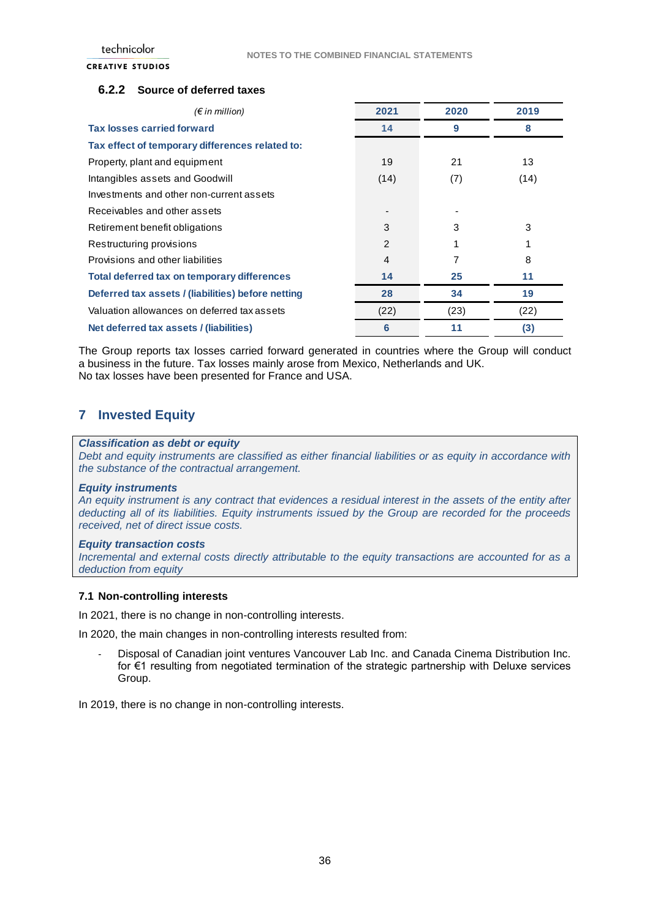### **6.2.2 Source of deferred taxes**

|      | 2019 |
|------|------|
| 9    | 8    |
|      |      |
| 21   | 13   |
| (7)  | (14) |
|      |      |
|      |      |
| 3    | 3    |
|      |      |
|      | 8    |
| 25   | 11   |
| 34   | 19   |
| (23) | (22) |
| 11   | (3)  |
|      | 2020 |

The Group reports tax losses carried forward generated in countries where the Group will conduct a business in the future. Tax losses mainly arose from Mexico, Netherlands and UK. No tax losses have been presented for France and USA.

## <span id="page-35-0"></span>**7 Invested Equity**

#### *Classification as debt or equity*

*Debt and equity instruments are classified as either financial liabilities or as equity in accordance with the substance of the contractual arrangement.*

#### *Equity instruments*

*An equity instrument is any contract that evidences a residual interest in the assets of the entity after deducting all of its liabilities. Equity instruments issued by the Group are recorded for the proceeds received, net of direct issue costs.*

#### *Equity transaction costs*

*Incremental and external costs directly attributable to the equity transactions are accounted for as a deduction from equity*

#### **7.1 Non-controlling interests**

In 2021, there is no change in non-controlling interests.

In 2020, the main changes in non-controlling interests resulted from:

- Disposal of Canadian joint ventures Vancouver Lab Inc. and Canada Cinema Distribution Inc. for €1 resulting from negotiated termination of the strategic partnership with Deluxe services Group.

In 2019, there is no change in non-controlling interests.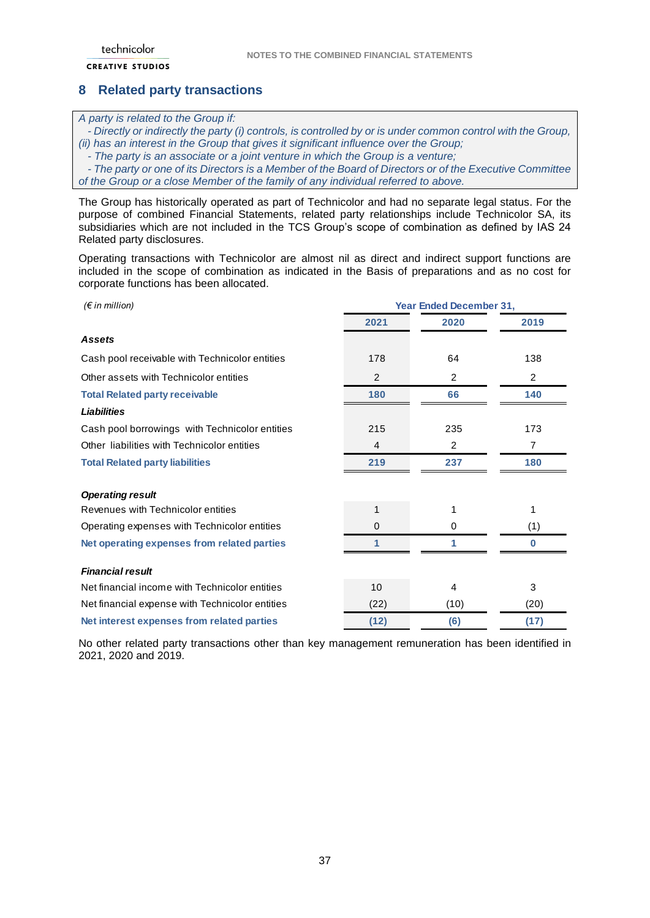## <span id="page-36-0"></span>**8 Related party transactions**

#### *A party is related to the Group if:*

 *- Directly or indirectly the party (i) controls, is controlled by or is under common control with the Group, (ii) has an interest in the Group that gives it significant influence over the Group;*

 *- The party is an associate or a joint venture in which the Group is a venture;*

 *- The party or one of its Directors is a Member of the Board of Directors or of the Executive Committee of the Group or a close Member of the family of any individual referred to above.*

The Group has historically operated as part of Technicolor and had no separate legal status. For the purpose of combined Financial Statements, related party relationships include Technicolor SA, its subsidiaries which are not included in the TCS Group's scope of combination as defined by IAS 24 Related party disclosures.

Operating transactions with Technicolor are almost nil as direct and indirect support functions are included in the scope of combination as indicated in the Basis of preparations and as no cost for corporate functions has been allocated.

| $(\epsilon$ in million)                         | <b>Year Ended December 31,</b> |                |                |
|-------------------------------------------------|--------------------------------|----------------|----------------|
|                                                 | 2021                           | 2020           | 2019           |
| Assets                                          |                                |                |                |
| Cash pool receivable with Technicolor entities  | 178                            | 64             | 138            |
| Other assets with Technicolor entities          | 2                              | 2              | $\overline{2}$ |
| <b>Total Related party receivable</b>           | 180                            | 66             | 140            |
| <b>Liabilities</b>                              |                                |                |                |
| Cash pool borrowings with Technicolor entities  | 215                            | 235            | 173            |
| Other liabilities with Technicolor entities     | 4                              | $\overline{2}$ | $\overline{7}$ |
| <b>Total Related party liabilities</b>          | 219                            | 237            | 180            |
| <b>Operating result</b>                         |                                |                |                |
| Revenues with Technicolor entities              | 1                              | 1              | 1              |
| Operating expenses with Technicolor entities    | 0                              | 0              | (1)            |
| Net operating expenses from related parties     | 1                              | 1              | 0              |
| <b>Financial result</b>                         |                                |                |                |
| Net financial income with Technicolor entities  | 10                             | $\overline{4}$ | 3              |
| Net financial expense with Technicolor entities | (22)                           | (10)           | (20)           |
| Net interest expenses from related parties      | (12)                           | (6)            | (17)           |

No other related party transactions other than key management remuneration has been identified in 2021, 2020 and 2019.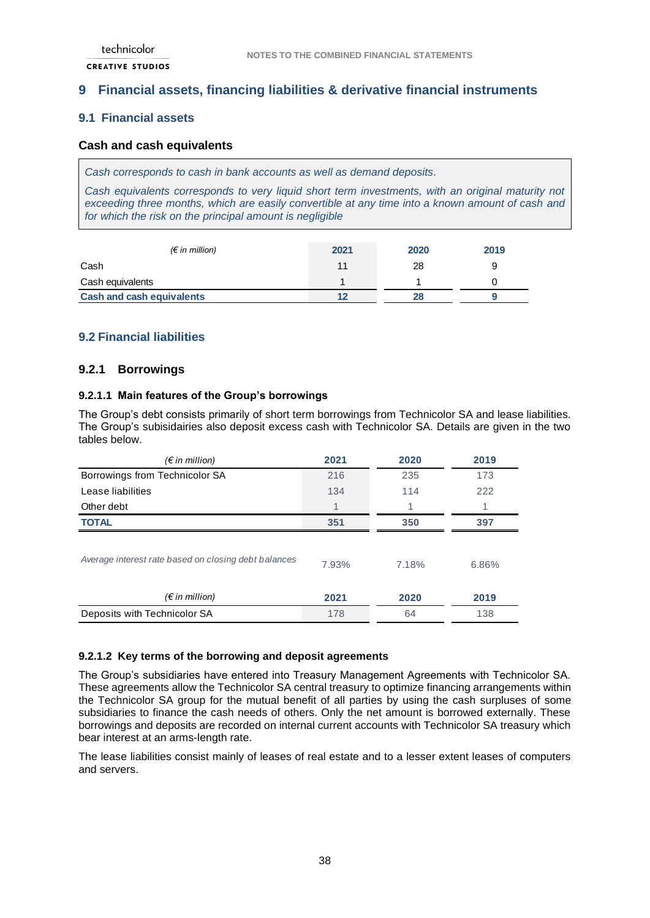## <span id="page-37-0"></span>**9 Financial assets, financing liabilities & derivative financial instruments**

## <span id="page-37-1"></span>**9.1 Financial assets**

### <span id="page-37-2"></span>**Cash and cash equivalents**

*Cash corresponds to cash in bank accounts as well as demand deposits.* 

*Cash equivalents corresponds to very liquid short term investments, with an original maturity not exceeding three months, which are easily convertible at any time into a known amount of cash and for which the risk on the principal amount is negligible*

| $(\epsilon$ in million)          | 2021 | 2020 | 2019 |
|----------------------------------|------|------|------|
| Cash                             | 11   | 28   |      |
| Cash equivalents                 |      |      |      |
| <b>Cash and cash equivalents</b> |      | 28   |      |

## <span id="page-37-3"></span>**9.2 Financial liabilities**

### <span id="page-37-4"></span>**9.2.1 Borrowings**

### **9.2.1.1 Main features of the Group's borrowings**

The Group's debt consists primarily of short term borrowings from Technicolor SA and lease liabilities. The Group's subisidairies also deposit excess cash with Technicolor SA. Details are given in the two tables below.

| $(\epsilon$ in million)                              | 2021  | 2020  | 2019  |
|------------------------------------------------------|-------|-------|-------|
| Borrowings from Technicolor SA                       | 216   | 235   | 173   |
| Lease liabilities                                    | 134   | 114   | 222   |
| Other debt                                           |       |       |       |
| <b>TOTAL</b>                                         | 351   | 350   | 397   |
| Average interest rate based on closing debt balances | 7.93% | 7.18% | 6.86% |
| $(\epsilon$ in million)                              | 2021  | 2020  | 2019  |
| Deposits with Technicolor SA                         | 178   | 64    | 138   |

### **9.2.1.2 Key terms of the borrowing and deposit agreements**

The Group's subsidiaries have entered into Treasury Management Agreements with Technicolor SA. These agreements allow the Technicolor SA central treasury to optimize financing arrangements within the Technicolor SA group for the mutual benefit of all parties by using the cash surpluses of some subsidiaries to finance the cash needs of others. Only the net amount is borrowed externally. These borrowings and deposits are recorded on internal current accounts with Technicolor SA treasury which bear interest at an arms-length rate.

The lease liabilities consist mainly of leases of real estate and to a lesser extent leases of computers and servers.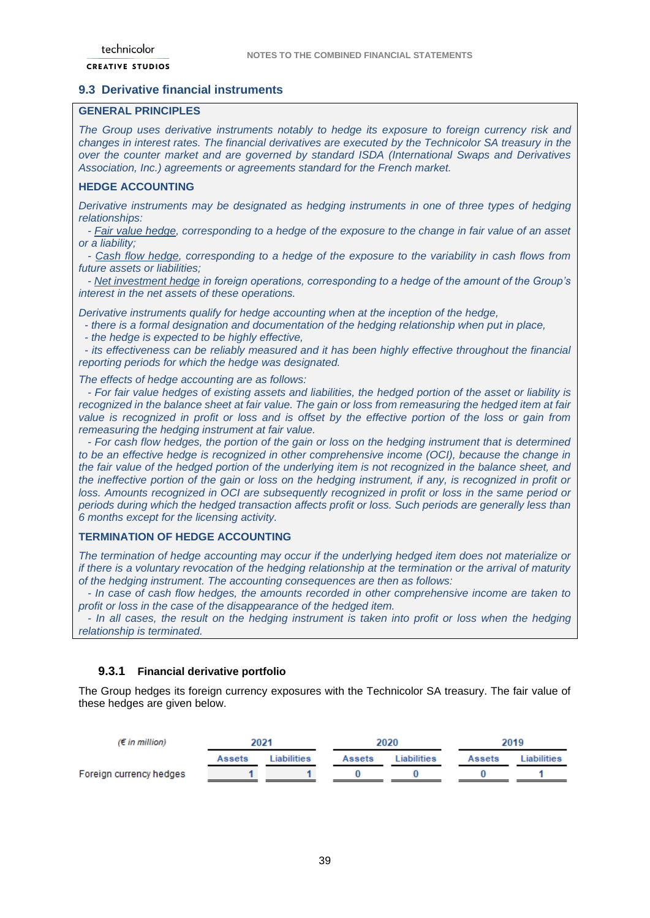### <span id="page-38-0"></span>**9.3 Derivative financial instruments**

### **GENERAL PRINCIPLES**

*The Group uses derivative instruments notably to hedge its exposure to foreign currency risk and changes in interest rates. The financial derivatives are executed by the Technicolor SA treasury in the over the counter market and are governed by standard ISDA (International Swaps and Derivatives Association, Inc.) agreements or agreements standard for the French market.*

### **HEDGE ACCOUNTING**

*Derivative instruments may be designated as hedging instruments in one of three types of hedging relationships:*

 *- Fair value hedge, corresponding to a hedge of the exposure to the change in fair value of an asset or a liability;*

 *- Cash flow hedge, corresponding to a hedge of the exposure to the variability in cash flows from future assets or liabilities;*

 *- Net investment hedge in foreign operations, corresponding to a hedge of the amount of the Group's interest in the net assets of these operations.*

*Derivative instruments qualify for hedge accounting when at the inception of the hedge,* 

 *- there is a formal designation and documentation of the hedging relationship when put in place,* 

 *- the hedge is expected to be highly effective,*

 *- its effectiveness can be reliably measured and it has been highly effective throughout the financial reporting periods for which the hedge was designated.*

*The effects of hedge accounting are as follows:*

 *- For fair value hedges of existing assets and liabilities, the hedged portion of the asset or liability is recognized in the balance sheet at fair value. The gain or loss from remeasuring the hedged item at fair value is recognized in profit or loss and is offset by the effective portion of the loss or gain from remeasuring the hedging instrument at fair value.*

 *- For cash flow hedges, the portion of the gain or loss on the hedging instrument that is determined to be an effective hedge is recognized in other comprehensive income (OCI), because the change in the fair value of the hedged portion of the underlying item is not recognized in the balance sheet, and the ineffective portion of the gain or loss on the hedging instrument, if any, is recognized in profit or loss. Amounts recognized in OCI are subsequently recognized in profit or loss in the same period or periods during which the hedged transaction affects profit or loss. Such periods are generally less than 6 months except for the licensing activity.*

### **TERMINATION OF HEDGE ACCOUNTING**

*The termination of hedge accounting may occur if the underlying hedged item does not materialize or if there is a voluntary revocation of the hedging relationship at the termination or the arrival of maturity of the hedging instrument. The accounting consequences are then as follows:*

 *- In case of cash flow hedges, the amounts recorded in other comprehensive income are taken to profit or loss in the case of the disappearance of the hedged item.* 

 *- In all cases, the result on the hedging instrument is taken into profit or loss when the hedging relationship is terminated.*

### **9.3.1 Financial derivative portfolio**

The Group hedges its foreign currency exposures with the Technicolor SA treasury. The fair value of these hedges are given below.

| $(\epsilon$ in million) |               | 2021       |               | 2020<br>2019 |               |            |
|-------------------------|---------------|------------|---------------|--------------|---------------|------------|
|                         | <b>Assets</b> | iabilities | <b>Assets</b> | I iabilities | <b>Assets</b> | iabilities |
| Foreign currency hedges |               |            |               |              |               |            |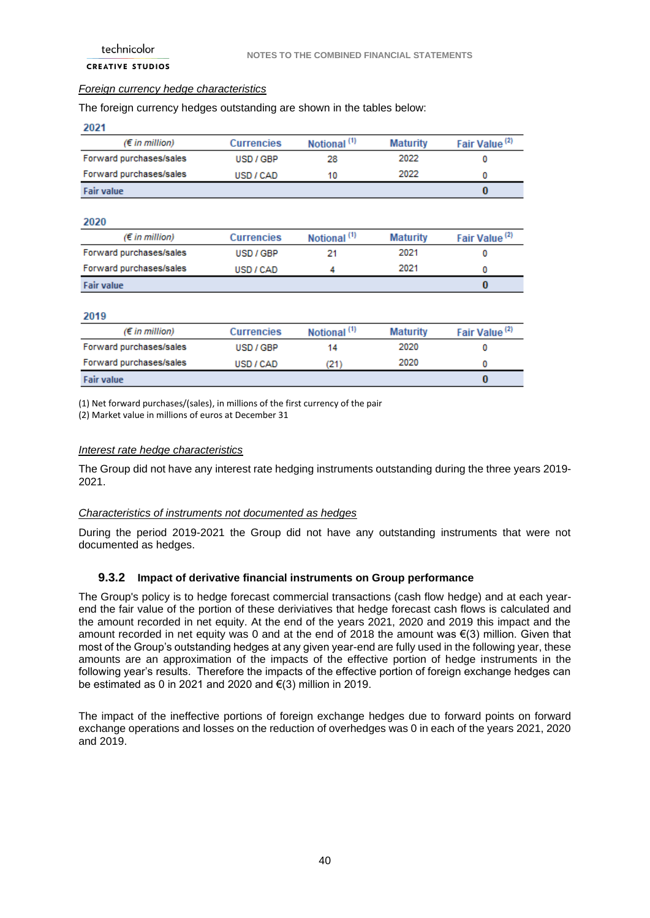#### *Foreign currency hedge characteristics*

### The foreign currency hedges outstanding are shown in the tables below:

| 2021                     |                   |                         |                 |                           |
|--------------------------|-------------------|-------------------------|-----------------|---------------------------|
| (€ in million)           | <b>Currencies</b> | Notional <sup>(1)</sup> | <b>Maturity</b> | Fair Value <sup>(2)</sup> |
| Forward purchases/sales  | USD / GBP         | 28                      | 2022            | 0                         |
| Forward purchases/sales  | USD / CAD         | 10                      | 2022            | 0                         |
| <b>Fair value</b>        |                   |                         |                 | $\bf{0}$                  |
| 2020                     |                   |                         |                 |                           |
| $(E \text{ in million})$ | <b>Currencies</b> | Notional <sup>(1)</sup> | <b>Maturity</b> | Fair Value <sup>(2)</sup> |
| Forward purchases/sales  | USD / GBP         | 21                      | 2021            | 0                         |
| Forward purchases/sales  | USD / CAD         | 4                       | 2021            | 0                         |
| <b>Fair value</b>        |                   |                         |                 | $\bf{0}$                  |
| 2019                     |                   |                         |                 |                           |
| $(E \text{ in million})$ | <b>Currencies</b> | Notional <sup>(1)</sup> | <b>Maturity</b> | Fair Value <sup>(2)</sup> |
| Forward purchases/sales  | USD / GBP         | 14                      | 2020            | 0                         |
| Forward purchases/sales  | USD / CAD         | (21)                    | 2020            | 0                         |
| <b>Fair value</b>        |                   |                         |                 | $\bf{0}$                  |

(1) Net forward purchases/(sales), in millions of the first currency of the pair

(2) Market value in millions of euros at December 31

#### *Interest rate hedge characteristics*

The Group did not have any interest rate hedging instruments outstanding during the three years 2019- 2021.

### *Characteristics of instruments not documented as hedges*

During the period 2019-2021 the Group did not have any outstanding instruments that were not documented as hedges.

### **9.3.2 Impact of derivative financial instruments on Group performance**

The Group's policy is to hedge forecast commercial transactions (cash flow hedge) and at each yearend the fair value of the portion of these deriviatives that hedge forecast cash flows is calculated and the amount recorded in net equity. At the end of the years 2021, 2020 and 2019 this impact and the amount recorded in net equity was 0 and at the end of 2018 the amount was €(3) million. Given that most of the Group's outstanding hedges at any given year-end are fully used in the following year, these amounts are an approximation of the impacts of the effective portion of hedge instruments in the following year's results. Therefore the impacts of the effective portion of foreign exchange hedges can be estimated as 0 in 2021 and 2020 and €(3) million in 2019.

The impact of the ineffective portions of foreign exchange hedges due to forward points on forward exchange operations and losses on the reduction of overhedges was 0 in each of the years 2021, 2020 and 2019.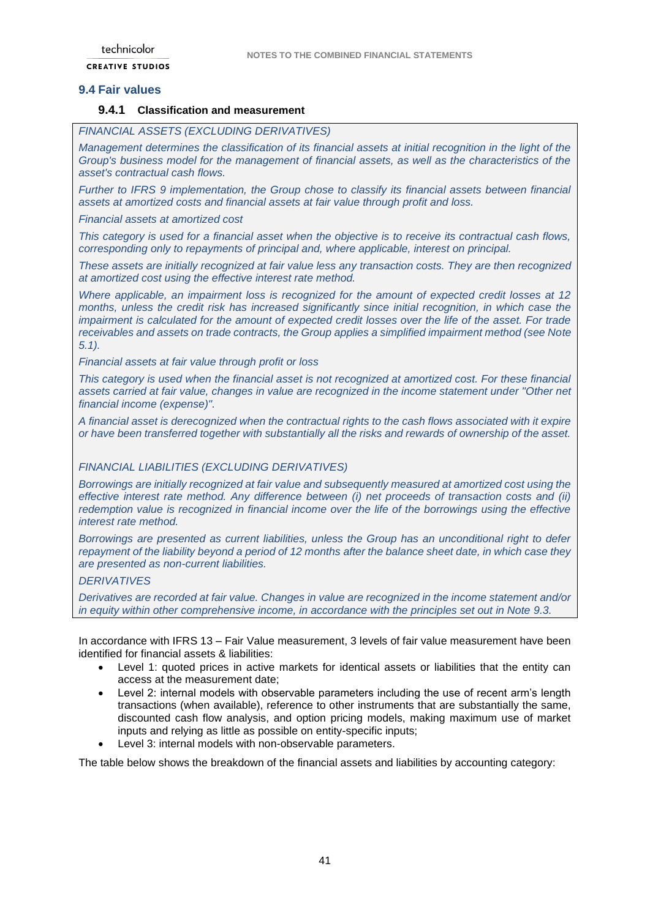## <span id="page-40-0"></span>**9.4 Fair values**

### **9.4.1 Classification and measurement**

### *FINANCIAL ASSETS (EXCLUDING DERIVATIVES)*

*Management determines the classification of its financial assets at initial recognition in the light of the Group's business model for the management of financial assets, as well as the characteristics of the asset's contractual cash flows.* 

*Further to IFRS 9 implementation, the Group chose to classify its financial assets between financial assets at amortized costs and financial assets at fair value through profit and loss.* 

*Financial assets at amortized cost*

*This category is used for a financial asset when the objective is to receive its contractual cash flows, corresponding only to repayments of principal and, where applicable, interest on principal.* 

*These assets are initially recognized at fair value less any transaction costs. They are then recognized at amortized cost using the effective interest rate method.* 

*Where applicable, an impairment loss is recognized for the amount of expected credit losses at 12 months, unless the credit risk has increased significantly since initial recognition, in which case the impairment is calculated for the amount of expected credit losses over the life of the asset. For trade receivables and assets on trade contracts, the Group applies a simplified impairment method (see Note 5.1).*

*Financial assets at fair value through profit or loss*

*This category is used when the financial asset is not recognized at amortized cost. For these financial assets carried at fair value, changes in value are recognized in the income statement under "Other net financial income (expense)".* 

*A financial asset is derecognized when the contractual rights to the cash flows associated with it expire or have been transferred together with substantially all the risks and rewards of ownership of the asset.*

#### *FINANCIAL LIABILITIES (EXCLUDING DERIVATIVES)*

*Borrowings are initially recognized at fair value and subsequently measured at amortized cost using the effective interest rate method. Any difference between (i) net proceeds of transaction costs and (ii) redemption value is recognized in financial income over the life of the borrowings using the effective interest rate method.* 

*Borrowings are presented as current liabilities, unless the Group has an unconditional right to defer repayment of the liability beyond a period of 12 months after the balance sheet date, in which case they are presented as non-current liabilities.*

#### *DERIVATIVES*

*Derivatives are recorded at fair value. Changes in value are recognized in the income statement and/or in equity within other comprehensive income, in accordance with the principles set out in Note 9.3.*

In accordance with IFRS 13 – Fair Value measurement, 3 levels of fair value measurement have been identified for financial assets & liabilities:

- Level 1: quoted prices in active markets for identical assets or liabilities that the entity can access at the measurement date;
- Level 2: internal models with observable parameters including the use of recent arm's length transactions (when available), reference to other instruments that are substantially the same, discounted cash flow analysis, and option pricing models, making maximum use of market inputs and relying as little as possible on entity-specific inputs;
- Level 3: internal models with non-observable parameters.

The table below shows the breakdown of the financial assets and liabilities by accounting category: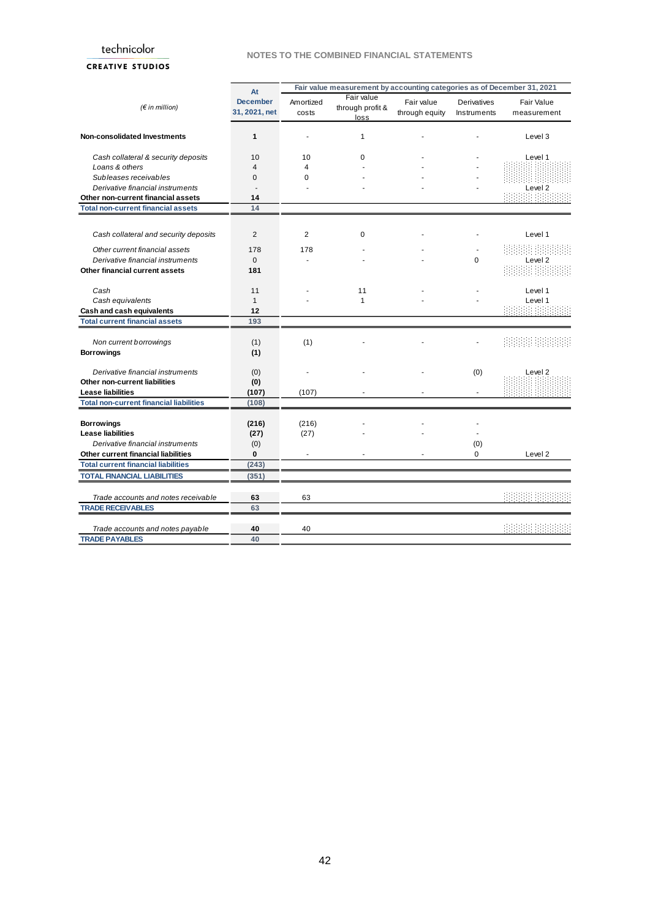#### **NOTES TO THE COMBINED FINANCIAL STATEMENTS**

|  | <b>CREATIVE STUDIOS</b> |  |
|--|-------------------------|--|

|                                                | At                               |                    |                                        |                                                                                                 |                            |                                  |
|------------------------------------------------|----------------------------------|--------------------|----------------------------------------|-------------------------------------------------------------------------------------------------|----------------------------|----------------------------------|
| (F in million)                                 | <b>December</b><br>31, 2021, net | Amortized<br>costs | Fair value<br>through profit &<br>loss | Fair value<br>through equity                                                                    | Derivatives<br>Instruments | <b>Fair Value</b><br>measurement |
| Non-consolidated Investments                   | $\mathbf{1}$                     |                    | 1                                      | Fair value measurement by accounting categories as of December 31, 2021<br>0<br>(0)<br>(0)<br>0 |                            | Level 3                          |
| Cash collateral & security deposits            | 10                               | 10                 | 0                                      |                                                                                                 |                            | Level 1                          |
| Loans & others                                 | $\overline{4}$                   | 4                  |                                        |                                                                                                 |                            |                                  |
| Subleases receivables                          | $\Omega$                         | $\Omega$           |                                        |                                                                                                 |                            |                                  |
| Derivative financial instruments               |                                  |                    |                                        |                                                                                                 |                            | Level 2                          |
| Other non-current financial assets             | 14                               |                    |                                        |                                                                                                 |                            |                                  |
| <b>Total non-current financial assets</b>      | 14                               |                    |                                        |                                                                                                 |                            |                                  |
|                                                |                                  |                    |                                        |                                                                                                 |                            |                                  |
| Cash collateral and security deposits          | $\overline{2}$                   | $\overline{2}$     | 0                                      |                                                                                                 |                            | Level 1                          |
| Other current financial assets                 | 178                              | 178                |                                        |                                                                                                 |                            |                                  |
| Derivative financial instruments               | $\mathbf{0}$                     |                    |                                        |                                                                                                 |                            | Level 2                          |
| Other financial current assets                 | 181                              |                    |                                        |                                                                                                 |                            |                                  |
| Cash                                           | 11                               |                    | 11                                     |                                                                                                 |                            | Level 1                          |
| Cash equivalents                               | $\mathbf{1}$                     |                    | 1                                      |                                                                                                 |                            | Level 1                          |
| Cash and cash equivalents                      | 12                               |                    |                                        |                                                                                                 |                            |                                  |
| <b>Total current financial assets</b>          | 193                              |                    |                                        |                                                                                                 |                            |                                  |
|                                                |                                  |                    |                                        |                                                                                                 |                            |                                  |
| Non current borrowings                         | (1)                              | (1)                |                                        |                                                                                                 |                            |                                  |
| <b>Borrowings</b>                              | (1)                              |                    |                                        |                                                                                                 |                            |                                  |
|                                                |                                  |                    |                                        |                                                                                                 |                            |                                  |
| Derivative financial instruments               | (0)                              |                    |                                        |                                                                                                 |                            | Level <sub>2</sub>               |
| <b>Other non-current liabilities</b>           | (0)                              |                    |                                        |                                                                                                 |                            |                                  |
| <b>Lease liabilities</b>                       | (107)                            | (107)              |                                        |                                                                                                 |                            |                                  |
| <b>Total non-current financial liabilities</b> | (108)                            |                    |                                        |                                                                                                 |                            |                                  |
| <b>Borrowings</b>                              | (216)                            | (216)              |                                        |                                                                                                 |                            |                                  |
| <b>Lease liabilities</b>                       | (27)                             | (27)               |                                        |                                                                                                 |                            |                                  |
| Derivative financial instruments               | (0)                              |                    |                                        |                                                                                                 |                            |                                  |
| Other current financial liabilities            | 0                                |                    |                                        |                                                                                                 |                            | Level <sub>2</sub>               |
| <b>Total current financial liabilities</b>     | (243)                            |                    |                                        |                                                                                                 |                            |                                  |
| <b>TOTAL FINANCIAL LIABILITIES</b>             | (351)                            |                    |                                        |                                                                                                 |                            |                                  |
|                                                |                                  |                    |                                        |                                                                                                 |                            |                                  |
| Trade accounts and notes receivable            | 63                               | 63                 |                                        |                                                                                                 |                            |                                  |
| <b>TRADE RECEIVABLES</b>                       | 63                               |                    |                                        |                                                                                                 |                            |                                  |
| Trade accounts and notes payable               | 40                               | 40                 |                                        |                                                                                                 |                            |                                  |
| <b>TRADE PAYABLES</b>                          | 40                               |                    |                                        |                                                                                                 |                            |                                  |
|                                                |                                  |                    |                                        |                                                                                                 |                            |                                  |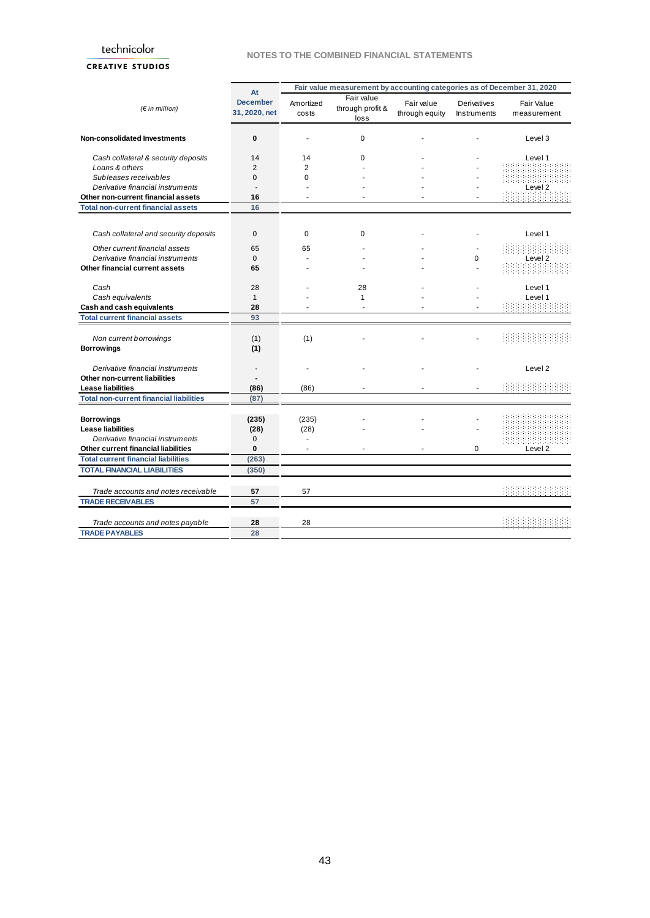#### **NOTES TO THE COMBINED FINANCIAL STATEMENTS**

### **CREATIVE STUDIOS**

| <b>December</b><br>Amortized<br>(F in million)<br>31, 2020, net<br>costs | Fair value measurement by accounting categories as of December 31, 2020<br>At<br>Fair value<br>Fair value<br>Derivatives<br>through profit &<br>through equity<br>Instruments<br>loss<br>$\mathbf 0$<br>0<br>14<br>14<br>0<br>$\overline{2}$<br>$\overline{2}$<br>$\Omega$<br>$\Omega$<br>16<br>16<br>$\mathbf{0}$<br>$\mathbf 0$<br>0<br>65<br>65<br>$\mathbf{0}$<br>0<br>65<br>28<br>28<br>$\mathbf{1}$<br>$\mathbf{1}$<br>28<br>93<br>(1)<br>(1)<br>(1)<br>(86)<br>(86)<br>(87)<br>(235)<br>(235)<br>(28)<br>(28)<br>0<br>$\bf{0}$<br>0<br>÷<br>(263)<br>(350) | <b>Fair Value</b> |                    |
|--------------------------------------------------------------------------|-------------------------------------------------------------------------------------------------------------------------------------------------------------------------------------------------------------------------------------------------------------------------------------------------------------------------------------------------------------------------------------------------------------------------------------------------------------------------------------------------------------------------------------------------------------------|-------------------|--------------------|
|                                                                          |                                                                                                                                                                                                                                                                                                                                                                                                                                                                                                                                                                   | measurement       |                    |
| Non-consolidated Investments                                             |                                                                                                                                                                                                                                                                                                                                                                                                                                                                                                                                                                   |                   | Level 3            |
| Cash collateral & security deposits                                      |                                                                                                                                                                                                                                                                                                                                                                                                                                                                                                                                                                   |                   | Level 1            |
| Loans & others                                                           |                                                                                                                                                                                                                                                                                                                                                                                                                                                                                                                                                                   |                   |                    |
| Subleases receivables                                                    |                                                                                                                                                                                                                                                                                                                                                                                                                                                                                                                                                                   |                   |                    |
| Derivative financial instruments                                         |                                                                                                                                                                                                                                                                                                                                                                                                                                                                                                                                                                   |                   | Level <sub>2</sub> |
| Other non-current financial assets                                       |                                                                                                                                                                                                                                                                                                                                                                                                                                                                                                                                                                   |                   |                    |
| <b>Total non-current financial assets</b>                                |                                                                                                                                                                                                                                                                                                                                                                                                                                                                                                                                                                   |                   |                    |
| Cash collateral and security deposits                                    |                                                                                                                                                                                                                                                                                                                                                                                                                                                                                                                                                                   |                   | Level 1            |
| Other current financial assets                                           |                                                                                                                                                                                                                                                                                                                                                                                                                                                                                                                                                                   |                   |                    |
| Derivative financial instruments                                         |                                                                                                                                                                                                                                                                                                                                                                                                                                                                                                                                                                   |                   | Level <sub>2</sub> |
| Other financial current assets                                           |                                                                                                                                                                                                                                                                                                                                                                                                                                                                                                                                                                   |                   |                    |
|                                                                          |                                                                                                                                                                                                                                                                                                                                                                                                                                                                                                                                                                   |                   |                    |
| Cash                                                                     |                                                                                                                                                                                                                                                                                                                                                                                                                                                                                                                                                                   |                   | Level 1            |
| Cash equivalents                                                         |                                                                                                                                                                                                                                                                                                                                                                                                                                                                                                                                                                   |                   | Level 1            |
| Cash and cash equivalents                                                |                                                                                                                                                                                                                                                                                                                                                                                                                                                                                                                                                                   |                   |                    |
| <b>Total current financial assets</b>                                    |                                                                                                                                                                                                                                                                                                                                                                                                                                                                                                                                                                   |                   |                    |
| Non current borrowings                                                   |                                                                                                                                                                                                                                                                                                                                                                                                                                                                                                                                                                   |                   |                    |
| <b>Borrowings</b>                                                        |                                                                                                                                                                                                                                                                                                                                                                                                                                                                                                                                                                   |                   |                    |
| Derivative financial instruments                                         |                                                                                                                                                                                                                                                                                                                                                                                                                                                                                                                                                                   |                   | Level <sub>2</sub> |
| <b>Other non-current liabilities</b>                                     |                                                                                                                                                                                                                                                                                                                                                                                                                                                                                                                                                                   |                   |                    |
| <b>Lease liabilities</b>                                                 |                                                                                                                                                                                                                                                                                                                                                                                                                                                                                                                                                                   |                   |                    |
| <b>Total non-current financial liabilities</b>                           |                                                                                                                                                                                                                                                                                                                                                                                                                                                                                                                                                                   |                   |                    |
| <b>Borrowings</b>                                                        |                                                                                                                                                                                                                                                                                                                                                                                                                                                                                                                                                                   |                   |                    |
| <b>Lease liabilities</b>                                                 |                                                                                                                                                                                                                                                                                                                                                                                                                                                                                                                                                                   |                   |                    |
| Derivative financial instruments                                         |                                                                                                                                                                                                                                                                                                                                                                                                                                                                                                                                                                   |                   |                    |
| Other current financial liabilities                                      |                                                                                                                                                                                                                                                                                                                                                                                                                                                                                                                                                                   |                   | Level <sub>2</sub> |
| <b>Total current financial liabilities</b>                               |                                                                                                                                                                                                                                                                                                                                                                                                                                                                                                                                                                   |                   |                    |
| <b>TOTAL FINANCIAL LIABILITIES</b>                                       |                                                                                                                                                                                                                                                                                                                                                                                                                                                                                                                                                                   |                   |                    |
|                                                                          |                                                                                                                                                                                                                                                                                                                                                                                                                                                                                                                                                                   |                   |                    |
| 57<br>57<br>Trade accounts and notes receivable                          |                                                                                                                                                                                                                                                                                                                                                                                                                                                                                                                                                                   |                   |                    |
| <b>TRADE RECEIVABLES</b><br>57                                           |                                                                                                                                                                                                                                                                                                                                                                                                                                                                                                                                                                   |                   |                    |
|                                                                          |                                                                                                                                                                                                                                                                                                                                                                                                                                                                                                                                                                   |                   |                    |
| 28<br>28<br>Trade accounts and notes payable                             |                                                                                                                                                                                                                                                                                                                                                                                                                                                                                                                                                                   |                   |                    |
| <b>TRADE PAYABLES</b><br>28                                              |                                                                                                                                                                                                                                                                                                                                                                                                                                                                                                                                                                   |                   |                    |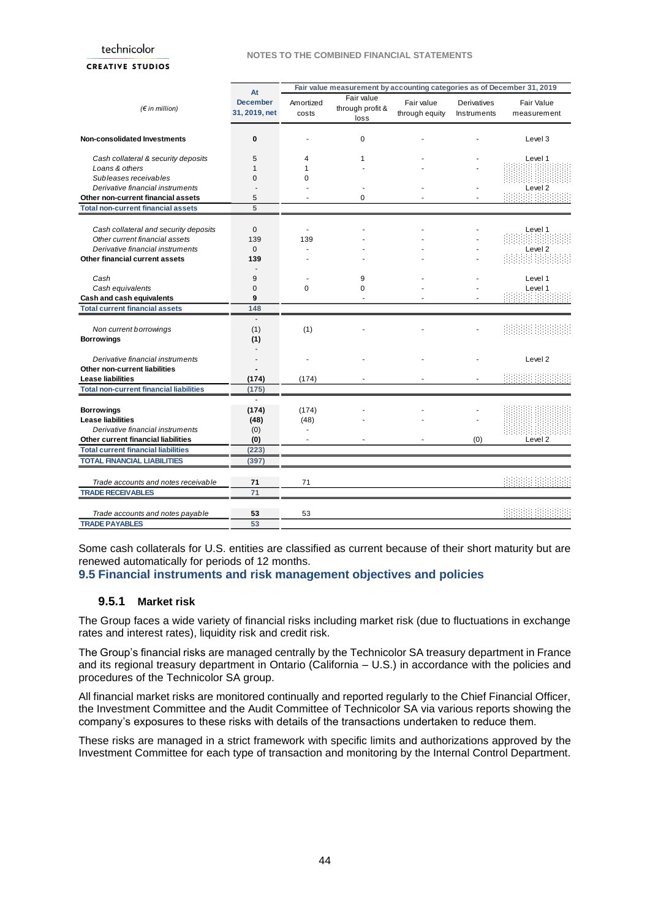#### **NOTES TO THE COMBINED FINANCIAL STATEMENTS**

#### **CREATIVE STUDIOS**

|                                                | At                               |                    | Fair value measurement by accounting categories as of December 31, 2019 |                              |                                   |                           |
|------------------------------------------------|----------------------------------|--------------------|-------------------------------------------------------------------------|------------------------------|-----------------------------------|---------------------------|
| (F in million)                                 | <b>December</b><br>31, 2019, net | Amortized<br>costs | Fair value<br>through profit &<br>loss                                  | Fair value<br>through equity | <b>Derivatives</b><br>Instruments | Fair Value<br>measurement |
| <b>Non-consolidated Investments</b>            | 0                                |                    | 0                                                                       |                              |                                   | Level 3                   |
| Cash collateral & security deposits            | 5                                | 4                  | 1                                                                       |                              |                                   | Level 1                   |
| Loans & others                                 | 1                                |                    |                                                                         |                              |                                   |                           |
| Subleases receivables                          | $\Omega$                         | $\Omega$           |                                                                         |                              |                                   |                           |
| Derivative financial instruments               |                                  |                    |                                                                         |                              |                                   | Level <sub>2</sub>        |
| Other non-current financial assets             | 5                                |                    | 0                                                                       |                              |                                   |                           |
| <b>Total non-current financial assets</b>      | 5                                |                    |                                                                         |                              |                                   |                           |
|                                                |                                  |                    |                                                                         |                              |                                   |                           |
| Cash collateral and security deposits          | $\mathbf{0}$                     |                    |                                                                         |                              |                                   | Level 1                   |
| Other current financial assets                 | 139                              | 139                |                                                                         |                              |                                   |                           |
| Derivative financial instruments               | $\mathbf{0}$                     |                    |                                                                         |                              |                                   | Level <sub>2</sub>        |
| Other financial current assets                 | 139                              |                    |                                                                         |                              |                                   |                           |
|                                                |                                  |                    |                                                                         |                              |                                   |                           |
| Cash                                           | 9                                |                    | 9                                                                       |                              |                                   | Level 1                   |
| Cash equivalents                               | $\Omega$                         | $\Omega$           | $\Omega$                                                                |                              |                                   | Level 1                   |
| Cash and cash equivalents                      | 9                                |                    | ä,                                                                      |                              |                                   |                           |
| <b>Total current financial assets</b>          | 148                              |                    |                                                                         |                              |                                   |                           |
|                                                |                                  |                    |                                                                         |                              |                                   |                           |
| Non current borrowings                         | (1)                              | (1)                |                                                                         |                              |                                   |                           |
| <b>Borrowings</b>                              | (1)                              |                    |                                                                         |                              |                                   |                           |
| Derivative financial instruments               | $\overline{\phantom{a}}$         |                    |                                                                         |                              |                                   | Level 2                   |
| Other non-current liabilities                  |                                  |                    |                                                                         |                              |                                   |                           |
| <b>Lease liabilities</b>                       | (174)                            | (174)              |                                                                         |                              |                                   |                           |
| <b>Total non-current financial liabilities</b> | (175)                            |                    |                                                                         |                              |                                   |                           |
|                                                | ÷.                               |                    |                                                                         |                              |                                   |                           |
| <b>Borrowings</b>                              | (174)                            | (174)              |                                                                         |                              |                                   |                           |
| <b>Lease liabilities</b>                       | (48)                             | (48)               |                                                                         |                              |                                   |                           |
| Derivative financial instruments               | (0)                              |                    |                                                                         |                              |                                   |                           |
| Other current financial liabilities            | (0)                              |                    |                                                                         |                              | (0)                               | Level <sub>2</sub>        |
| <b>Total current financial liabilities</b>     | (223)                            |                    |                                                                         |                              |                                   |                           |
| <b>TOTAL FINANCIAL LIABILITIES</b>             | (397)                            |                    |                                                                         |                              |                                   |                           |
|                                                |                                  |                    |                                                                         |                              |                                   |                           |
| Trade accounts and notes receivable            | 71                               | 71                 |                                                                         |                              |                                   |                           |
| <b>TRADE RECEIVABLES</b>                       | 71                               |                    |                                                                         |                              |                                   |                           |
|                                                |                                  |                    |                                                                         |                              |                                   |                           |
| Trade accounts and notes payable               | 53                               | 53                 |                                                                         |                              |                                   |                           |
| <b>TRADE PAYABLES</b>                          | 53                               |                    |                                                                         |                              |                                   |                           |
|                                                |                                  |                    |                                                                         |                              |                                   |                           |

Some cash collaterals for U.S. entities are classified as current because of their short maturity but are renewed automatically for periods of 12 months.

### <span id="page-43-0"></span>**9.5 Financial instruments and risk management objectives and policies**

### **9.5.1 Market risk**

The Group faces a wide variety of financial risks including market risk (due to fluctuations in exchange rates and interest rates), liquidity risk and credit risk.

The Group's financial risks are managed centrally by the Technicolor SA treasury department in France and its regional treasury department in Ontario (California – U.S.) in accordance with the policies and procedures of the Technicolor SA group.

All financial market risks are monitored continually and reported regularly to the Chief Financial Officer, the Investment Committee and the Audit Committee of Technicolor SA via various reports showing the company's exposures to these risks with details of the transactions undertaken to reduce them.

These risks are managed in a strict framework with specific limits and authorizations approved by the Investment Committee for each type of transaction and monitoring by the Internal Control Department.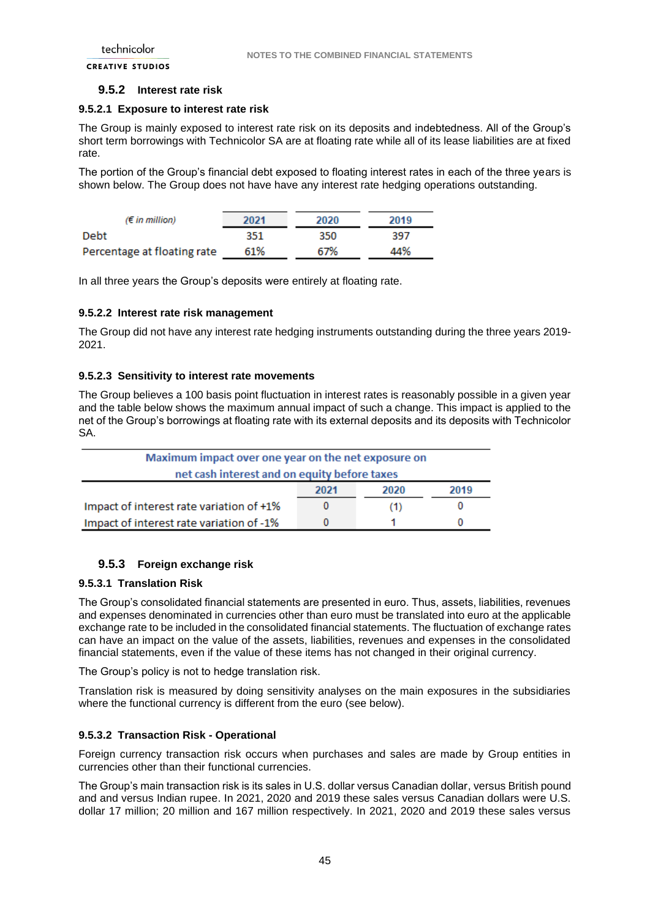### **9.5.2 Interest rate risk**

### **9.5.2.1 Exposure to interest rate risk**

The Group is mainly exposed to interest rate risk on its deposits and indebtedness. All of the Group's short term borrowings with Technicolor SA are at floating rate while all of its lease liabilities are at fixed rate.

The portion of the Group's financial debt exposed to floating interest rates in each of the three years is shown below. The Group does not have have any interest rate hedging operations outstanding.

| $(\epsilon$ in million)     | 2021 | 2020 | 2019 |
|-----------------------------|------|------|------|
| Debt                        | 351  | 350  | 397  |
| Percentage at floating rate | 61%  | 67%  | 44%  |

In all three years the Group's deposits were entirely at floating rate.

### **9.5.2.2 Interest rate risk management**

The Group did not have any interest rate hedging instruments outstanding during the three years 2019- 2021.

### **9.5.2.3 Sensitivity to interest rate movements**

The Group believes a 100 basis point fluctuation in interest rates is reasonably possible in a given year and the table below shows the maximum annual impact of such a change. This impact is applied to the net of the Group's borrowings at floating rate with its external deposits and its deposits with Technicolor SA.

| Maximum impact over one year on the net exposure on  |  |     |  |  |  |  |  |  |  |
|------------------------------------------------------|--|-----|--|--|--|--|--|--|--|
| net cash interest and on equity before taxes         |  |     |  |  |  |  |  |  |  |
| 2019<br>2021<br>2020                                 |  |     |  |  |  |  |  |  |  |
| Impact of interest rate variation of +1%             |  | (1) |  |  |  |  |  |  |  |
| Impact of interest rate variation of -1%<br>$\Omega$ |  |     |  |  |  |  |  |  |  |

### **9.5.3 Foreign exchange risk**

#### **9.5.3.1 Translation Risk**

The Group's consolidated financial statements are presented in euro. Thus, assets, liabilities, revenues and expenses denominated in currencies other than euro must be translated into euro at the applicable exchange rate to be included in the consolidated financial statements. The fluctuation of exchange rates can have an impact on the value of the assets, liabilities, revenues and expenses in the consolidated financial statements, even if the value of these items has not changed in their original currency.

The Group's policy is not to hedge translation risk.

Translation risk is measured by doing sensitivity analyses on the main exposures in the subsidiaries where the functional currency is different from the euro (see below).

### **9.5.3.2 Transaction Risk - Operational**

Foreign currency transaction risk occurs when purchases and sales are made by Group entities in currencies other than their functional currencies.

The Group's main transaction risk is its sales in U.S. dollar versus Canadian dollar, versus British pound and and versus Indian rupee. In 2021, 2020 and 2019 these sales versus Canadian dollars were U.S. dollar 17 million; 20 million and 167 million respectively. In 2021, 2020 and 2019 these sales versus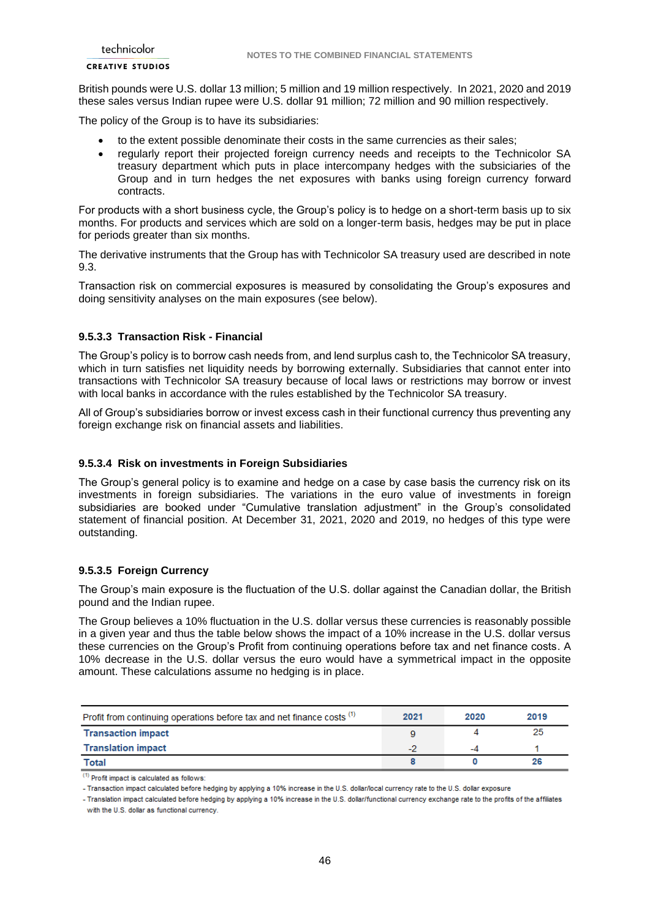#### **CREATIVE STUDIOS**

British pounds were U.S. dollar 13 million; 5 million and 19 million respectively. In 2021, 2020 and 2019 these sales versus Indian rupee were U.S. dollar 91 million; 72 million and 90 million respectively.

The policy of the Group is to have its subsidiaries:

- to the extent possible denominate their costs in the same currencies as their sales;
- regularly report their projected foreign currency needs and receipts to the Technicolor SA treasury department which puts in place intercompany hedges with the subsiciaries of the Group and in turn hedges the net exposures with banks using foreign currency forward contracts.

For products with a short business cycle, the Group's policy is to hedge on a short-term basis up to six months. For products and services which are sold on a longer-term basis, hedges may be put in place for periods greater than six months.

The derivative instruments that the Group has with Technicolor SA treasury used are described in note 9.3.

Transaction risk on commercial exposures is measured by consolidating the Group's exposures and doing sensitivity analyses on the main exposures (see below).

#### **9.5.3.3 Transaction Risk - Financial**

The Group's policy is to borrow cash needs from, and lend surplus cash to, the Technicolor SA treasury, which in turn satisfies net liquidity needs by borrowing externally. Subsidiaries that cannot enter into transactions with Technicolor SA treasury because of local laws or restrictions may borrow or invest with local banks in accordance with the rules established by the Technicolor SA treasury.

All of Group's subsidiaries borrow or invest excess cash in their functional currency thus preventing any foreign exchange risk on financial assets and liabilities.

### **9.5.3.4 Risk on investments in Foreign Subsidiaries**

The Group's general policy is to examine and hedge on a case by case basis the currency risk on its investments in foreign subsidiaries. The variations in the euro value of investments in foreign subsidiaries are booked under "Cumulative translation adjustment" in the Group's consolidated statement of financial position. At December 31, 2021, 2020 and 2019, no hedges of this type were outstanding.

#### **9.5.3.5 Foreign Currency**

The Group's main exposure is the fluctuation of the U.S. dollar against the Canadian dollar, the British pound and the Indian rupee.

The Group believes a 10% fluctuation in the U.S. dollar versus these currencies is reasonably possible in a given year and thus the table below shows the impact of a 10% increase in the U.S. dollar versus these currencies on the Group's Profit from continuing operations before tax and net finance costs. A 10% decrease in the U.S. dollar versus the euro would have a symmetrical impact in the opposite amount. These calculations assume no hedging is in place.

| Profit from continuing operations before tax and net finance costs (1) | 2021 | 2020 | 2019 |
|------------------------------------------------------------------------|------|------|------|
| <b>Transaction impact</b>                                              |      |      | 25   |
| <b>Translation impact</b>                                              | ت    | -4   |      |
| Total                                                                  |      |      | 26   |

 $(1)$  Profit impact is calculated as follows:

<sup>-</sup> Transaction impact calculated before hedging by applying a 10% increase in the U.S. dollar/local currency rate to the U.S. dollar exposure

<sup>-</sup> Translation impact calculated before hedging by applying a 10% increase in the U.S. dollar/functional currency exchange rate to the profits of the affiliates with the U.S. dollar as functional currency.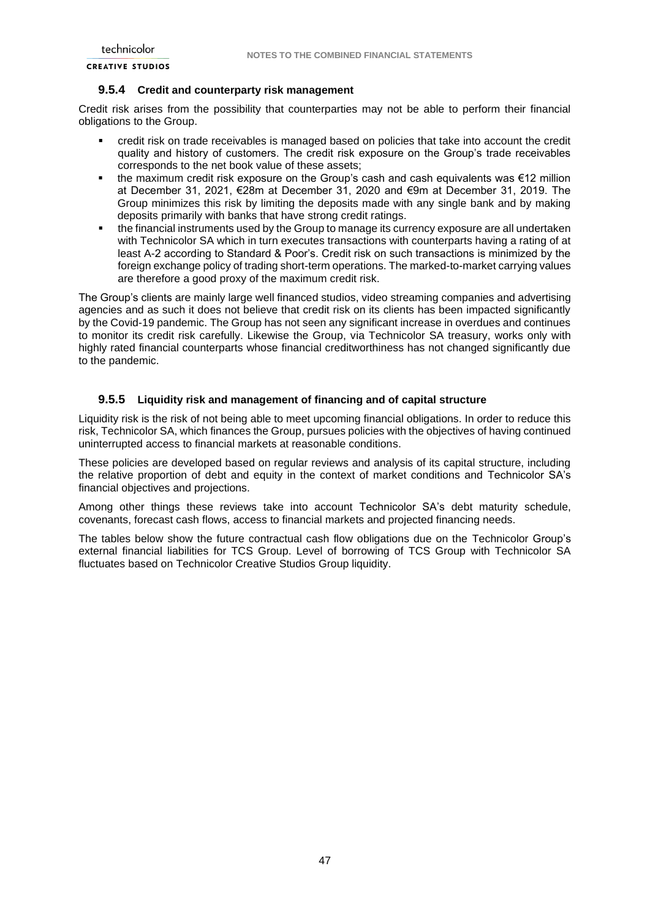### **9.5.4 Credit and counterparty risk management**

Credit risk arises from the possibility that counterparties may not be able to perform their financial obligations to the Group.

- credit risk on trade receivables is managed based on policies that take into account the credit quality and history of customers. The credit risk exposure on the Group's trade receivables corresponds to the net book value of these assets;
- the maximum credit risk exposure on the Group's cash and cash equivalents was €12 million at December 31, 2021, €28m at December 31, 2020 and €9m at December 31, 2019. The Group minimizes this risk by limiting the deposits made with any single bank and by making deposits primarily with banks that have strong credit ratings.
- the financial instruments used by the Group to manage its currency exposure are all undertaken with Technicolor SA which in turn executes transactions with counterparts having a rating of at least A-2 according to Standard & Poor's. Credit risk on such transactions is minimized by the foreign exchange policy of trading short-term operations. The marked-to-market carrying values are therefore a good proxy of the maximum credit risk.

The Group's clients are mainly large well financed studios, video streaming companies and advertising agencies and as such it does not believe that credit risk on its clients has been impacted significantly by the Covid-19 pandemic. The Group has not seen any significant increase in overdues and continues to monitor its credit risk carefully. Likewise the Group, via Technicolor SA treasury, works only with highly rated financial counterparts whose financial creditworthiness has not changed significantly due to the pandemic.

#### **9.5.5 Liquidity risk and management of financing and of capital structure**

Liquidity risk is the risk of not being able to meet upcoming financial obligations. In order to reduce this risk, Technicolor SA, which finances the Group, pursues policies with the objectives of having continued uninterrupted access to financial markets at reasonable conditions.

These policies are developed based on regular reviews and analysis of its capital structure, including the relative proportion of debt and equity in the context of market conditions and Technicolor SA's financial objectives and projections.

Among other things these reviews take into account Technicolor SA's debt maturity schedule, covenants, forecast cash flows, access to financial markets and projected financing needs.

The tables below show the future contractual cash flow obligations due on the Technicolor Group's external financial liabilities for TCS Group. Level of borrowing of TCS Group with Technicolor SA fluctuates based on Technicolor Creative Studios Group liquidity.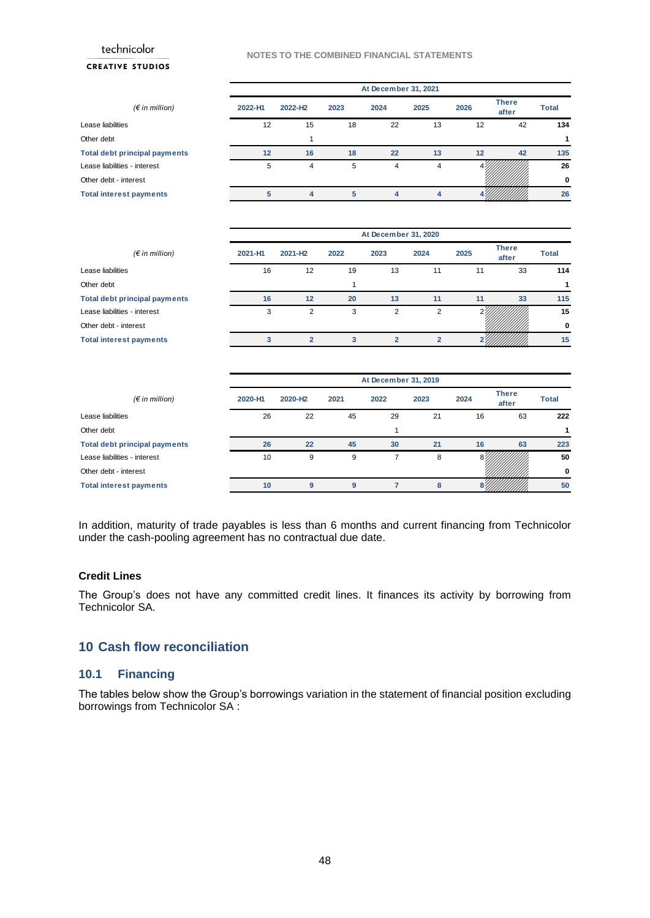technicolor **CREATIVE STUDIOS** 

#### **NOTES TO THE COMBINED FINANCIAL STATEMENTS**

|                                      |         | At December 31, 2021 |      |      |      |      |                       |              |
|--------------------------------------|---------|----------------------|------|------|------|------|-----------------------|--------------|
| $(\epsilon$ in million)              | 2022-H1 | 2022-H <sub>2</sub>  | 2023 | 2024 | 2025 | 2026 | <b>There</b><br>after | <b>Total</b> |
| Lease liabilities                    | 12      | 15                   | 18   | 22   | 13   | 12   | 42                    | 134          |
| Other debt                           |         |                      |      |      |      |      |                       |              |
| <b>Total debt principal payments</b> | 12      | 16                   | 18   | 22   | 13   | 12   | 42                    | 135          |
| Lease liabilities - interest         | 5       | 4                    | 5    | 4    | 4    |      |                       | 26           |
| Other debt - interest                |         |                      |      |      |      |      |                       | 0            |
| <b>Total interest payments</b>       | 5       | 4                    | 5    | 4    |      |      |                       | 26           |

|                                      | At December 31, 2020 |                     |      |      |      |      |                       |       |
|--------------------------------------|----------------------|---------------------|------|------|------|------|-----------------------|-------|
| $(\epsilon$ in million)              | 2021-H1              | 2021-H <sub>2</sub> | 2022 | 2023 | 2024 | 2025 | <b>There</b><br>after | Total |
| Lease liabilities                    | 16                   | 12                  | 19   | 13   | 11   | 11   | 33                    | 114   |
| Other debt                           |                      |                     |      |      |      |      |                       |       |
| <b>Total debt principal payments</b> | 16                   | 12                  | 20   | 13   | 11   | 11   | 33                    | 115   |
| Lease liabilities - interest         | 3                    | 2                   | 3    | 2    | っ    |      |                       | 15    |
| Other debt - interest                |                      |                     |      |      |      |      |                       | 0     |
| <b>Total interest payments</b>       |                      |                     |      |      |      |      |                       | 15    |

|                                      | At December 31, 2019 |                     |      |      |      |      |                       |              |
|--------------------------------------|----------------------|---------------------|------|------|------|------|-----------------------|--------------|
| $(\epsilon$ in million)              | 2020-H1              | 2020-H <sub>2</sub> | 2021 | 2022 | 2023 | 2024 | <b>There</b><br>after | <b>Total</b> |
| Lease liabilities                    | 26                   | 22                  | 45   | 29   | 21   | 16   | 63                    | 222          |
| Other debt                           |                      |                     |      |      |      |      |                       | 1            |
| <b>Total debt principal payments</b> | 26                   | 22                  | 45   | 30   | 21   | 16   | 63                    | 223          |
| Lease liabilities - interest         | 10                   | 9                   | 9    |      | 8    |      |                       | 50           |
| Other debt - interest                |                      |                     |      |      |      |      |                       | 0            |
| <b>Total interest payments</b>       | 10                   | 9                   | 9    |      | 8    |      |                       | 50           |

In addition, maturity of trade payables is less than 6 months and current financing from Technicolor under the cash-pooling agreement has no contractual due date.

#### **Credit Lines**

The Group's does not have any committed credit lines. It finances its activity by borrowing from Technicolor SA.

## <span id="page-47-0"></span>**10 Cash flow reconciliation**

## <span id="page-47-1"></span>**10.1 Financing**

The tables below show the Group's borrowings variation in the statement of financial position excluding borrowings from Technicolor SA :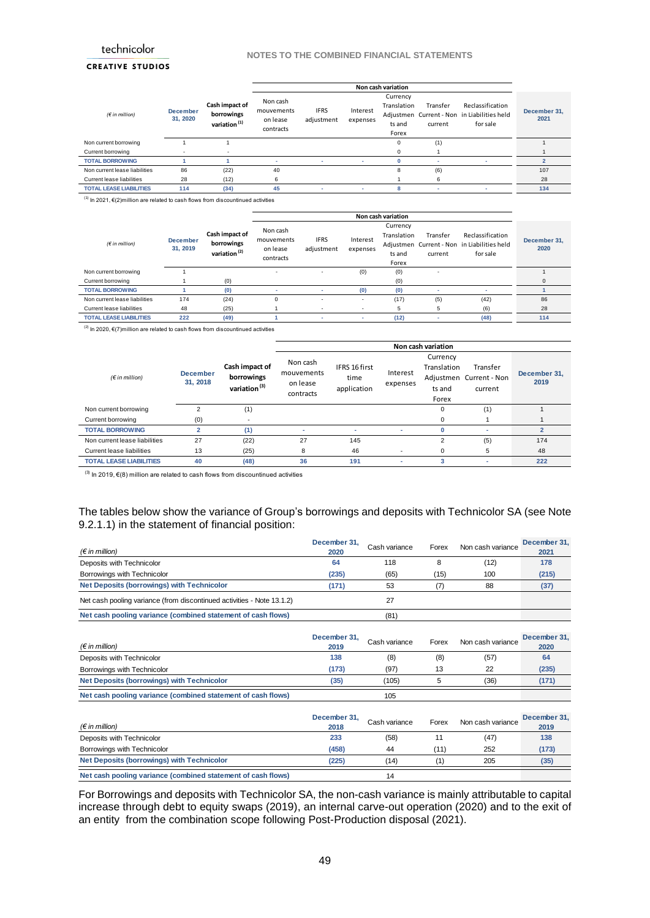#### **NOTES TO THE COMBINED FINANCIAL STATEMENTS**

### **CREATIVE STUDIOS**

|                                |                             |                                                          |                                                 |                           |                      | Non cash variation                         |                     |                                                                             |                      |
|--------------------------------|-----------------------------|----------------------------------------------------------|-------------------------------------------------|---------------------------|----------------------|--------------------------------------------|---------------------|-----------------------------------------------------------------------------|----------------------|
| (F in million)                 | <b>December</b><br>31, 2020 | Cash impact of<br>borrowings<br>variation <sup>(1)</sup> | Non cash<br>mouvements<br>on lease<br>contracts | <b>IFRS</b><br>adjustment | Interest<br>expenses | Currency<br>Translation<br>ts and<br>Forex | Transfer<br>current | Reclassification<br>Adjustmen Current - Non in Liabilities held<br>for sale | December 31,<br>2021 |
| Non current borrowing          |                             |                                                          |                                                 |                           |                      | $\mathbf 0$                                | (1)                 |                                                                             |                      |
| Current borrowing              |                             |                                                          |                                                 |                           |                      | $\Omega$                                   |                     |                                                                             |                      |
| <b>TOTAL BORROWING</b>         |                             |                                                          |                                                 |                           |                      |                                            |                     |                                                                             |                      |
| Non current lease liabilities  | 86                          | (22)                                                     | 40                                              |                           |                      | 8                                          | (6)                 |                                                                             | 107                  |
| Current lease liabilities      | 28                          | (12)                                                     | 6                                               |                           |                      |                                            | 6                   |                                                                             | 28                   |
| <b>TOTAL LEASE LIABILITIES</b> | 114                         | (34)                                                     | 45                                              |                           | ۰                    | 8                                          | ٠                   |                                                                             | 134                  |

 $(1)$  In 2021, €(2)million are related to cash flows from discountinued activities

|                                |                             |                                                          |                                                 |                           |                      | Non cash variation                         |                     |                                                                             |                      |
|--------------------------------|-----------------------------|----------------------------------------------------------|-------------------------------------------------|---------------------------|----------------------|--------------------------------------------|---------------------|-----------------------------------------------------------------------------|----------------------|
| $(f \in \text{in million})$    | <b>December</b><br>31, 2019 | Cash impact of<br>borrowings<br>variation <sup>(2)</sup> | Non cash<br>mouvements<br>on lease<br>contracts | <b>IFRS</b><br>adjustment | Interest<br>expenses | Currency<br>Translation<br>ts and<br>Forex | Transfer<br>current | Reclassification<br>Adjustmen Current - Non in Liabilities held<br>for sale | December 31,<br>2020 |
| Non current borrowing          |                             |                                                          | $\overline{\phantom{a}}$                        |                           | (0)                  | (0)                                        |                     |                                                                             |                      |
| Current borrowing              |                             | (0)                                                      |                                                 |                           |                      | (0)                                        |                     |                                                                             | $\Omega$             |
| <b>TOTAL BORROWING</b>         |                             | (0)                                                      |                                                 |                           | (0)                  | (0)                                        |                     | ٠                                                                           |                      |
| Non current lease liabilities  | 174                         | (24)                                                     | $\Omega$                                        |                           | ٠                    | (17)                                       | (5)                 | (42)                                                                        | 86                   |
| Current lease liabilities      | 48                          | (25)                                                     |                                                 |                           |                      | 5                                          | 5                   | (6)                                                                         | 28                   |
| <b>TOTAL LEASE LIABILITIES</b> | 222                         | (49)                                                     |                                                 |                           |                      | (12)                                       |                     | (48)                                                                        | 114                  |

 $(2)$  In 2020, €(7)million are related to cash flows from discountinued activities

|                                  |                             |                                                          |                                                 |                                      |                      | Non cash variation                         |                                                |                      |
|----------------------------------|-----------------------------|----------------------------------------------------------|-------------------------------------------------|--------------------------------------|----------------------|--------------------------------------------|------------------------------------------------|----------------------|
| (E in million)                   | <b>December</b><br>31, 2018 | Cash impact of<br>borrowings<br>variation <sup>(3)</sup> | Non cash<br>mouvements<br>on lease<br>contracts | IFRS 16 first<br>time<br>application | Interest<br>expenses | Currency<br>Translation<br>ts and<br>Forex | Transfer<br>Adjustmen Current - Non<br>current | December 31,<br>2019 |
| Non current borrowing            |                             | (1)                                                      |                                                 |                                      |                      | 0                                          | (1)                                            |                      |
| Current borrowing                | (0)                         |                                                          |                                                 |                                      |                      | $\Omega$                                   |                                                |                      |
| <b>TOTAL BORROWING</b>           |                             | (1)                                                      |                                                 | ۰                                    | ۰                    | $\Omega$                                   |                                                | $\mathfrak{p}$       |
| Non current lease liabilities    | 27                          | (22)                                                     | 27                                              | 145                                  |                      | 2                                          | (5)                                            | 174                  |
| <b>Current lease liabilities</b> | 13                          | (25)                                                     | 8                                               | 46                                   | $\overline{a}$       | 0                                          | 5                                              | 48                   |
| <b>TOTAL LEASE LIABILITIES</b>   | 40                          | (48)                                                     | 36                                              | 191                                  |                      |                                            |                                                | 222                  |

 $\overline{^{(3)}}$  In 2019, €(8) million are related to cash flows from discountinued activities

### The tables below show the variance of Group's borrowings and deposits with Technicolor SA (see Note 9.2.1.1) in the statement of financial position:

| $(\epsilon$ in million)                                                | December 31.<br>2020 | Cash variance | Forex | Non cash variance | December 31.<br>2021 |
|------------------------------------------------------------------------|----------------------|---------------|-------|-------------------|----------------------|
| Deposits with Technicolor                                              | 64                   | 118           |       | (12)              | 178                  |
| Borrowings with Technicolor                                            | (235)                | (65)          | (15)  | 100               | (215)                |
| <b>Net Deposits (borrowings) with Technicolor</b>                      | (171)                | 53            |       | 88                | (37)                 |
| Net cash pooling variance (from discontinued activities - Note 13.1.2) |                      |               |       |                   |                      |
| Net cash pooling variance (combined statement of cash flows)           |                      | (81)          |       |                   |                      |

| $(\epsilon$ in million)                                      | December 31,<br>2019 | Cash variance | Forex | Non cash variance | December 31.<br>2020 |
|--------------------------------------------------------------|----------------------|---------------|-------|-------------------|----------------------|
| Deposits with Technicolor                                    | 138                  | (8)           | (8)   | (57)              | 64                   |
| Borrowings with Technicolor                                  | (173)                | (97)          | 13    | 22                | (235)                |
| <b>Net Deposits (borrowings) with Technicolor</b>            | (35)                 | (105)         |       | (36)              | (171)                |
| Net cash pooling variance (combined statement of cash flows) |                      | 105           |       |                   |                      |

| $(\epsilon$ in million)                                      | December 31,<br>2018 | Cash variance | Forex | Non cash variance | December 31,<br>2019 |
|--------------------------------------------------------------|----------------------|---------------|-------|-------------------|----------------------|
| Deposits with Technicolor                                    | 233                  | (58)          |       | (47)              | 138                  |
| Borrowings with Technicolor                                  | (458)                | 44            | (11)  | 252               | (173)                |
| <b>Net Deposits (borrowings) with Technicolor</b>            | (225)                | (14)          |       | 205               | (35)                 |
| Net cash pooling variance (combined statement of cash flows) |                      | 14            |       |                   |                      |

For Borrowings and deposits with Technicolor SA, the non-cash variance is mainly attributable to capital increase through debt to equity swaps (2019), an internal carve-out operation (2020) and to the exit of an entity from the combination scope following Post-Production disposal (2021).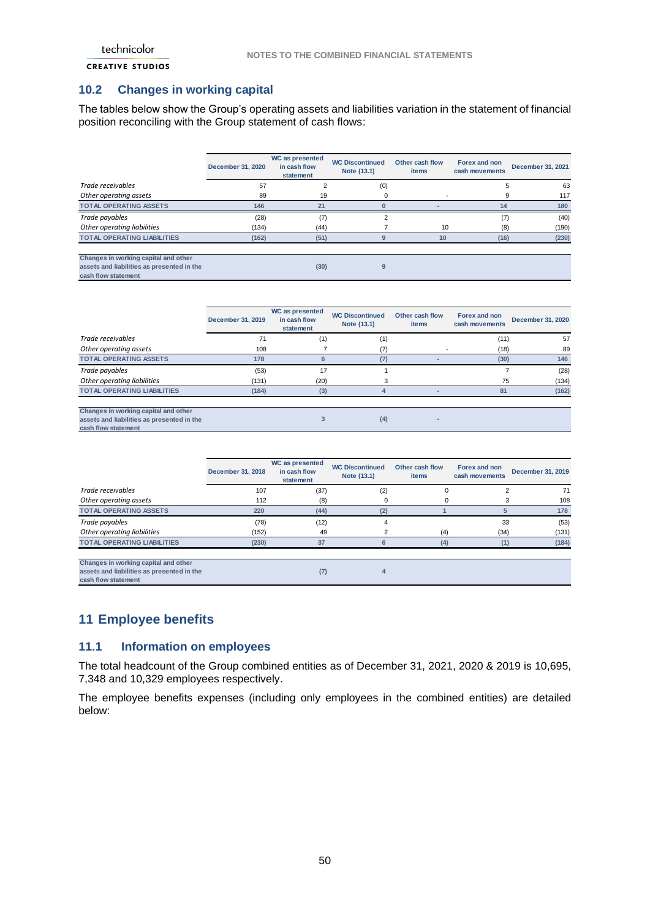## <span id="page-49-0"></span>**10.2 Changes in working capital**

The tables below show the Group's operating assets and liabilities variation in the statement of financial position reconciling with the Group statement of cash flows:

|                                                                                                           | December 31, 2020 | WC as presented<br>in cash flow<br>statement | <b>WC Discontinued</b><br>Note (13.1) | Other cash flow<br><b>items</b> | Forex and non<br>cash movements | December 31, 2021 |
|-----------------------------------------------------------------------------------------------------------|-------------------|----------------------------------------------|---------------------------------------|---------------------------------|---------------------------------|-------------------|
| Trade receivables                                                                                         | 57                |                                              | (0)                                   |                                 | 5                               | 63                |
| Other operating assets                                                                                    | 89                | 19                                           | 0                                     |                                 | 9                               | 117               |
| <b>TOTAL OPERATING ASSETS</b>                                                                             | 146               | 21                                           | 0                                     |                                 | 14                              | 180               |
| Trade payables                                                                                            | (28)              | (7)                                          | 2                                     |                                 | (7)                             | (40)              |
| Other operating liabilities                                                                               | (134)             | (44)                                         |                                       | 10                              | (8)                             | (190)             |
| <b>TOTAL OPERATING LIABILITIES</b>                                                                        | (162)             | (51)                                         | $\mathbf{Q}$                          | 10                              | (16)                            | (230)             |
| Changes in working capital and other<br>assets and liabilities as presented in the<br>cash flow statement |                   | (30)                                         | g                                     |                                 |                                 |                   |

|                                                                                                           | December 31, 2019 | WC as presented<br>in cash flow<br>statement | <b>WC Discontinued</b><br>Note (13.1) | Other cash flow<br>items | Forex and non<br>cash movements | December 31, 2020 |
|-----------------------------------------------------------------------------------------------------------|-------------------|----------------------------------------------|---------------------------------------|--------------------------|---------------------------------|-------------------|
| Trade receivables                                                                                         | 71                | (1)                                          | (1)                                   |                          | (11)                            | 57                |
| Other operating assets                                                                                    | 108               |                                              | (7)                                   |                          | (18)                            | -89               |
| <b>TOTAL OPERATING ASSETS</b>                                                                             | 178               | 6                                            | (7)                                   |                          | (30)                            | 146               |
| Trade payables                                                                                            | (53)              | 17                                           |                                       |                          |                                 | (28)              |
| Other operating liabilities                                                                               | (131)             | (20)                                         | 3                                     |                          | 75                              | (134)             |
| <b>TOTAL OPERATING LIABILITIES</b>                                                                        | (184)             | (3)                                          | 4                                     |                          | 81                              | (162)             |
| Changes in working capital and other<br>assets and liabilities as presented in the<br>cash flow statement |                   |                                              | (4)                                   |                          |                                 |                   |

|                                                                                                           | December 31, 2018 | WC as presented<br>in cash flow<br>statement | <b>WC Discontinued</b><br>Note (13.1) | Other cash flow<br>items | Forex and non<br>cash movements | December 31, 2019 |
|-----------------------------------------------------------------------------------------------------------|-------------------|----------------------------------------------|---------------------------------------|--------------------------|---------------------------------|-------------------|
| Trade receivables                                                                                         | 107               | (37)                                         | (2)                                   | $\Omega$                 |                                 | 71                |
| Other operating assets                                                                                    | 112               | (8)                                          | 0                                     | 0                        |                                 | 108               |
| <b>TOTAL OPERATING ASSETS</b>                                                                             | 220               | (44)                                         | (2)                                   |                          | 5                               | 178               |
| Trade payables                                                                                            | (78)              | (12)                                         | 4                                     |                          | 33                              | (53)              |
| Other operating liabilities                                                                               | (152)             | 49                                           | っ                                     | (4)                      | (34)                            | (131)             |
| <b>TOTAL OPERATING LIABILITIES</b>                                                                        | (230)             | 37                                           | 6                                     | (4)                      | (1)                             | (184)             |
| Changes in working capital and other<br>assets and liabilities as presented in the<br>cash flow statement |                   | (7)                                          |                                       |                          |                                 |                   |

## <span id="page-49-1"></span>**11 Employee benefits**

### <span id="page-49-2"></span>**11.1 Information on employees**

The total headcount of the Group combined entities as of December 31, 2021, 2020 & 2019 is 10,695, 7,348 and 10,329 employees respectively.

The employee benefits expenses (including only employees in the combined entities) are detailed below: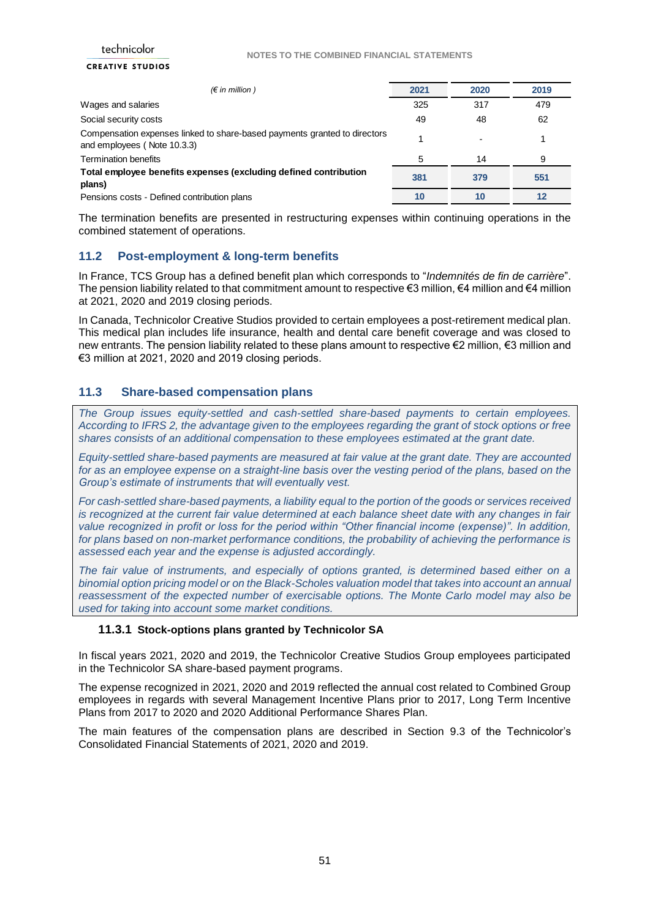#### **CREATIVE STUDIOS**

| $(\epsilon$ in million)                                                                                  | 2021 | 2020 | 2019 |
|----------------------------------------------------------------------------------------------------------|------|------|------|
| Wages and salaries                                                                                       | 325  | 317  | 479  |
| Social security costs                                                                                    | 49   | 48   | 62   |
| Compensation expenses linked to share-based payments granted to directors<br>and employees (Note 10.3.3) |      |      |      |
| <b>Termination benefits</b>                                                                              | 5    | 14   | 9    |
| Total employee benefits expenses (excluding defined contribution<br>plans)                               | 381  | 379  | 551  |
| Pensions costs - Defined contribution plans                                                              | 10   | 10   | 12   |

The termination benefits are presented in restructuring expenses within continuing operations in the combined statement of operations.

### <span id="page-50-0"></span>**11.2 Post-employment & long-term benefits**

In France, TCS Group has a defined benefit plan which corresponds to "*Indemnités de fin de carrière*". The pension liability related to that commitment amount to respective  $\epsilon$ 3 million,  $\epsilon$ 4 million and  $\epsilon$ 4 million at 2021, 2020 and 2019 closing periods.

In Canada, Technicolor Creative Studios provided to certain employees a post-retirement medical plan. This medical plan includes life insurance, health and dental care benefit coverage and was closed to new entrants. The pension liability related to these plans amount to respective €2 million, €3 million and €3 million at 2021, 2020 and 2019 closing periods.

### <span id="page-50-1"></span>**11.3 Share-based compensation plans**

*The Group issues equity-settled and cash-settled share-based payments to certain employees. According to IFRS 2, the advantage given to the employees regarding the grant of stock options or free shares consists of an additional compensation to these employees estimated at the grant date.* 

*Equity-settled share-based payments are measured at fair value at the grant date. They are accounted for as an employee expense on a straight-line basis over the vesting period of the plans, based on the Group's estimate of instruments that will eventually vest.* 

*For cash-settled share-based payments, a liability equal to the portion of the goods or services received is recognized at the current fair value determined at each balance sheet date with any changes in fair value recognized in profit or loss for the period within "Other financial income (expense)". In addition, for plans based on non-market performance conditions, the probability of achieving the performance is assessed each year and the expense is adjusted accordingly.*

*The fair value of instruments, and especially of options granted, is determined based either on a binomial option pricing model or on the Black-Scholes valuation model that takes into account an annual reassessment of the expected number of exercisable options. The Monte Carlo model may also be used for taking into account some market conditions.*

### **11.3.1 Stock-options plans granted by Technicolor SA**

In fiscal years 2021, 2020 and 2019, the Technicolor Creative Studios Group employees participated in the Technicolor SA share-based payment programs.

The expense recognized in 2021, 2020 and 2019 reflected the annual cost related to Combined Group employees in regards with several Management Incentive Plans prior to 2017, Long Term Incentive Plans from 2017 to 2020 and 2020 Additional Performance Shares Plan.

The main features of the compensation plans are described in Section 9.3 of the Technicolor's Consolidated Financial Statements of 2021, 2020 and 2019.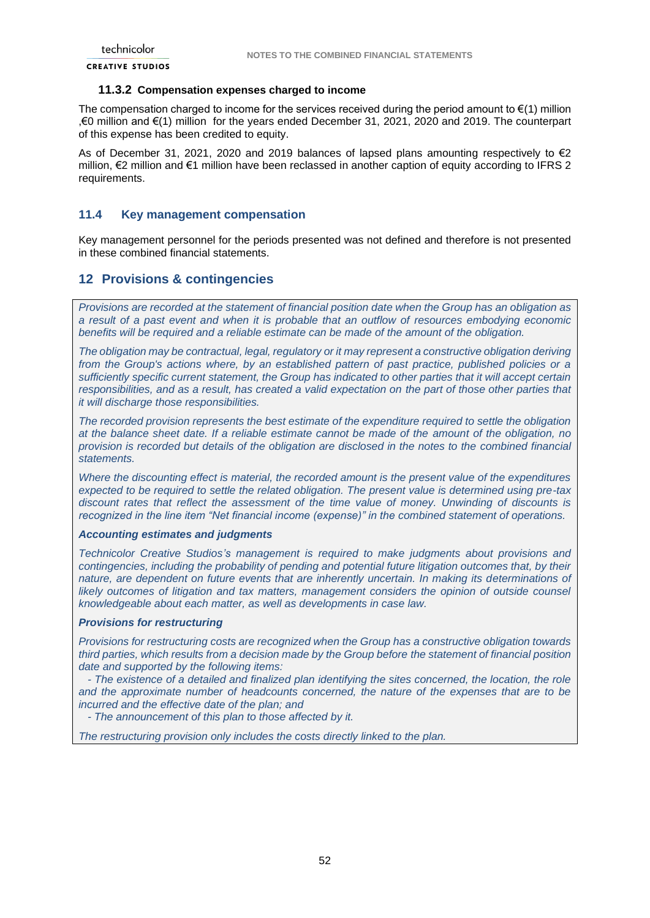### **11.3.2 Compensation expenses charged to income**

The compensation charged to income for the services received during the period amount to  $\epsilon(1)$  million ,€0 million and €(1) million for the years ended December 31, 2021, 2020 and 2019. The counterpart of this expense has been credited to equity.

As of December 31, 2021, 2020 and 2019 balances of lapsed plans amounting respectively to  $\epsilon$ 2 million, €2 million and €1 million have been reclassed in another caption of equity according to IFRS 2 requirements.

### <span id="page-51-0"></span>**11.4 Key management compensation**

Key management personnel for the periods presented was not defined and therefore is not presented in these combined financial statements.

### <span id="page-51-1"></span>**12 Provisions & contingencies**

*Provisions are recorded at the statement of financial position date when the Group has an obligation as a result of a past event and when it is probable that an outflow of resources embodying economic benefits will be required and a reliable estimate can be made of the amount of the obligation.* 

*The obligation may be contractual, legal, regulatory or it may represent a constructive obligation deriving from the Group's actions where, by an established pattern of past practice, published policies or a sufficiently specific current statement, the Group has indicated to other parties that it will accept certain responsibilities, and as a result, has created a valid expectation on the part of those other parties that it will discharge those responsibilities.*

*The recorded provision represents the best estimate of the expenditure required to settle the obligation at the balance sheet date. If a reliable estimate cannot be made of the amount of the obligation, no provision is recorded but details of the obligation are disclosed in the notes to the combined financial statements.*

*Where the discounting effect is material, the recorded amount is the present value of the expenditures expected to be required to settle the related obligation. The present value is determined using pre-tax discount rates that reflect the assessment of the time value of money. Unwinding of discounts is recognized in the line item "Net financial income (expense)" in the combined statement of operations.*

#### *Accounting estimates and judgments*

*Technicolor Creative Studios's management is required to make judgments about provisions and contingencies, including the probability of pending and potential future litigation outcomes that, by their nature, are dependent on future events that are inherently uncertain. In making its determinations of*  likely outcomes of litigation and tax matters, management considers the opinion of outside counsel *knowledgeable about each matter, as well as developments in case law.*

#### *Provisions for restructuring*

*Provisions for restructuring costs are recognized when the Group has a constructive obligation towards third parties, which results from a decision made by the Group before the statement of financial position date and supported by the following items:*

 *- The existence of a detailed and finalized plan identifying the sites concerned, the location, the role and the approximate number of headcounts concerned, the nature of the expenses that are to be incurred and the effective date of the plan; and*

 *- The announcement of this plan to those affected by it.*

*The restructuring provision only includes the costs directly linked to the plan.*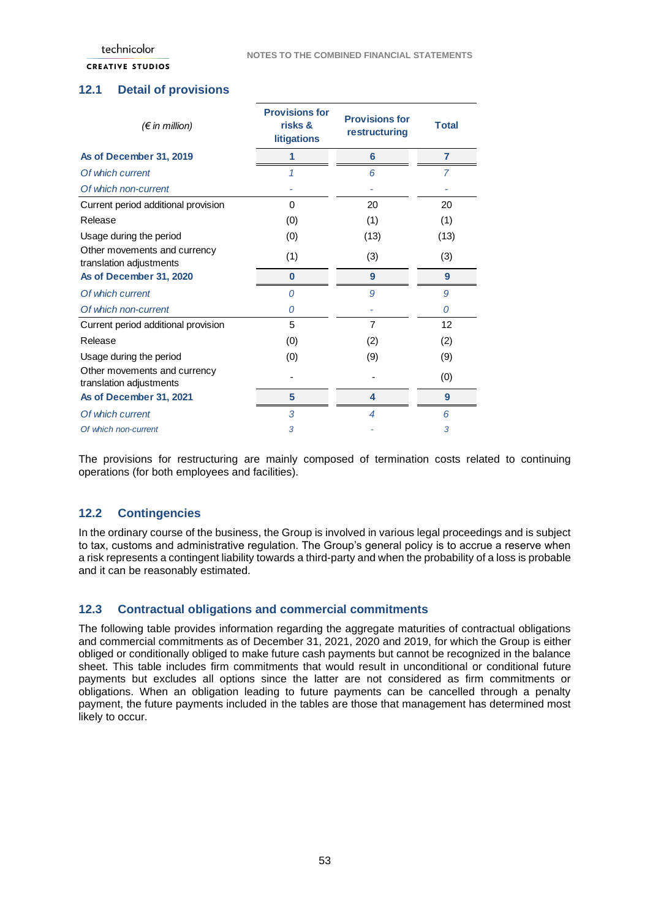### **CREATIVE STUDIOS**

## <span id="page-52-0"></span>**12.1 Detail of provisions**

| $(\epsilon$ in million)                                 | <b>Provisions for</b><br>risks &<br><b>litigations</b> | <b>Provisions for</b><br>restructuring | <b>Total</b>   |
|---------------------------------------------------------|--------------------------------------------------------|----------------------------------------|----------------|
| As of December 31, 2019                                 | 1                                                      | 6                                      | $\overline{7}$ |
| Of which current                                        |                                                        | 6                                      | 7              |
| Of which non-current                                    |                                                        |                                        |                |
| Current period additional provision                     | 0                                                      | 20                                     | 20             |
| Release                                                 | (0)                                                    | (1)                                    | (1)            |
| Usage during the period                                 | (0)                                                    | (13)                                   | (13)           |
| Other movements and currency<br>translation adjustments | (1)                                                    | (3)                                    | (3)            |
| As of December 31, 2020                                 | $\bf{0}$                                               | 9                                      | 9              |
| Of which current                                        | 0                                                      | 9                                      | 9              |
| Of which non-current                                    | 0                                                      |                                        | 0              |
| Current period additional provision                     | 5                                                      | $\overline{7}$                         | 12             |
| Release                                                 | (0)                                                    | (2)                                    | (2)            |
| Usage during the period                                 | (0)                                                    | (9)                                    | (9)            |
| Other movements and currency<br>translation adjustments |                                                        |                                        | (0)            |
| As of December 31, 2021                                 | 5                                                      | 4                                      | 9              |
| Of which current                                        | 3                                                      | 4                                      | 6              |
| Of which non-current                                    | 3                                                      |                                        | 3              |

The provisions for restructuring are mainly composed of termination costs related to continuing operations (for both employees and facilities).

## <span id="page-52-1"></span>**12.2 Contingencies**

In the ordinary course of the business, the Group is involved in various legal proceedings and is subject to tax, customs and administrative regulation. The Group's general policy is to accrue a reserve when a risk represents a contingent liability towards a third-party and when the probability of a loss is probable and it can be reasonably estimated.

## <span id="page-52-2"></span>**12.3 Contractual obligations and commercial commitments**

The following table provides information regarding the aggregate maturities of contractual obligations and commercial commitments as of December 31, 2021, 2020 and 2019, for which the Group is either obliged or conditionally obliged to make future cash payments but cannot be recognized in the balance sheet. This table includes firm commitments that would result in unconditional or conditional future payments but excludes all options since the latter are not considered as firm commitments or obligations. When an obligation leading to future payments can be cancelled through a penalty payment, the future payments included in the tables are those that management has determined most likely to occur.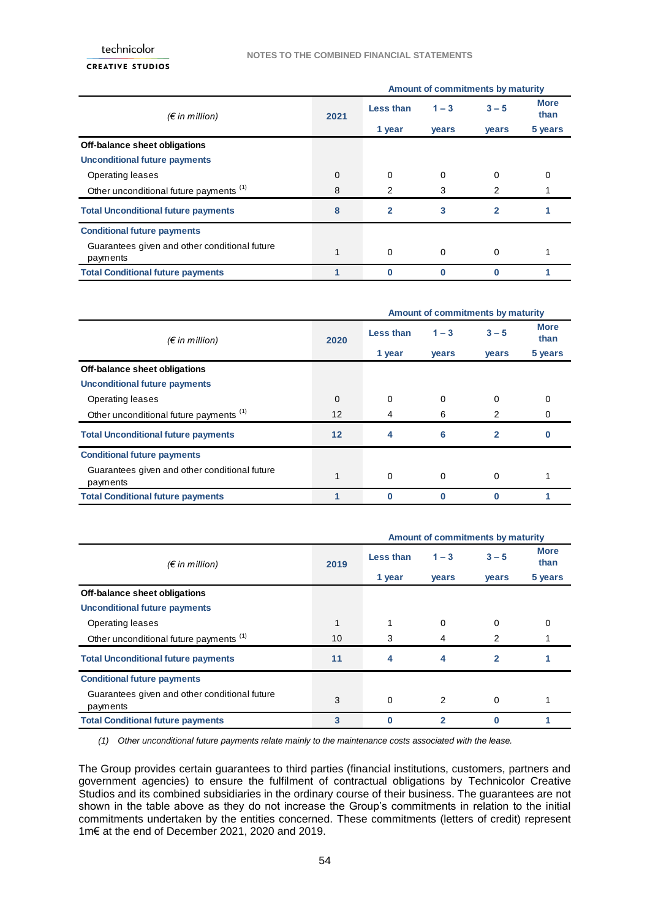#### **CREATIVE STUDIOS**

|                                                           |          | Amount of commitments by maturity |              |              |                     |  |  |
|-----------------------------------------------------------|----------|-----------------------------------|--------------|--------------|---------------------|--|--|
| $(\epsilon$ in million)                                   | 2021     | Less than                         | $1 - 3$      | $3 - 5$      | <b>More</b><br>than |  |  |
|                                                           |          | 1 year                            | <b>vears</b> | <b>vears</b> | 5 years             |  |  |
| Off-balance sheet obligations                             |          |                                   |              |              |                     |  |  |
| <b>Unconditional future payments</b>                      |          |                                   |              |              |                     |  |  |
| Operating leases                                          | $\Omega$ | $\Omega$                          | $\Omega$     | $\Omega$     |                     |  |  |
| Other unconditional future payments <sup>(1)</sup>        | 8        | 2                                 | 3            | 2            |                     |  |  |
| <b>Total Unconditional future payments</b>                | 8        | $\overline{2}$                    | 3            | $\mathbf{2}$ |                     |  |  |
| <b>Conditional future payments</b>                        |          |                                   |              |              |                     |  |  |
| Guarantees given and other conditional future<br>payments |          | $\Omega$                          | $\Omega$     | $\Omega$     |                     |  |  |
| <b>Total Conditional future payments</b>                  |          | O                                 | O            | $\bf{0}$     |                     |  |  |

|                                                           |                   | Amount of commitments by maturity |              |              |                     |
|-----------------------------------------------------------|-------------------|-----------------------------------|--------------|--------------|---------------------|
| $(\epsilon$ in million)                                   | 2020              | Less than                         | $1 - 3$      | $3 - 5$      | <b>More</b><br>than |
|                                                           |                   | 1 year                            | <b>vears</b> | <b>vears</b> | 5 years             |
| Off-balance sheet obligations                             |                   |                                   |              |              |                     |
| <b>Unconditional future payments</b>                      |                   |                                   |              |              |                     |
| Operating leases                                          | $\Omega$          | $\Omega$                          | $\Omega$     | $\Omega$     | 0                   |
| Other unconditional future payments (1)                   | $12 \overline{ }$ | 4                                 | 6            | 2            | O                   |
| <b>Total Unconditional future payments</b>                | 12                | 4                                 | 6            | $\mathbf{2}$ |                     |
| <b>Conditional future payments</b>                        |                   |                                   |              |              |                     |
| Guarantees given and other conditional future<br>payments |                   | $\Omega$                          | $\Omega$     | $\Omega$     |                     |
| <b>Total Conditional future payments</b>                  |                   |                                   |              |              |                     |

|                                                           |      | Amount of commitments by maturity |                |                |                     |
|-----------------------------------------------------------|------|-----------------------------------|----------------|----------------|---------------------|
| $(\epsilon$ in million)                                   | 2019 | Less than                         | $1 - 3$        | $3 - 5$        | <b>More</b><br>than |
|                                                           |      | 1 year                            | <b>vears</b>   | <b>vears</b>   | 5 years             |
| Off-balance sheet obligations                             |      |                                   |                |                |                     |
| <b>Unconditional future payments</b>                      |      |                                   |                |                |                     |
| Operating leases                                          |      |                                   | $\Omega$       | $\Omega$       | 0                   |
| Other unconditional future payments <sup>(1)</sup>        | 10   | 3                                 | 4              | 2              |                     |
| <b>Total Unconditional future payments</b>                | 11   | 4                                 | 4              | $\overline{2}$ |                     |
| <b>Conditional future payments</b>                        |      |                                   |                |                |                     |
| Guarantees given and other conditional future<br>payments | 3    | $\Omega$                          | $\overline{2}$ | $\Omega$       |                     |
| <b>Total Conditional future payments</b>                  | 3    |                                   | 2              | 0              |                     |

*(1) Other unconditional future payments relate mainly to the maintenance costs associated with the lease.*

The Group provides certain guarantees to third parties (financial institutions, customers, partners and government agencies) to ensure the fulfilment of contractual obligations by Technicolor Creative Studios and its combined subsidiaries in the ordinary course of their business. The guarantees are not shown in the table above as they do not increase the Group's commitments in relation to the initial commitments undertaken by the entities concerned. These commitments (letters of credit) represent 1m€ at the end of December 2021, 2020 and 2019.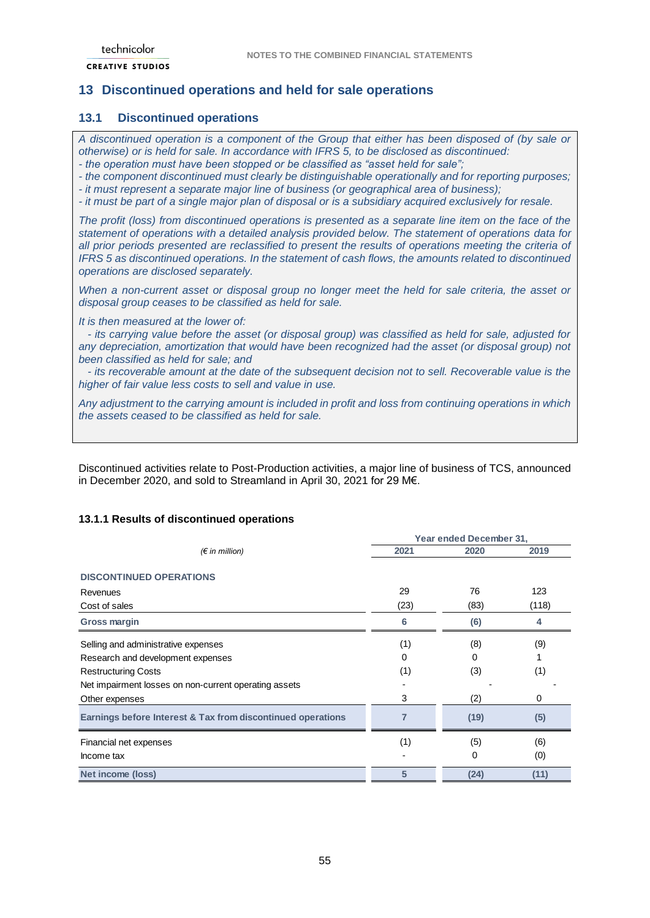## <span id="page-54-0"></span>**13 Discontinued operations and held for sale operations**

## <span id="page-54-1"></span>**13.1 Discontinued operations**

*A discontinued operation is a component of the Group that either has been disposed of (by sale or otherwise) or is held for sale. In accordance with IFRS 5, to be disclosed as discontinued:* 

*- the operation must have been stopped or be classified as "asset held for sale";* 

*- the component discontinued must clearly be distinguishable operationally and for reporting purposes;*

*- it must represent a separate major line of business (or geographical area of business);*

*- it must be part of a single major plan of disposal or is a subsidiary acquired exclusively for resale.*

*The profit (loss) from discontinued operations is presented as a separate line item on the face of the statement of operations with a detailed analysis provided below. The statement of operations data for all prior periods presented are reclassified to present the results of operations meeting the criteria of IFRS 5 as discontinued operations. In the statement of cash flows, the amounts related to discontinued operations are disclosed separately.*

*When a non-current asset or disposal group no longer meet the held for sale criteria, the asset or disposal group ceases to be classified as held for sale.* 

*It is then measured at the lower of:*

 *- its carrying value before the asset (or disposal group) was classified as held for sale, adjusted for any depreciation, amortization that would have been recognized had the asset (or disposal group) not been classified as held for sale; and*

 *- its recoverable amount at the date of the subsequent decision not to sell. Recoverable value is the higher of fair value less costs to sell and value in use.*

*Any adjustment to the carrying amount is included in profit and loss from continuing operations in which the assets ceased to be classified as held for sale.*

Discontinued activities relate to Post-Production activities, a major line of business of TCS, announced in December 2020, and sold to Streamland in April 30, 2021 for 29 M€.

### **13.1.1 Results of discontinued operations**

|                                                             | Year ended December 31, |      |       |
|-------------------------------------------------------------|-------------------------|------|-------|
| $(\epsilon$ in million)                                     | 2021                    | 2020 | 2019  |
| <b>DISCONTINUED OPERATIONS</b>                              |                         |      |       |
| Revenues                                                    | 29                      | 76   | 123   |
| Cost of sales                                               | (23)                    | (83) | (118) |
| Gross margin                                                | 6                       | (6)  | 4     |
| Selling and administrative expenses                         | (1)                     | (8)  | (9)   |
| Research and development expenses                           | 0                       | 0    |       |
| <b>Restructuring Costs</b>                                  | (1)                     | (3)  | (1)   |
| Net impairment losses on non-current operating assets       |                         |      |       |
| Other expenses                                              | 3                       | (2)  | 0     |
| Earnings before Interest & Tax from discontinued operations | 7                       | (19) | (5)   |
| Financial net expenses                                      | (1)                     | (5)  | (6)   |
| Income tax                                                  |                         | 0    | (0)   |
| Net income (loss)                                           | 5                       | (24) | (11)  |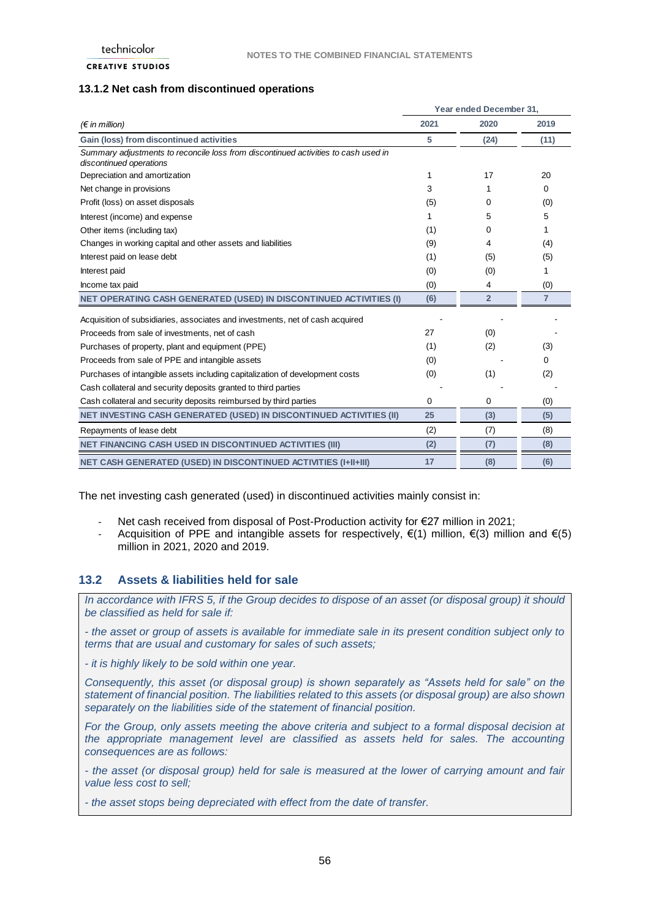#### **13.1.2 Net cash from discontinued operations**

|                                                                                                               | Year ended December 31. |                |                |  |
|---------------------------------------------------------------------------------------------------------------|-------------------------|----------------|----------------|--|
| $(\epsilon$ in million)                                                                                       | 2021                    | 2020           | 2019           |  |
| Gain (loss) from discontinued activities                                                                      | 5                       | (24)           | (11)           |  |
| Summary adjustments to reconcile loss from discontinued activities to cash used in<br>discontinued operations |                         |                |                |  |
| Depreciation and amortization                                                                                 | 1                       | 17             | 20             |  |
| Net change in provisions                                                                                      | 3                       | 1              | 0              |  |
| Profit (loss) on asset disposals                                                                              | (5)                     | 0              | (0)            |  |
| Interest (income) and expense                                                                                 | 1                       | 5              | 5              |  |
| Other items (including tax)                                                                                   | (1)                     | 0              |                |  |
| Changes in working capital and other assets and liabilities                                                   | (9)                     | 4              | (4)            |  |
| Interest paid on lease debt                                                                                   | (1)                     | (5)            | (5)            |  |
| Interest paid                                                                                                 | (0)                     | (0)            | 1              |  |
| Income tax paid                                                                                               | (0)                     | 4              | (0)            |  |
| <b>NET OPERATING CASH GENERATED (USED) IN DISCONTINUED ACTIVITIES (I)</b>                                     | (6)                     | $\overline{2}$ | $\overline{7}$ |  |
| Acquisition of subsidiaries, associates and investments, net of cash acquired                                 |                         |                |                |  |
| Proceeds from sale of investments, net of cash                                                                | 27                      | (0)            |                |  |
| Purchases of property, plant and equipment (PPE)                                                              | (1)                     | (2)            | (3)            |  |
| Proceeds from sale of PPE and intangible assets                                                               | (0)                     |                | 0              |  |
| Purchases of intangible assets including capitalization of development costs                                  | (0)                     | (1)            | (2)            |  |
| Cash collateral and security deposits granted to third parties                                                |                         |                |                |  |
| Cash collateral and security deposits reimbursed by third parties                                             | 0                       | 0              | (0)            |  |
| <b>NET INVESTING CASH GENERATED (USED) IN DISCONTINUED ACTIVITIES (II)</b>                                    | 25                      | (3)            | (5)            |  |
| Repayments of lease debt                                                                                      | (2)                     | (7)            | (8)            |  |
| <b>NET FINANCING CASH USED IN DISCONTINUED ACTIVITIES (III)</b>                                               | (2)                     | (7)            | (8)            |  |
| <b>NET CASH GENERATED (USED) IN DISCONTINUED ACTIVITIES (I+II+III)</b>                                        | 17                      | (8)            | (6)            |  |

The net investing cash generated (used) in discontinued activities mainly consist in:

- Net cash received from disposal of Post-Production activity for €27 million in 2021;
- Acquisition of PPE and intangible assets for respectively,  $\epsilon(1)$  million,  $\epsilon(3)$  million and  $\epsilon(5)$ million in 2021, 2020 and 2019.

## <span id="page-55-0"></span>**13.2 Assets & liabilities held for sale**

*In accordance with IFRS 5, if the Group decides to dispose of an asset (or disposal group) it should be classified as held for sale if:*

*- the asset or group of assets is available for immediate sale in its present condition subject only to terms that are usual and customary for sales of such assets;*

*- it is highly likely to be sold within one year.*

*Consequently, this asset (or disposal group) is shown separately as "Assets held for sale" on the statement of financial position. The liabilities related to this assets (or disposal group) are also shown separately on the liabilities side of the statement of financial position.*

*For the Group, only assets meeting the above criteria and subject to a formal disposal decision at the appropriate management level are classified as assets held for sales. The accounting consequences are as follows:*

*- the asset (or disposal group) held for sale is measured at the lower of carrying amount and fair value less cost to sell;*

*- the asset stops being depreciated with effect from the date of transfer.*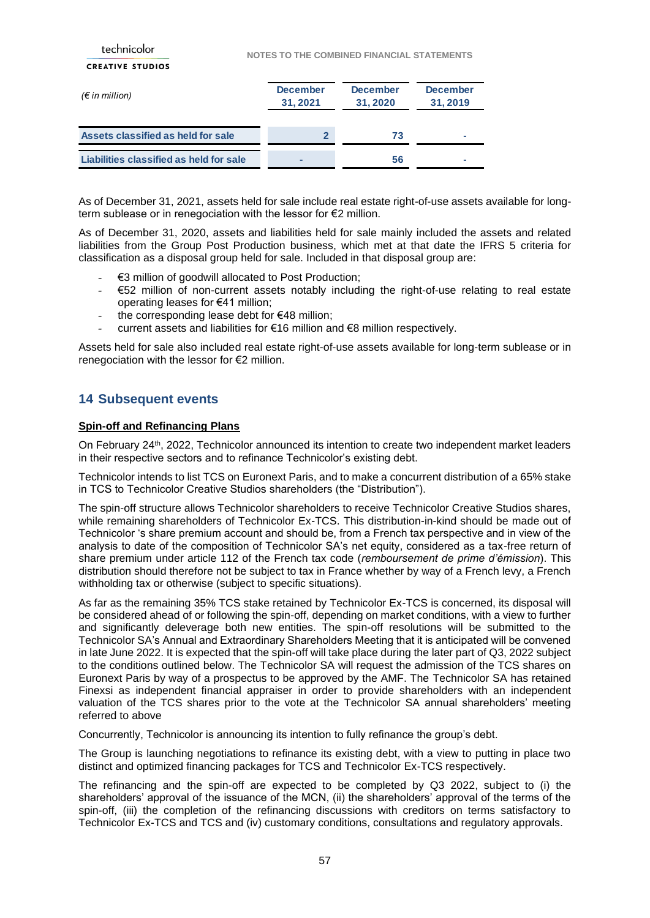| technicolor                             | <b>NOTES TO THE COMBINED FINANCIAL STATEMENTS</b> |                            |                            |
|-----------------------------------------|---------------------------------------------------|----------------------------|----------------------------|
| <b>CREATIVE STUDIOS</b>                 |                                                   |                            |                            |
| $(\epsilon$ in million)                 | <b>December</b><br>31,2021                        | <b>December</b><br>31,2020 | <b>December</b><br>31,2019 |
| Assets classified as held for sale      | $\mathbf{2}$                                      | 73                         | ۰                          |
| Liabilities classified as held for sale |                                                   | 56                         |                            |

As of December 31, 2021, assets held for sale include real estate right-of-use assets available for longterm sublease or in renegociation with the lessor for €2 million.

As of December 31, 2020, assets and liabilities held for sale mainly included the assets and related liabilities from the Group Post Production business, which met at that date the IFRS 5 criteria for classification as a disposal group held for sale. Included in that disposal group are:

- €3 million of goodwill allocated to Post Production;
- €52 million of non-current assets notably including the right-of-use relating to real estate operating leases for €41 million;
- the corresponding lease debt for  $€48$  million;
- current assets and liabilities for €16 million and €8 million respectively.

Assets held for sale also included real estate right-of-use assets available for long-term sublease or in renegociation with the lessor for €2 million.

## <span id="page-56-0"></span>**14 Subsequent events**

### **Spin-off and Refinancing Plans**

On February 24<sup>th</sup>, 2022, Technicolor announced its intention to create two independent market leaders in their respective sectors and to refinance Technicolor's existing debt.

Technicolor intends to list TCS on Euronext Paris, and to make a concurrent distribution of a 65% stake in TCS to Technicolor Creative Studios shareholders (the "Distribution").

The spin-off structure allows Technicolor shareholders to receive Technicolor Creative Studios shares, while remaining shareholders of Technicolor Ex-TCS. This distribution-in-kind should be made out of Technicolor 's share premium account and should be, from a French tax perspective and in view of the analysis to date of the composition of Technicolor SA's net equity, considered as a tax-free return of share premium under article 112 of the French tax code (*remboursement de prime d'émission*). This distribution should therefore not be subject to tax in France whether by way of a French levy, a French withholding tax or otherwise (subject to specific situations).

As far as the remaining 35% TCS stake retained by Technicolor Ex-TCS is concerned, its disposal will be considered ahead of or following the spin-off, depending on market conditions, with a view to further and significantly deleverage both new entities. The spin-off resolutions will be submitted to the Technicolor SA's Annual and Extraordinary Shareholders Meeting that it is anticipated will be convened in late June 2022. It is expected that the spin-off will take place during the later part of Q3, 2022 subject to the conditions outlined below. The Technicolor SA will request the admission of the TCS shares on Euronext Paris by way of a prospectus to be approved by the AMF. The Technicolor SA has retained Finexsi as independent financial appraiser in order to provide shareholders with an independent valuation of the TCS shares prior to the vote at the Technicolor SA annual shareholders' meeting referred to above

Concurrently, Technicolor is announcing its intention to fully refinance the group's debt.

The Group is launching negotiations to refinance its existing debt, with a view to putting in place two distinct and optimized financing packages for TCS and Technicolor Ex-TCS respectively.

The refinancing and the spin-off are expected to be completed by Q3 2022, subject to (i) the shareholders' approval of the issuance of the MCN, (ii) the shareholders' approval of the terms of the spin-off, (iii) the completion of the refinancing discussions with creditors on terms satisfactory to Technicolor Ex-TCS and TCS and (iv) customary conditions, consultations and regulatory approvals.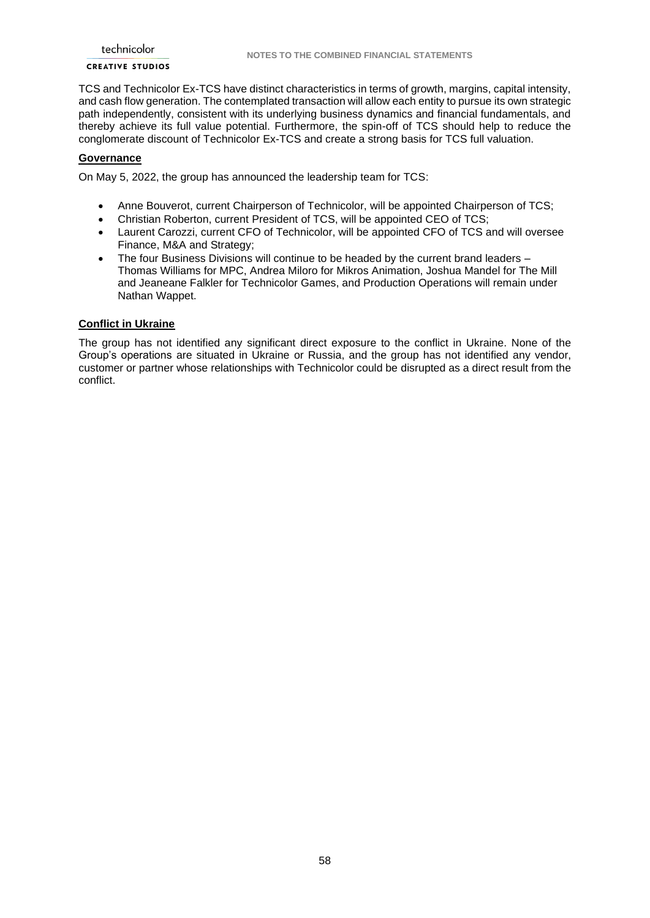### **CREATIVE STUDIOS**

TCS and Technicolor Ex-TCS have distinct characteristics in terms of growth, margins, capital intensity, and cash flow generation. The contemplated transaction will allow each entity to pursue its own strategic path independently, consistent with its underlying business dynamics and financial fundamentals, and thereby achieve its full value potential. Furthermore, the spin-off of TCS should help to reduce the conglomerate discount of Technicolor Ex-TCS and create a strong basis for TCS full valuation.

### **Governance**

On May 5, 2022, the group has announced the leadership team for TCS:

- Anne Bouverot, current Chairperson of Technicolor, will be appointed Chairperson of TCS;
- Christian Roberton, current President of TCS, will be appointed CEO of TCS;
- Laurent Carozzi, current CFO of Technicolor, will be appointed CFO of TCS and will oversee Finance, M&A and Strategy;
- The four Business Divisions will continue to be headed by the current brand leaders Thomas Williams for MPC, Andrea Miloro for Mikros Animation, Joshua Mandel for The Mill and Jeaneane Falkler for Technicolor Games, and Production Operations will remain under Nathan Wappet.

### **Conflict in Ukraine**

The group has not identified any significant direct exposure to the conflict in Ukraine. None of the Group's operations are situated in Ukraine or Russia, and the group has not identified any vendor, customer or partner whose relationships with Technicolor could be disrupted as a direct result from the conflict.